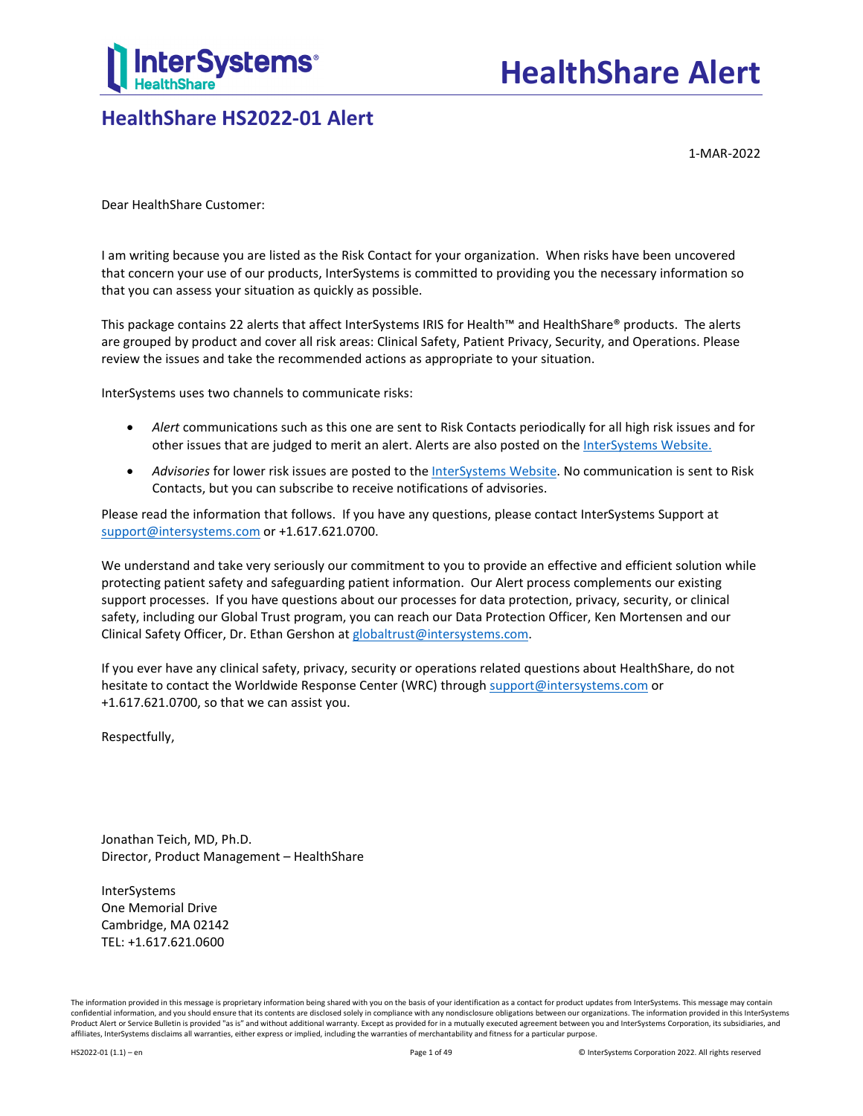

## **HealthShare HS2022-01 Alert**

1-MAR-2022

Dear HealthShare Customer:

I am writing because you are listed as the Risk Contact for your organization. When risks have been uncovered that concern your use of our products, InterSystems is committed to providing you the necessary information so that you can assess your situation as quickly as possible.

This package contains 22 alerts that affect InterSystems IRIS for Health™ and HealthShare® products. The alerts are grouped by product and cover all risk areas: Clinical Safety, Patient Privacy, Security, and Operations. Please review the issues and take the recommended actions as appropriate to your situation.

InterSystems uses two channels to communicate risks:

- *Alert* communications such as this one are sent to Risk Contacts periodically for all high risk issues and for other issues that are judged to merit an alert. Alerts are also posted on the [InterSystems Website.](https://www.intersystems.com/support-learning/support/product-news-alerts/?filter%5byear%5d=0)
- *Advisories* for lower risk issues are posted to th[e InterSystems Website.](https://www.intersystems.com/support-learning/support/product-news-alerts/?filter%5byear%5d=0) No communication is sent to Risk Contacts, but you can subscribe to receive notifications of advisories.

Please read the information that follows. If you have any questions, please contact InterSystems Support at [support@intersystems.com](mailto:support@intersystems.com?subject=HealthShare%20Alert%20HS2022-01) or +1.617.621.0700.

We understand and take very seriously our commitment to you to provide an effective and efficient solution while protecting patient safety and safeguarding patient information. Our Alert process complements our existing support processes. If you have questions about our processes for data protection, privacy, security, or clinical safety, including our Global Trust program, you can reach our Data Protection Officer, Ken Mortensen and our Clinical Safety Officer, Dr. Ethan Gershon a[t globaltrust@intersystems.com.](mailto:globaltrust@intersystems.com?subject=HealthShare%20Alert%20HS2022-01)

If you ever have any clinical safety, privacy, security or operations related questions about HealthShare, do not hesitate to contact the Worldwide Response Center (WRC) throug[h support@intersystems.com](mailto:support@intersystems.com?subject=HealthShare%20Alert%20HS2022-01) or +1.617.621.0700, so that we can assist you.

Respectfully,

Jonathan Teich, MD, Ph.D. Director, Product Management – HealthShare

InterSystems One Memorial Drive Cambridge, MA 02142 TEL: +1.617.621.0600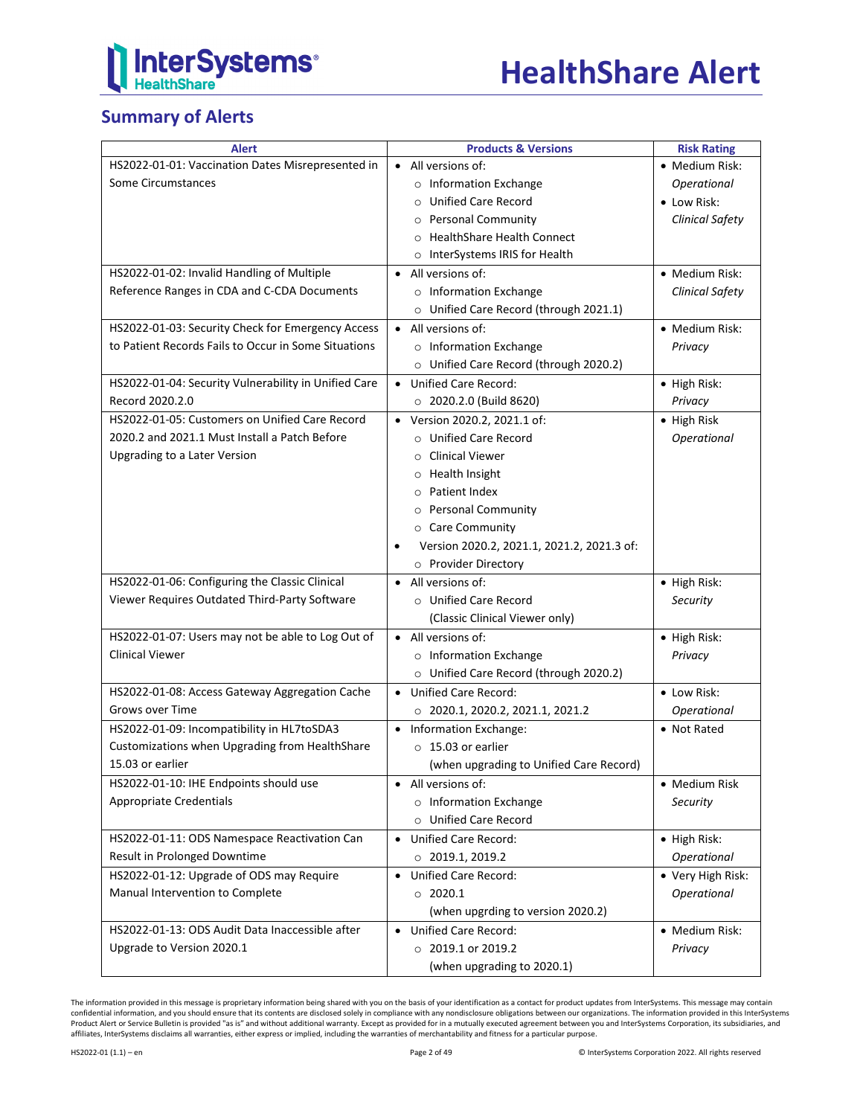

## **Summary of Alerts**

| <b>Alert</b>                                         | <b>Products &amp; Versions</b>                          | <b>Risk Rating</b>     |
|------------------------------------------------------|---------------------------------------------------------|------------------------|
| HS2022-01-01: Vaccination Dates Misrepresented in    | All versions of:                                        | • Medium Risk:         |
| Some Circumstances                                   | o Information Exchange                                  | Operational            |
|                                                      | O Unified Care Record                                   | • Low Risk:            |
|                                                      | o Personal Community                                    | <b>Clinical Safety</b> |
|                                                      | O HealthShare Health Connect                            |                        |
|                                                      | o InterSystems IRIS for Health                          |                        |
| HS2022-01-02: Invalid Handling of Multiple           | All versions of:<br>$\bullet$                           | • Medium Risk:         |
| Reference Ranges in CDA and C-CDA Documents          | o Information Exchange                                  | <b>Clinical Safety</b> |
|                                                      | O Unified Care Record (through 2021.1)                  |                        |
| HS2022-01-03: Security Check for Emergency Access    | All versions of:<br>$\bullet$                           | • Medium Risk:         |
| to Patient Records Fails to Occur in Some Situations | o Information Exchange                                  | Privacy                |
|                                                      | O Unified Care Record (through 2020.2)                  |                        |
| HS2022-01-04: Security Vulnerability in Unified Care | • Unified Care Record:                                  | • High Risk:           |
| Record 2020.2.0                                      | $\circ$ 2020.2.0 (Build 8620)                           | Privacy                |
| HS2022-01-05: Customers on Unified Care Record       |                                                         |                        |
| 2020.2 and 2021.1 Must Install a Patch Before        | Version 2020.2, 2021.1 of:<br>$\bullet$                 | $\bullet$ High Risk    |
|                                                      | o Unified Care Record                                   | Operational            |
| Upgrading to a Later Version                         | <b>Clinical Viewer</b><br>$\circ$                       |                        |
|                                                      | o Health Insight                                        |                        |
|                                                      | o Patient Index                                         |                        |
|                                                      | o Personal Community                                    |                        |
|                                                      | ○ Care Community                                        |                        |
|                                                      | Version 2020.2, 2021.1, 2021.2, 2021.3 of:<br>$\bullet$ |                        |
|                                                      | o Provider Directory                                    |                        |
| HS2022-01-06: Configuring the Classic Clinical       | All versions of:<br>$\bullet$                           | • High Risk:           |
| Viewer Requires Outdated Third-Party Software        | O Unified Care Record                                   | Security               |
|                                                      | (Classic Clinical Viewer only)                          |                        |
| HS2022-01-07: Users may not be able to Log Out of    | All versions of:<br>$\bullet$                           | • High Risk:           |
| <b>Clinical Viewer</b>                               | o Information Exchange                                  | Privacy                |
|                                                      | O Unified Care Record (through 2020.2)                  |                        |
| HS2022-01-08: Access Gateway Aggregation Cache       | <b>Unified Care Record:</b><br>$\bullet$                | • Low Risk:            |
| Grows over Time                                      | $\circ$ 2020.1, 2020.2, 2021.1, 2021.2                  | Operational            |
| HS2022-01-09: Incompatibility in HL7toSDA3           | • Information Exchange:                                 | • Not Rated            |
| Customizations when Upgrading from HealthShare       | $\circ$ 15.03 or earlier                                |                        |
| 15.03 or earlier                                     | (when upgrading to Unified Care Record)                 |                        |
| HS2022-01-10: IHE Endpoints should use               | All versions of:                                        | • Medium Risk          |
| <b>Appropriate Credentials</b>                       | o Information Exchange                                  | Security               |
|                                                      | o Unified Care Record                                   |                        |
| HS2022-01-11: ODS Namespace Reactivation Can         | <b>Unified Care Record:</b><br>$\bullet$                |                        |
| Result in Prolonged Downtime                         |                                                         | $\bullet$ High Risk:   |
|                                                      | $\circ$ 2019.1, 2019.2                                  | Operational            |
| HS2022-01-12: Upgrade of ODS may Require             | <b>Unified Care Record:</b><br>$\bullet$                | • Very High Risk:      |
| Manual Intervention to Complete                      | $\circ$ 2020.1                                          | Operational            |
|                                                      | (when upgrding to version 2020.2)                       |                        |
| HS2022-01-13: ODS Audit Data Inaccessible after      | <b>Unified Care Record:</b><br>$\bullet$                | • Medium Risk:         |
| Upgrade to Version 2020.1                            | $\circ$ 2019.1 or 2019.2                                | Privacy                |
|                                                      | (when upgrading to 2020.1)                              |                        |

The information provided in this message is proprietary information being shared with you on the basis of your identification as a contact for product updates from InterSystems. This message may contain<br>confidential inform affiliates, InterSystems disclaims all warranties, either express or implied, including the warranties of merchantability and fitness for a particular purpose.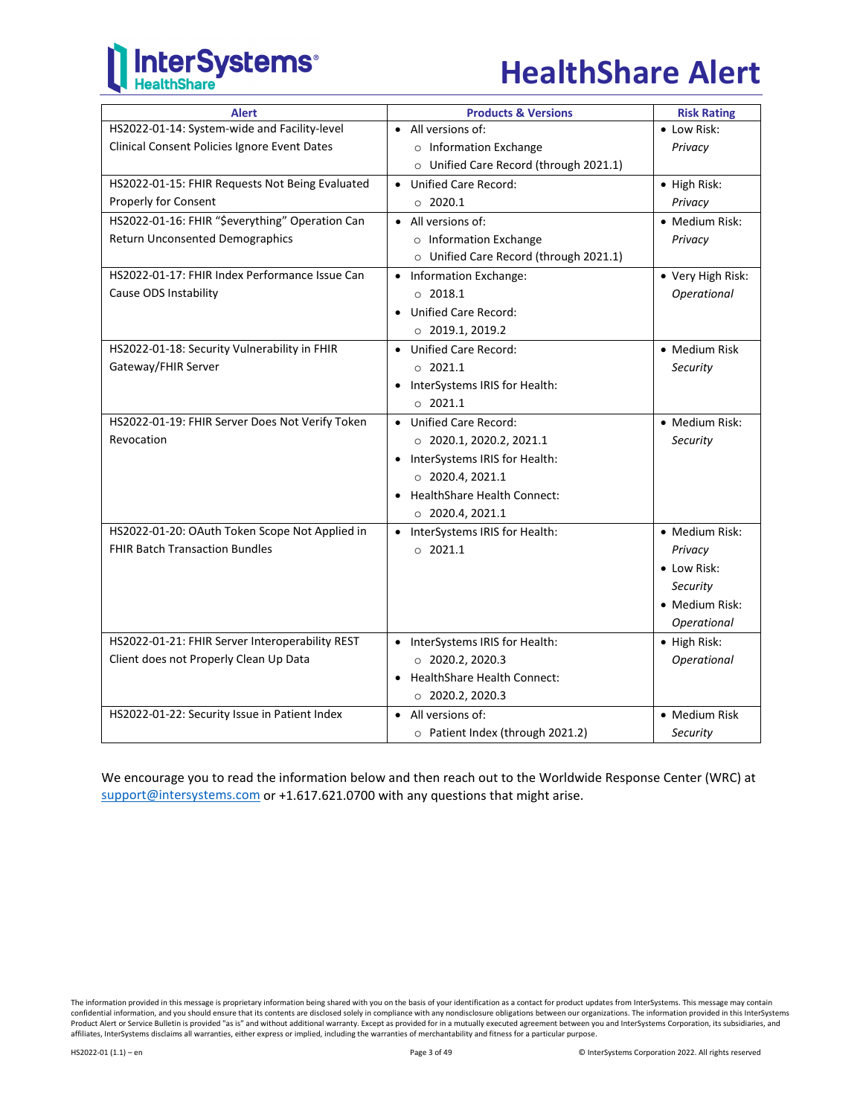# **InterSystems**®

## **HealthShare Alert**

| <b>Alert</b>                                    | <b>Products &amp; Versions</b>             | <b>Risk Rating</b> |
|-------------------------------------------------|--------------------------------------------|--------------------|
| HS2022-01-14: System-wide and Facility-level    | All versions of:<br>$\bullet$              | • Low Risk:        |
| Clinical Consent Policies Ignore Event Dates    | o Information Exchange                     | Privacy            |
|                                                 | O Unified Care Record (through 2021.1)     |                    |
| HS2022-01-15: FHIR Requests Not Being Evaluated | Unified Care Record:<br>$\bullet$          | • High Risk:       |
| Properly for Consent                            | $\circ$ 2020.1                             | Privacy            |
| HS2022-01-16: FHIR "\$everything" Operation Can | All versions of:<br>$\bullet$              | • Medium Risk:     |
| Return Unconsented Demographics                 | o Information Exchange                     | Privacy            |
|                                                 | O Unified Care Record (through 2021.1)     |                    |
| HS2022-01-17: FHIR Index Performance Issue Can  | • Information Exchange:                    | • Very High Risk:  |
| Cause ODS Instability                           | $\circ$ 2018.1                             | Operational        |
|                                                 | • Unified Care Record:                     |                    |
|                                                 | $\circ$ 2019.1, 2019.2                     |                    |
| HS2022-01-18: Security Vulnerability in FHIR    | • Unified Care Record:                     | • Medium Risk      |
| Gateway/FHIR Server                             | $\circ$ 2021.1                             | Security           |
|                                                 | InterSystems IRIS for Health:              |                    |
|                                                 | 02021.1                                    |                    |
| HS2022-01-19: FHIR Server Does Not Verify Token | • Unified Care Record:                     | • Medium Risk:     |
| Revocation                                      | $\circ$ 2020.1, 2020.2, 2021.1             | Security           |
|                                                 | InterSystems IRIS for Health:<br>$\bullet$ |                    |
|                                                 | $\circ$ 2020.4, 2021.1                     |                    |
|                                                 | <b>HealthShare Health Connect:</b>         |                    |
|                                                 | $\circ$ 2020.4, 2021.1                     |                    |
| HS2022-01-20: OAuth Token Scope Not Applied in  | InterSystems IRIS for Health:<br>$\bullet$ | • Medium Risk:     |
| <b>FHIR Batch Transaction Bundles</b>           | 0.2021.1                                   | Privacy            |
|                                                 |                                            | • Low Risk:        |
|                                                 |                                            | Security           |
|                                                 |                                            | • Medium Risk:     |
|                                                 |                                            | Operational        |
| HS2022-01-21: FHIR Server Interoperability REST | InterSystems IRIS for Health:<br>$\bullet$ | · High Risk:       |
| Client does not Properly Clean Up Data          | $\circ$ 2020.2, 2020.3                     | Operational        |
|                                                 | <b>HealthShare Health Connect:</b>         |                    |
|                                                 | $\circ$ 2020.2, 2020.3                     |                    |
| HS2022-01-22: Security Issue in Patient Index   | All versions of:<br>$\bullet$              | • Medium Risk      |
|                                                 | O Patient Index (through 2021.2)           | Security           |

We encourage you to read the information below and then reach out to the Worldwide Response Center (WRC) at [support@intersystems.com](mailto:support@intersystems.com?subject=HealthShare%20Alert%20HS2022-01) or +1.617.621.0700 with any questions that might arise.

The information provided in this message is proprietary information being shared with you on the basis of your identification as a contact for product updates from InterSystems. This message may contain<br>confidential inform Product Alert or Service Bulletin is provided "as is" and without additional warranty. Except as provided for in a mutually executed agreement between you and InterSystems Corporation, its subsidiaries, and affiliates, InterSystems disclaims all warranties, either express or implied, including the warranties of merchantability and fitness for a particular purpose.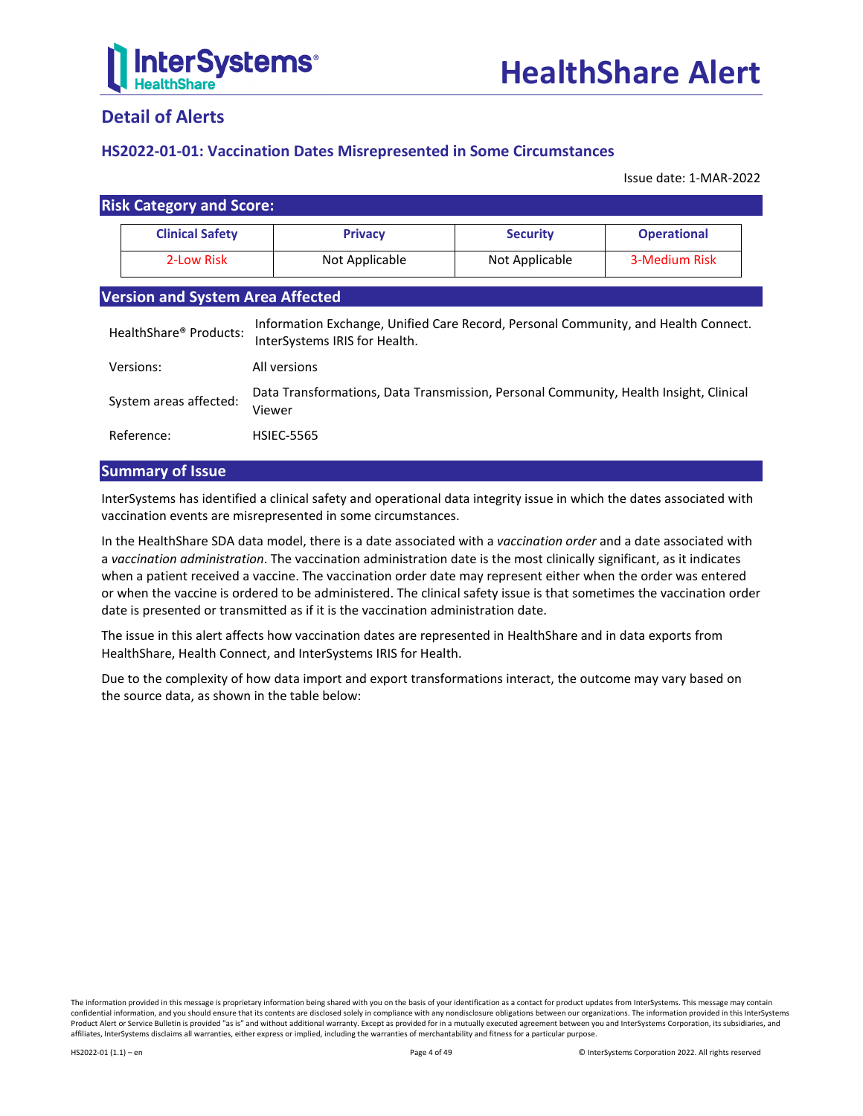

## **Detail of Alerts**

## <span id="page-3-0"></span>**HS2022-01-01: Vaccination Dates Misrepresented in Some Circumstances**

Issue date: 1-MAR-2022

| <b>Risk Category and Score:</b>         |                |                 |                    |
|-----------------------------------------|----------------|-----------------|--------------------|
| <b>Clinical Safety</b>                  | <b>Privacy</b> | <b>Security</b> | <b>Operational</b> |
| 2-Low Risk                              | Not Applicable | Not Applicable  | 3-Medium Risk      |
| <b>Version and System Area Affected</b> |                |                 |                    |

| HealthShare® Products: | Information Exchange, Unified Care Record, Personal Community, and Health Connect.<br>InterSystems IRIS for Health. |
|------------------------|---------------------------------------------------------------------------------------------------------------------|
| Versions:              | All versions                                                                                                        |
| System areas affected: | Data Transformations, Data Transmission, Personal Community, Health Insight, Clinical<br>Viewer                     |
| Reference:             | <b>HSIEC-5565</b>                                                                                                   |

## **Summary of Issue**

InterSystems has identified a clinical safety and operational data integrity issue in which the dates associated with vaccination events are misrepresented in some circumstances.

In the HealthShare SDA data model, there is a date associated with a *vaccination order* and a date associated with a *vaccination administration*. The vaccination administration date is the most clinically significant, as it indicates when a patient received a vaccine. The vaccination order date may represent either when the order was entered or when the vaccine is ordered to be administered. The clinical safety issue is that sometimes the vaccination order date is presented or transmitted as if it is the vaccination administration date.

The issue in this alert affects how vaccination dates are represented in HealthShare and in data exports from HealthShare, Health Connect, and InterSystems IRIS for Health.

Due to the complexity of how data import and export transformations interact, the outcome may vary based on the source data, as shown in the table below: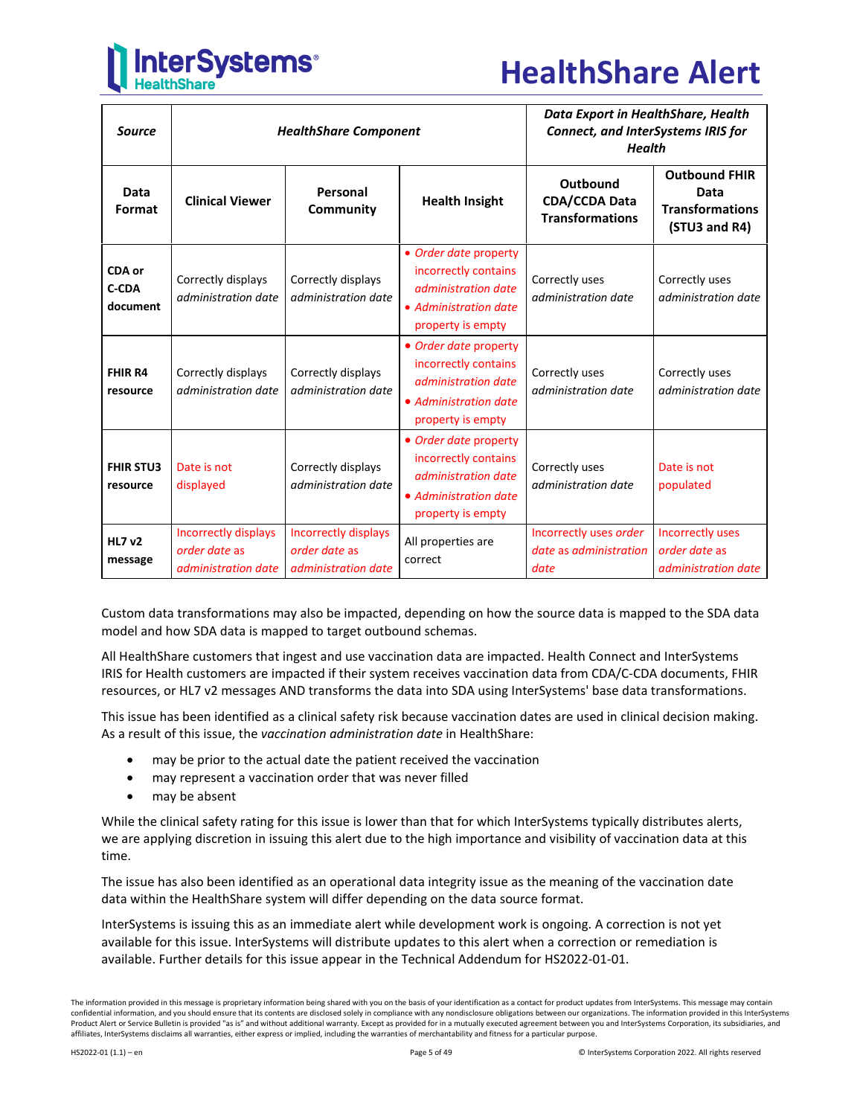

## **HealthShare Alert**

| <b>Source</b>                | <b>HealthShare Component</b>                                        |                                                              | Data Export in HealthShare, Health<br><b>Connect, and InterSystems IRIS for</b><br><b>Health</b>                   |                                                            |                                                                         |
|------------------------------|---------------------------------------------------------------------|--------------------------------------------------------------|--------------------------------------------------------------------------------------------------------------------|------------------------------------------------------------|-------------------------------------------------------------------------|
| Data<br>Format               | <b>Clinical Viewer</b>                                              | Personal<br>Community                                        | <b>Health Insight</b>                                                                                              | Outbound<br><b>CDA/CCDA Data</b><br><b>Transformations</b> | <b>Outbound FHIR</b><br>Data<br><b>Transformations</b><br>(STU3 and R4) |
| CDA or<br>C-CDA<br>document  | Correctly displays<br>administration date                           | Correctly displays<br>administration date                    | • Order date property<br>incorrectly contains<br>administration date<br>• Administration date<br>property is empty | Correctly uses<br>administration date                      | Correctly uses<br>administration date                                   |
| <b>FHIR R4</b><br>resource   | Correctly displays<br>administration date                           | Correctly displays<br>administration date                    | • Order date property<br>incorrectly contains<br>administration date<br>• Administration date<br>property is empty | Correctly uses<br>administration date                      | Correctly uses<br>administration date                                   |
| <b>FHIR STU3</b><br>resource | Date is not<br>displayed                                            | Correctly displays<br>administration date                    | • Order date property<br>incorrectly contains<br>administration date<br>• Administration date<br>property is empty | Correctly uses<br>administration date                      | Date is not<br>populated                                                |
| <b>HL7 v2</b><br>message     | <b>Incorrectly displays</b><br>order date as<br>administration date | Incorrectly displays<br>order date as<br>administration date | All properties are<br>correct                                                                                      | Incorrectly uses order<br>date as administration<br>date   | Incorrectly uses<br>order date as<br>administration date                |

Custom data transformations may also be impacted, depending on how the source data is mapped to the SDA data model and how SDA data is mapped to target outbound schemas.

All HealthShare customers that ingest and use vaccination data are impacted. Health Connect and InterSystems IRIS for Health customers are impacted if their system receives vaccination data from CDA/C-CDA documents, FHIR resources, or HL7 v2 messages AND transforms the data into SDA using InterSystems' base data transformations.

This issue has been identified as a clinical safety risk because vaccination dates are used in clinical decision making. As a result of this issue, the *vaccination administration date* in HealthShare:

- may be prior to the actual date the patient received the vaccination
- may represent a vaccination order that was never filled
- may be absent

While the clinical safety rating for this issue is lower than that for which InterSystems typically distributes alerts, we are applying discretion in issuing this alert due to the high importance and visibility of vaccination data at this time.

The issue has also been identified as an operational data integrity issue as the meaning of the vaccination date data within the HealthShare system will differ depending on the data source format.

InterSystems is issuing this as an immediate alert while development work is ongoing. A correction is not yet available for this issue. InterSystems will distribute updates to this alert when a correction or remediation is available. Further details for this issue appear in the [Technical Addendum](#page-6-0) for HS2022-01-01.

The information provided in this message is proprietary information being shared with you on the basis of your identification as a contact for product updates from InterSystems. This message may contain confidential information, and you should ensure that its contents are disclosed solely in compliance with any nondisclosure obligations between our organizations. The information provided in this InterSystems Product Alert or Service Bulletin is provided "as is" and without additional warranty. Except as provided for in a mutually executed agreement between you and InterSystems Corporation, its subsidiaries, and affiliates, InterSystems disclaims all warranties, either express or implied, including the warranties of merchantability and fitness for a particular purpose.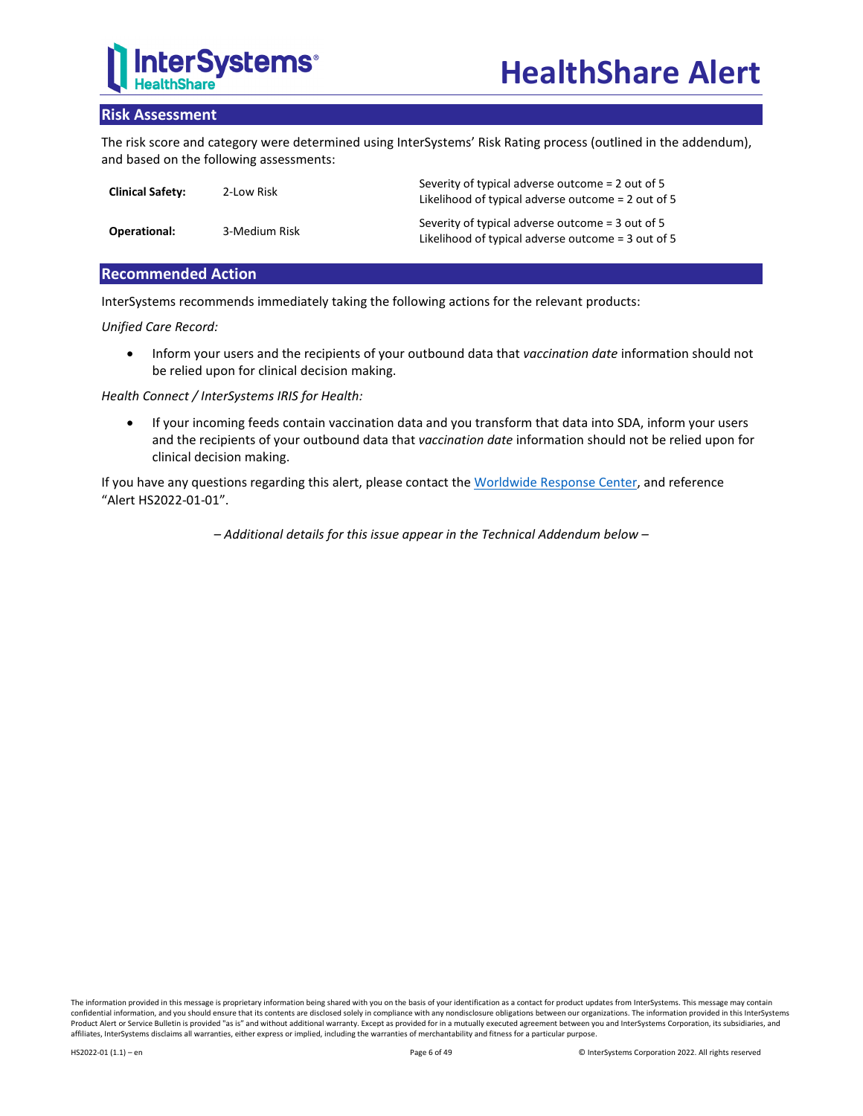

## **Risk Assessment**

The risk score and category were determined using InterSystems' Risk Rating process (outlined in the addendum), and based on the following assessments:

| <b>Clinical Safety:</b> | 2-Low Risk    | Severity of typical adverse outcome = 2 out of 5<br>Likelihood of typical adverse outcome = 2 out of 5 |
|-------------------------|---------------|--------------------------------------------------------------------------------------------------------|
| Operational:            | 3-Medium Risk | Severity of typical adverse outcome = 3 out of 5<br>Likelihood of typical adverse outcome = 3 out of 5 |

## **Recommended Action**

InterSystems recommends immediately taking the following actions for the relevant products:

*Unified Care Record:*

• Inform your users and the recipients of your outbound data that *vaccination date* information should not be relied upon for clinical decision making.

## *Health Connect / InterSystems IRIS for Health:*

• If your incoming feeds contain vaccination data and you transform that data into SDA, inform your users and the recipients of your outbound data that *vaccination date* information should not be relied upon for clinical decision making.

If you have any questions regarding this alert, please contact th[e Worldwide Response Center,](mailto:support@intersystems.com?subject=HealthShare%20Alert%20HS2022-01-01) and reference "Alert HS2022-01-01".

*– Additional details for this issue appear in the Technical Addendum below –*

The information provided in this message is proprietary information being shared with you on the basis of your identification as a contact for product updates from InterSystems. This message may contain confidential information, and you should ensure that its contents are disclosed solely in compliance with any nondisclosure obligations between our organizations. The information provided in this InterSystems Product Alert or Service Bulletin is provided "as is" and without additional warranty. Except as provided for in a mutually executed agreement between you and InterSystems Corporation, its subsidiaries, and affiliates, InterSystems disclaims all warranties, either express or implied, including the warranties of merchantability and fitness for a particular purpose.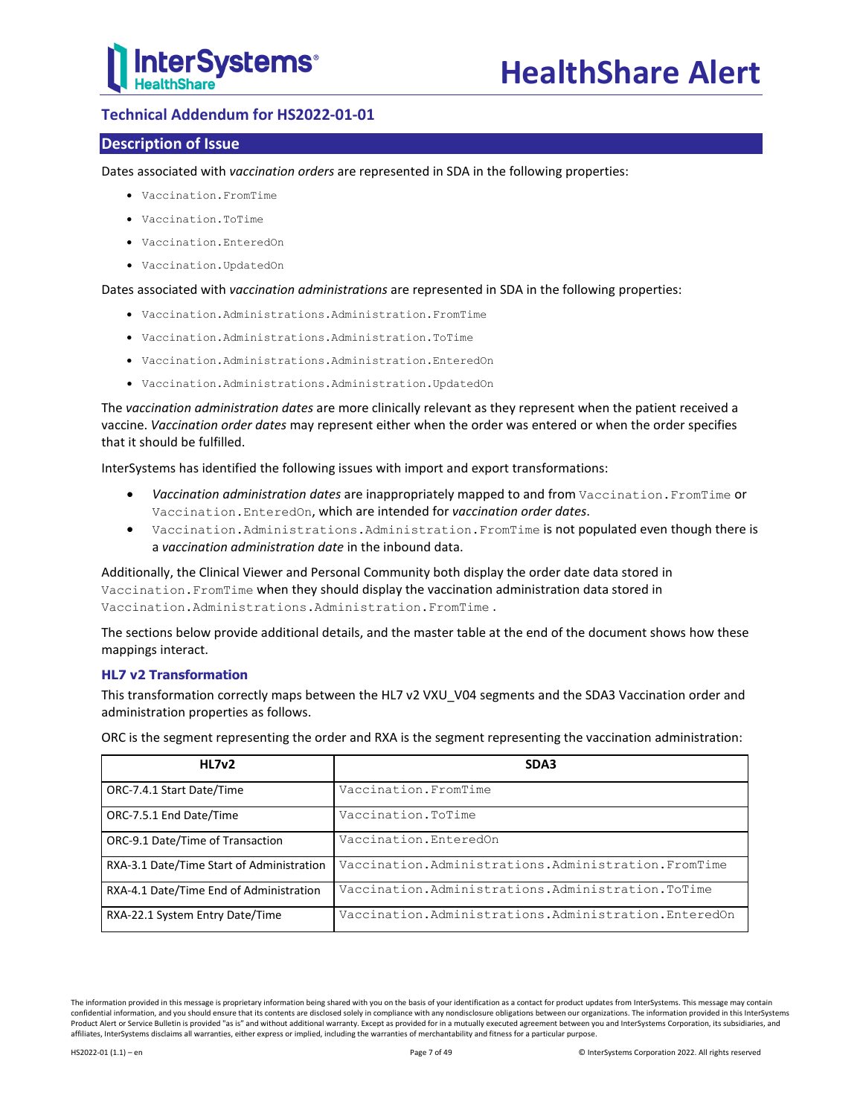

## <span id="page-6-0"></span>**Technical Addendum for HS2022-01-01**

## **Description of Issue**

Dates associated with *vaccination orders* are represented in SDA in the following properties:

- Vaccination.FromTime
- Vaccination.ToTime
- Vaccination.EnteredOn
- Vaccination.UpdatedOn

Dates associated with *vaccination administrations* are represented in SDA in the following properties:

- Vaccination.Administrations.Administration.FromTime
- Vaccination.Administrations.Administration.ToTime
- Vaccination.Administrations.Administration.EnteredOn
- Vaccination.Administrations.Administration.UpdatedOn

The *vaccination administration dates* are more clinically relevant as they represent when the patient received a vaccine. *Vaccination order dates* may represent either when the order was entered or when the order specifies that it should be fulfilled.

InterSystems has identified the following issues with import and export transformations:

- *Vaccination administration dates* are inappropriately mapped to and from Vaccination.FromTime or Vaccination.EnteredOn, which are intended for *vaccination order dates*.
- Vaccination.Administrations.Administration.FromTime is not populated even though there is a *vaccination administration date* in the inbound data.

Additionally, the Clinical Viewer and Personal Community both display the order date data stored in Vaccination.FromTime when they should display the vaccination administration data stored in Vaccination.Administrations.Administration.FromTime .

The sections below provide additional details, and the master table at the end of the document shows how these mappings interact.

## **HL7 v2 Transformation**

This transformation correctly maps between the HL7 v2 VXU\_V04 segments and the SDA3 Vaccination order and administration properties as follows.

ORC is the segment representing the order and RXA is the segment representing the vaccination administration:

| HL7v2                                     | SDA3                                                 |
|-------------------------------------------|------------------------------------------------------|
| ORC-7.4.1 Start Date/Time                 | Vaccination. FromTime                                |
| ORC-7.5.1 End Date/Time                   | Vaccination.ToTime                                   |
| ORC-9.1 Date/Time of Transaction          | Vaccination.EnteredOn                                |
| RXA-3.1 Date/Time Start of Administration | Vaccination.Administrations.Administration.FromTime  |
| RXA-4.1 Date/Time End of Administration   | Vaccination. Administrations. Administration. ToTime |
| RXA-22.1 System Entry Date/Time           | Vaccination.Administrations.Administration.EnteredOn |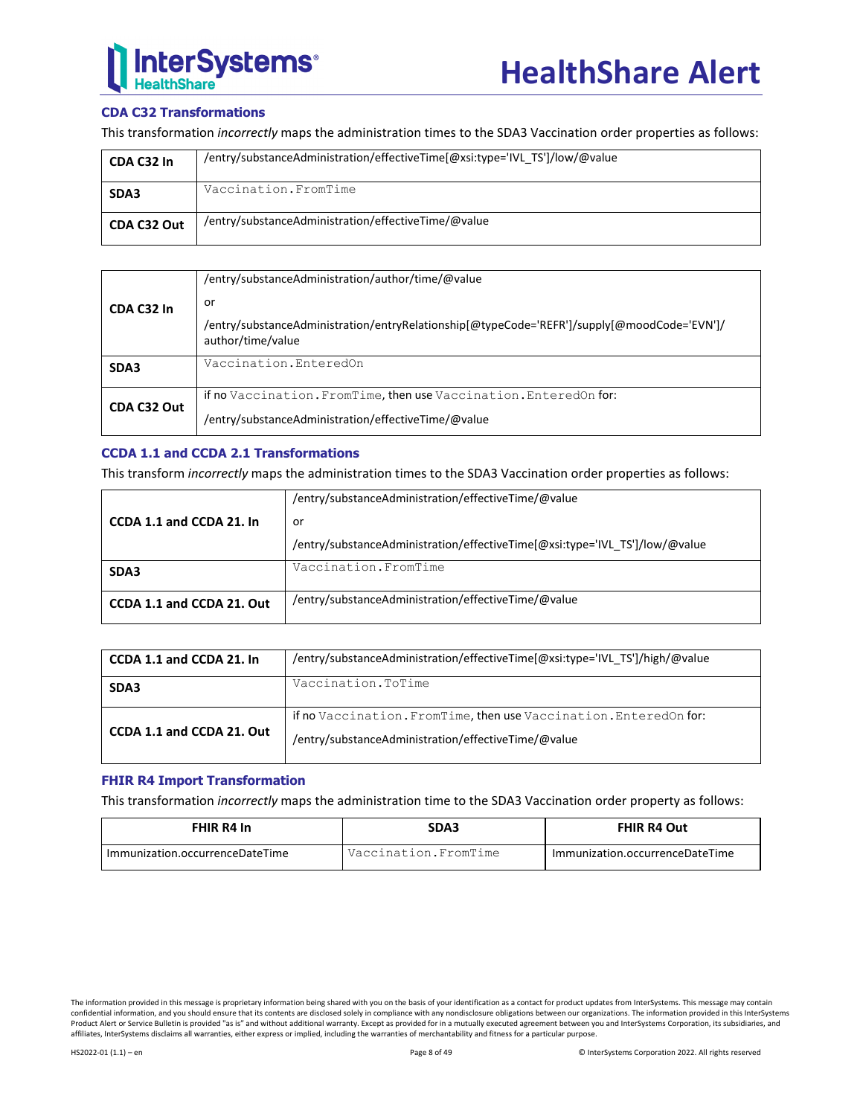

## **CDA C32 Transformations**

This transformation *incorrectly* maps the administration times to the SDA3 Vaccination order properties as follows:

| CDA C32 In  | /entry/substanceAdministration/effectiveTime[@xsi:type='IVL_TS']/low/@value |
|-------------|-----------------------------------------------------------------------------|
| SDA3        | Vaccination. FromTime                                                       |
| CDA C32 Out | /entry/substanceAdministration/effectiveTime/@value                         |

|             | /entry/substanceAdministration/author/time/@value                                                                |
|-------------|------------------------------------------------------------------------------------------------------------------|
| CDA C32 In  | or                                                                                                               |
|             | /entry/substanceAdministration/entryRelationship[@typeCode='REFR']/supply[@moodCode='EVN']/<br>author/time/value |
| SDA3        | Vaccination.EnteredOn                                                                                            |
| CDA C32 Out | if no Vaccination. From Time, then use Vaccination. Entered On for:                                              |
|             | /entry/substanceAdministration/effectiveTime/@value                                                              |

## **CCDA 1.1 and CCDA 2.1 Transformations**

This transform *incorrectly* maps the administration times to the SDA3 Vaccination order properties as follows:

|                           | /entry/substanceAdministration/effectiveTime/@value                         |
|---------------------------|-----------------------------------------------------------------------------|
| CCDA 1.1 and CCDA 21. In  | or                                                                          |
|                           | /entry/substanceAdministration/effectiveTime[@xsi:type='IVL TS']/low/@value |
| SDA3                      | Vaccination. From Time                                                      |
| CCDA 1.1 and CCDA 21. Out | /entry/substanceAdministration/effectiveTime/@value                         |

| CCDA 1.1 and CCDA 21. In  | /entry/substanceAdministration/effectiveTime[@xsi:type='IVL_TS']/high/@value                                               |  |
|---------------------------|----------------------------------------------------------------------------------------------------------------------------|--|
| SDA3                      | Vaccination.ToTime                                                                                                         |  |
| CCDA 1.1 and CCDA 21. Out | if no Vaccination. From Time, then use Vaccination. Entered On for:<br>/entry/substanceAdministration/effectiveTime/@value |  |

## **FHIR R4 Import Transformation**

This transformation *incorrectly* maps the administration time to the SDA3 Vaccination order property as follows:

| FHIR R4 In                      | SDA3                 | <b>FHIR R4 Out</b>              |
|---------------------------------|----------------------|---------------------------------|
| Immunization.occurrenceDateTime | Vaccination.FromTime | Immunization.occurrenceDateTime |

The information provided in this message is proprietary information being shared with you on the basis of your identification as a contact for product updates from InterSystems. This message may contain confidential information, and you should ensure that its contents are disclosed solely in compliance with any nondisclosure obligations between our organizations. The information provided in this InterSystems Product Alert or Service Bulletin is provided "as is" and without additional warranty. Except as provided for in a mutually executed agreement between you and InterSystems Corporation, its subsidiaries, and affiliates, InterSystems disclaims all warranties, either express or implied, including the warranties of merchantability and fitness for a particular purpose.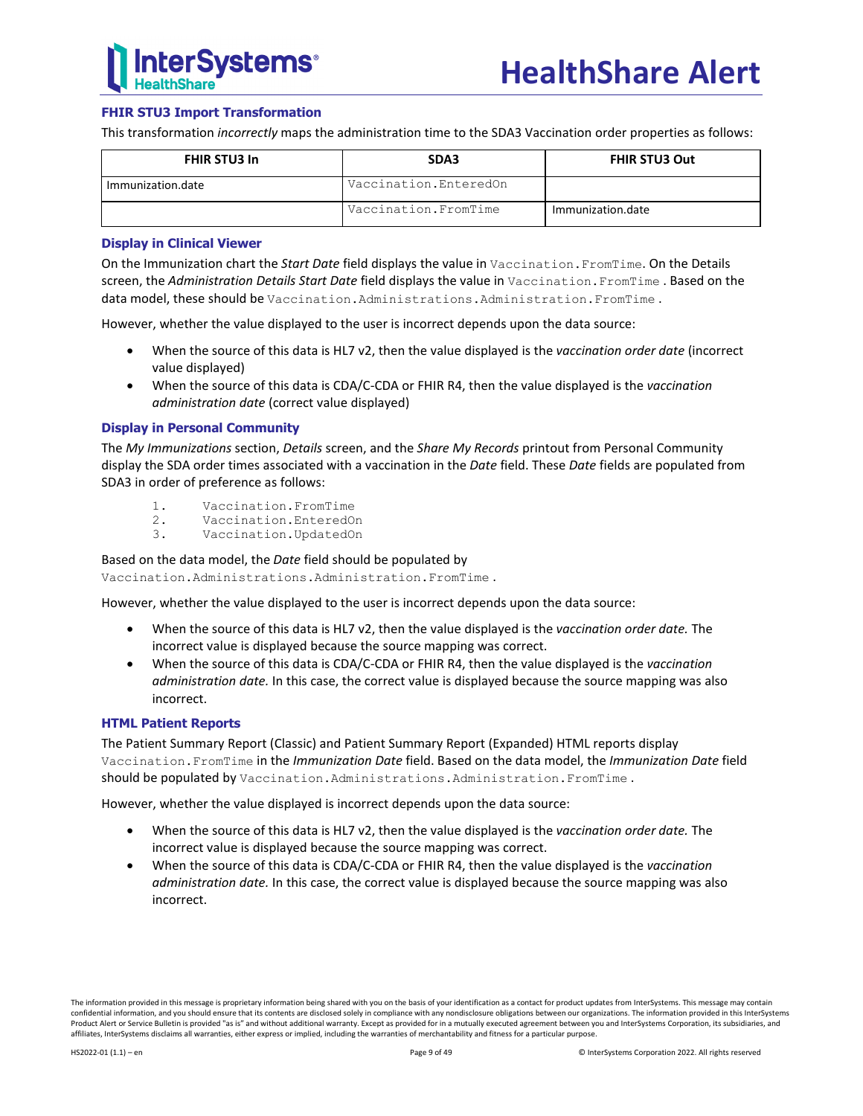

## **FHIR STU3 Import Transformation**

This transformation *incorrectly* maps the administration time to the SDA3 Vaccination order properties as follows:

| <b>FHIR STU3 In</b> | SDA3                   | <b>FHIR STU3 Out</b> |  |
|---------------------|------------------------|----------------------|--|
| Immunization.date   | Vaccination.EnteredOn  |                      |  |
|                     | Vaccination. From Time | Immunization.date    |  |

#### **Display in Clinical Viewer**

On the Immunization chart the *Start Date* field displays the value in Vaccination.FromTime. On the Details screen, the *Administration Details Start Date* field displays the value in Vaccination.FromTime . Based on the data model, these should be Vaccination.Administrations.Administration.FromTime.

However, whether the value displayed to the user is incorrect depends upon the data source:

- When the source of this data is HL7 v2, then the value displayed is the *vaccination order date* (incorrect value displayed)
- When the source of this data is CDA/C-CDA or FHIR R4, then the value displayed is the *vaccination administration date* (correct value displayed)

#### **Display in Personal Community**

The *My Immunizations* section, *Details* screen, and the *Share My Records* printout from Personal Community display the SDA order times associated with a vaccination in the *Date* field. These *Date* fields are populated from SDA3 in order of preference as follows:

- 1. Vaccination.FromTime<br>2. Vaccination.Entered0
- 2. Vaccination.EnteredOn<br>3. Vaccination.UpdatedOn
- Vaccination.UpdatedOn

#### Based on the data model, the *Date* field should be populated by

Vaccination.Administrations.Administration.FromTime .

However, whether the value displayed to the user is incorrect depends upon the data source:

- When the source of this data is HL7 v2, then the value displayed is the *vaccination order date.* The incorrect value is displayed because the source mapping was correct.
- When the source of this data is CDA/C-CDA or FHIR R4, then the value displayed is the *vaccination administration date.* In this case, the correct value is displayed because the source mapping was also incorrect.

#### **HTML Patient Reports**

The Patient Summary Report (Classic) and Patient Summary Report (Expanded) HTML reports display Vaccination.FromTime in the *Immunization Date* field. Based on the data model, the *Immunization Date* field should be populated by Vaccination.Administrations.Administration.FromTime.

However, whether the value displayed is incorrect depends upon the data source:

- When the source of this data is HL7 v2, then the value displayed is the *vaccination order date.* The incorrect value is displayed because the source mapping was correct.
- When the source of this data is CDA/C-CDA or FHIR R4, then the value displayed is the *vaccination administration date.* In this case, the correct value is displayed because the source mapping was also incorrect.

The information provided in this message is proprietary information being shared with you on the basis of your identification as a contact for product updates from InterSystems. This message may contain confidential information, and you should ensure that its contents are disclosed solely in compliance with any nondisclosure obligations between our organizations. The information provided in this InterSystems Product Alert or Service Bulletin is provided "as is" and without additional warranty. Except as provided for in a mutually executed agreement between you and InterSystems Corporation, its subsidiaries, and affiliates, InterSystems disclaims all warranties, either express or implied, including the warranties of merchantability and fitness for a particular purpose.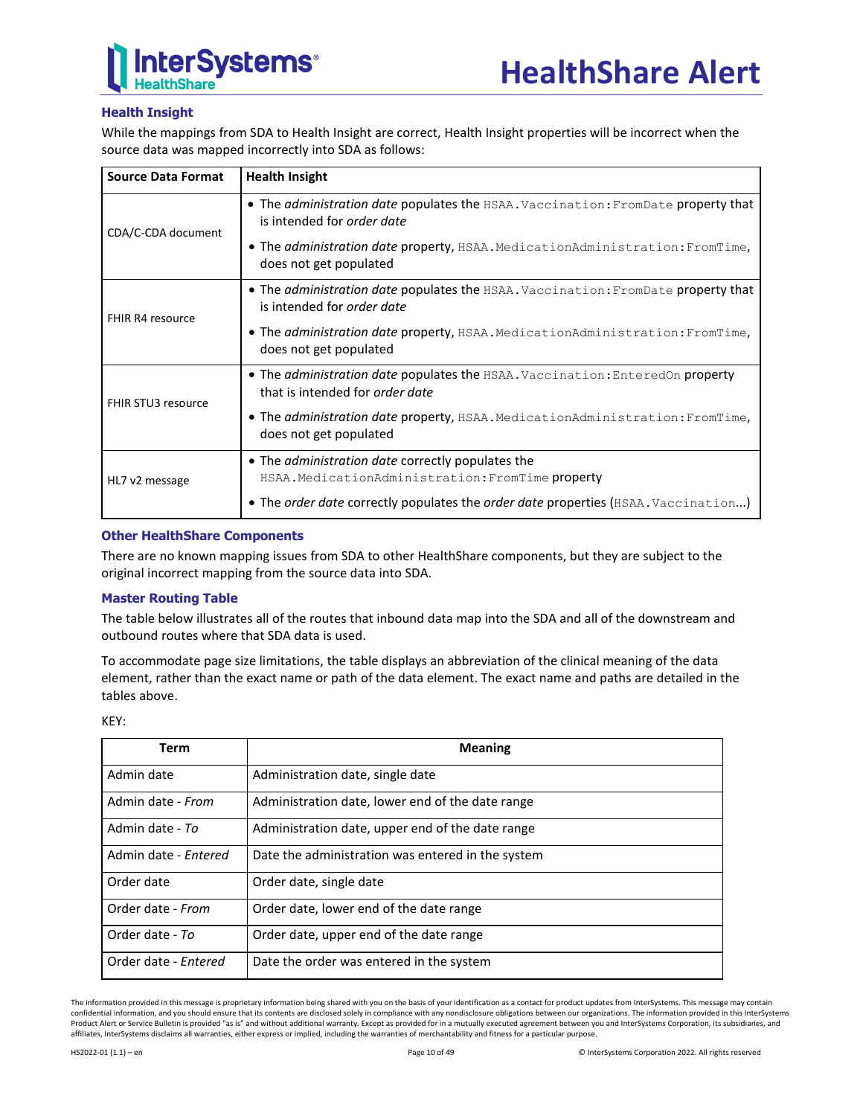

## **Health Insight**

While the mappings from SDA to Health Insight are correct, Health Insight properties will be incorrect when the source data was mapped incorrectly into SDA as follows:

| <b>Source Data Format</b> | <b>Health Insight</b>                                                                                                          |
|---------------------------|--------------------------------------------------------------------------------------------------------------------------------|
| CDA/C-CDA document        | . The administration date populates the HSAA. Vaccination: FromDate property that<br>is intended for <i>order date</i>         |
|                           | • The <i>administration date</i> property, HSAA. MedicationAdministration: FromTime,<br>does not get populated                 |
| FHIR R4 resource          | • The <i>administration date</i> populates the HSAA. Vaccination: FromDate property that<br>is intended for <i>order date</i>  |
|                           | • The <i>administration date</i> property, HSAA. MedicationAdministration: FromTime,<br>does not get populated                 |
| <b>FHIR STU3 resource</b> | • The <i>administration date</i> populates the HSAA. Vaccination: EnteredOn property<br>that is intended for <i>order date</i> |
|                           | • The <i>administration date</i> property, HSAA. MedicationAdministration: FromTime,<br>does not get populated                 |
|                           | • The <i>administration date</i> correctly populates the                                                                       |
| HL7 v2 message            | HSAA.MedicationAdministration: FromTime property                                                                               |
|                           | • The order date correctly populates the order date properties (HSAA. Vaccination)                                             |

## **Other HealthShare Components**

There are no known mapping issues from SDA to other HealthShare components, but they are subject to the original incorrect mapping from the source data into SDA.

## **Master Routing Table**

The table below illustrates all of the routes that inbound data map into the SDA and all of the downstream and outbound routes where that SDA data is used.

To accommodate page size limitations, the table displays an abbreviation of the clinical meaning of the data element, rather than the exact name or path of the data element. The exact name and paths are detailed in the tables above.

| -- |  |
|----|--|
|    |  |

| Term                 | <b>Meaning</b>                                    |
|----------------------|---------------------------------------------------|
| Admin date           | Administration date, single date                  |
| Admin date - From    | Administration date, lower end of the date range  |
| Admin date - To      | Administration date, upper end of the date range  |
| Admin date - Entered | Date the administration was entered in the system |
| Order date           | Order date, single date                           |
| Order date - From    | Order date, lower end of the date range           |
| Order date - To      | Order date, upper end of the date range           |
| Order date - Entered | Date the order was entered in the system          |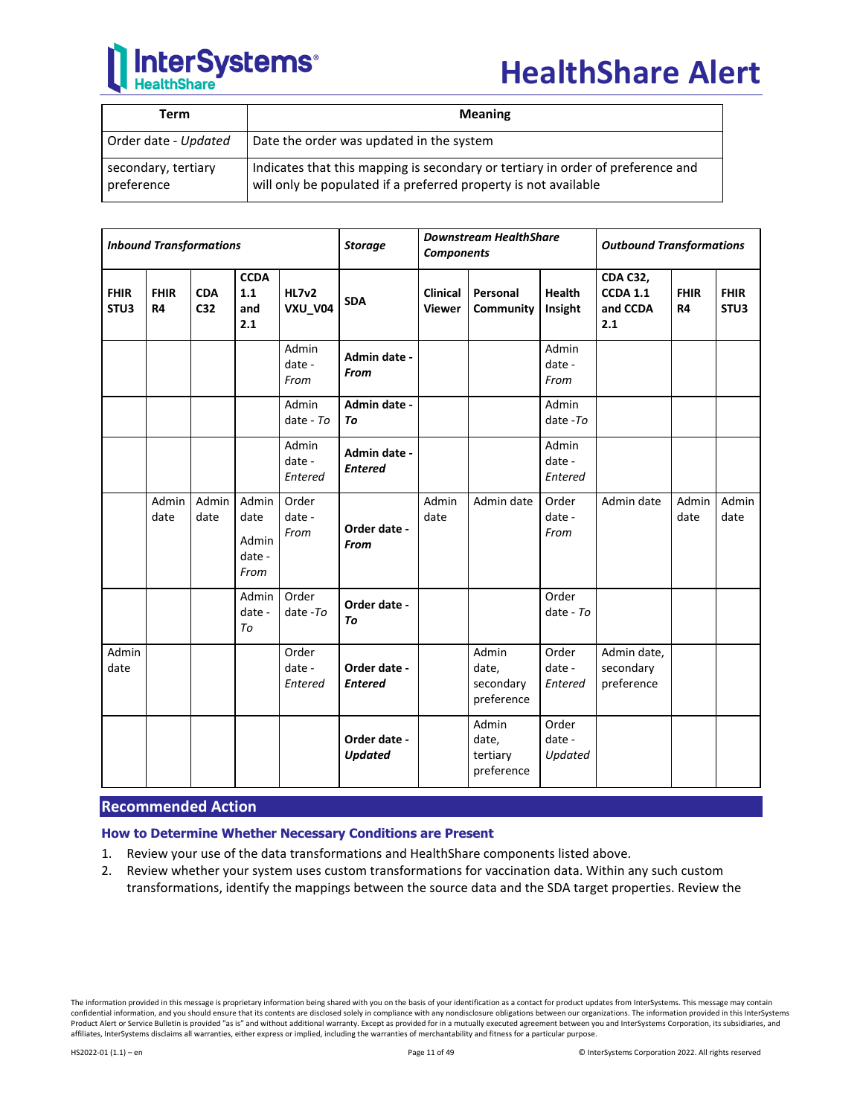

## **HealthShare Alert**

| Term                              | <b>Meaning</b>                                                                                                                                     |
|-----------------------------------|----------------------------------------------------------------------------------------------------------------------------------------------------|
| Order date - Updated              | Date the order was updated in the system                                                                                                           |
| secondary, tertiary<br>preference | Indicates that this mapping is secondary or tertiary in order of preference and<br>will only be populated if a preferred property is not available |

| <b>Inbound Transformations</b> |                          |                   | <b>Storage</b>                           | <b>Downstream HealthShare</b><br><b>Components</b> |                                | <b>Outbound Transformations</b> |                                           |                            |                                                       |                          |                     |
|--------------------------------|--------------------------|-------------------|------------------------------------------|----------------------------------------------------|--------------------------------|---------------------------------|-------------------------------------------|----------------------------|-------------------------------------------------------|--------------------------|---------------------|
| <b>FHIR</b><br>STU3            | <b>FHIR</b><br><b>R4</b> | <b>CDA</b><br>C32 | <b>CCDA</b><br>1.1<br>and<br>2.1         | <b>HL7v2</b><br><b>VXU_V04</b>                     | <b>SDA</b>                     | Clinical<br><b>Viewer</b>       | Personal<br>Community                     | <b>Health</b><br>Insight   | <b>CDA C32,</b><br><b>CCDA 1.1</b><br>and CCDA<br>2.1 | <b>FHIR</b><br><b>R4</b> | <b>FHIR</b><br>STU3 |
|                                |                          |                   |                                          | Admin<br>date -<br>From                            | Admin date -<br>From           |                                 |                                           | Admin<br>date -<br>From    |                                                       |                          |                     |
|                                |                          |                   |                                          | Admin<br>date - $To$                               | Admin date -<br>To             |                                 |                                           | Admin<br>date-To           |                                                       |                          |                     |
|                                |                          |                   |                                          | Admin<br>date -<br>Entered                         | Admin date -<br><b>Entered</b> |                                 |                                           | Admin<br>date -<br>Entered |                                                       |                          |                     |
|                                | Admin<br>date            | Admin<br>date     | Admin<br>date<br>Admin<br>date -<br>From | Order<br>date -<br>From                            | Order date -<br><b>From</b>    | Admin<br>date                   | Admin date                                | Order<br>date -<br>From    | Admin date                                            | Admin<br>date            | Admin<br>date       |
|                                |                          |                   | Admin<br>date -<br>To                    | Order<br>date $-To$                                | Order date -<br>To             |                                 |                                           | Order<br>date - $To$       |                                                       |                          |                     |
| Admin<br>date                  |                          |                   |                                          | Order<br>date -<br>Entered                         | Order date -<br><b>Entered</b> |                                 | Admin<br>date,<br>secondary<br>preference | Order<br>date -<br>Entered | Admin date,<br>secondary<br>preference                |                          |                     |
|                                |                          |                   |                                          |                                                    | Order date -<br><b>Updated</b> |                                 | Admin<br>date,<br>tertiary<br>preference  | Order<br>date -<br>Updated |                                                       |                          |                     |

## **Recommended Action**

**How to Determine Whether Necessary Conditions are Present**

- 1. Review your use of the data transformations and HealthShare components listed above.
- 2. Review whether your system uses custom transformations for vaccination data. Within any such custom transformations, identify the mappings between the source data and the SDA target properties. Review the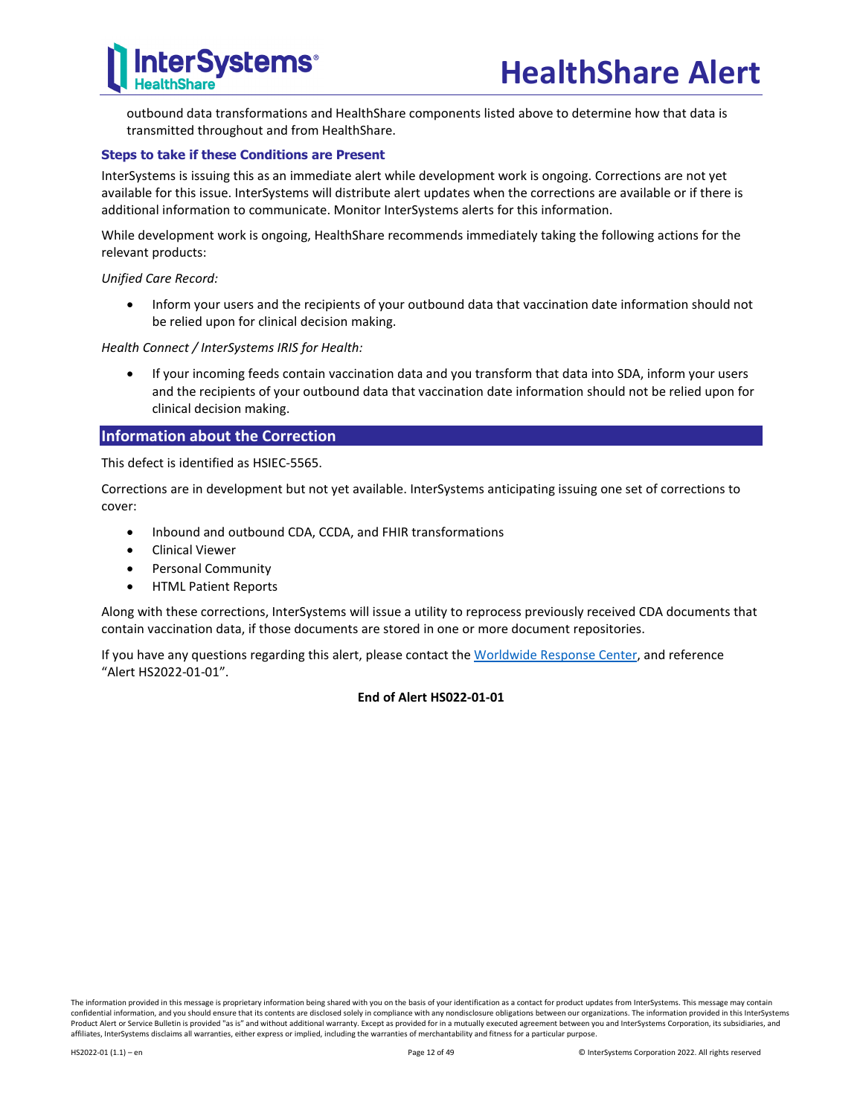

outbound data transformations and HealthShare components listed above to determine how that data is transmitted throughout and from HealthShare.

## **Steps to take if these Conditions are Present**

InterSystems is issuing this as an immediate alert while development work is ongoing. Corrections are not yet available for this issue. InterSystems will distribute alert updates when the corrections are available or if there is additional information to communicate. Monitor InterSystems alerts for this information.

While development work is ongoing, HealthShare recommends immediately taking the following actions for the relevant products:

*Unified Care Record:*

• Inform your users and the recipients of your outbound data that vaccination date information should not be relied upon for clinical decision making.

*Health Connect / InterSystems IRIS for Health:*

• If your incoming feeds contain vaccination data and you transform that data into SDA, inform your users and the recipients of your outbound data that vaccination date information should not be relied upon for clinical decision making.

## **Information about the Correction**

This defect is identified as HSIEC-5565.

Corrections are in development but not yet available. InterSystems anticipating issuing one set of corrections to cover:

- Inbound and outbound CDA, CCDA, and FHIR transformations
- Clinical Viewer
- Personal Community
- HTML Patient Reports

Along with these corrections, InterSystems will issue a utility to reprocess previously received CDA documents that contain vaccination data, if those documents are stored in one or more document repositories.

If you have any questions regarding this alert, please contact th[e Worldwide Response Center,](mailto:support@intersystems.com?subject=HealthShare%20Alert%20HS2022-01-01) and reference "Alert HS2022-01-01".

#### **End of Alert HS022-01-01**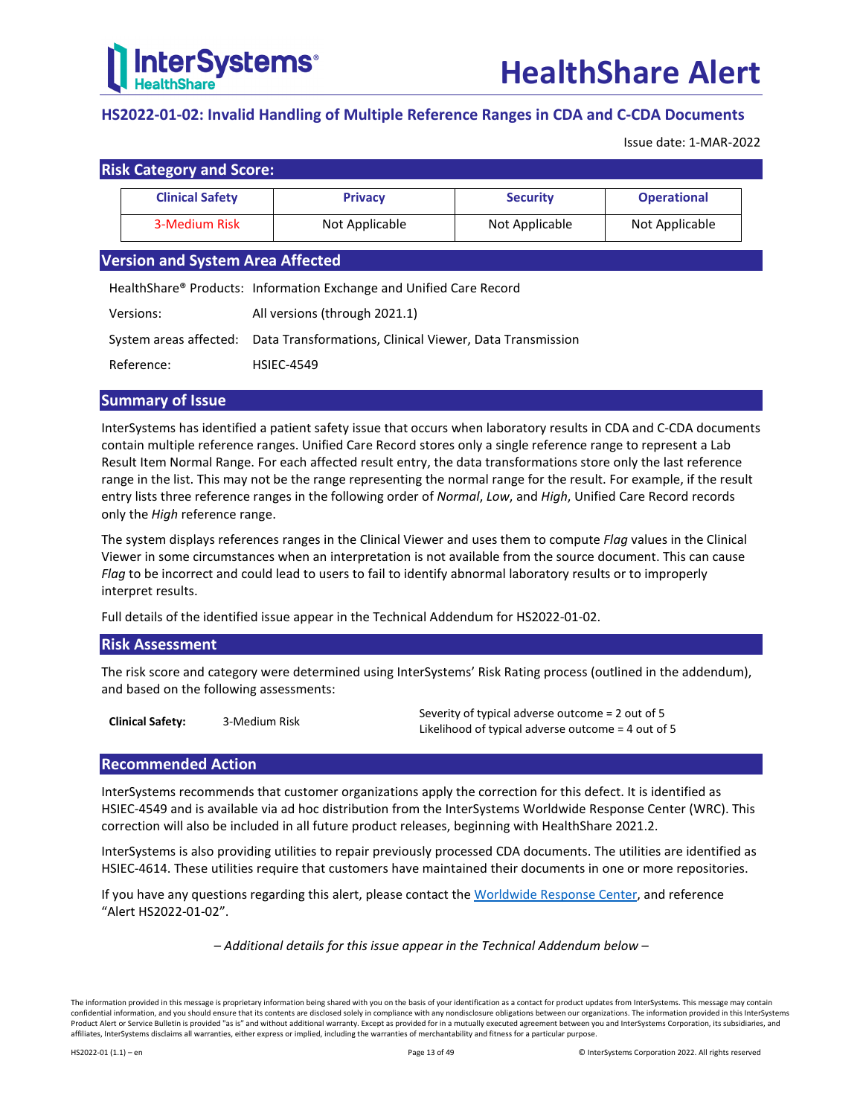

## <span id="page-12-0"></span>**HS2022-01-02: Invalid Handling of Multiple Reference Ranges in CDA and C-CDA Documents**

Issue date: 1-MAR-2022

|               | <b>Risk Category and Score:</b>         |                                                                                 |                 |                    |  |  |  |  |  |
|---------------|-----------------------------------------|---------------------------------------------------------------------------------|-----------------|--------------------|--|--|--|--|--|
|               | <b>Clinical Safety</b>                  | <b>Privacy</b>                                                                  | <b>Security</b> | <b>Operational</b> |  |  |  |  |  |
| 3-Medium Risk |                                         | Not Applicable                                                                  | Not Applicable  | Not Applicable     |  |  |  |  |  |
|               | <b>Version and System Area Affected</b> |                                                                                 |                 |                    |  |  |  |  |  |
|               |                                         | HealthShare <sup>®</sup> Products: Information Exchange and Unified Care Record |                 |                    |  |  |  |  |  |
|               | Versions:                               | All versions (through 2021.1)                                                   |                 |                    |  |  |  |  |  |
|               | System areas affected:                  | Data Transformations, Clinical Viewer, Data Transmission                        |                 |                    |  |  |  |  |  |
|               | Reference:                              | <b>HSIFC-4549</b>                                                               |                 |                    |  |  |  |  |  |

## **Summary of Issue**

InterSystems has identified a patient safety issue that occurs when laboratory results in CDA and C-CDA documents contain multiple reference ranges. Unified Care Record stores only a single reference range to represent a Lab Result Item Normal Range. For each affected result entry, the data transformations store only the last reference range in the list. This may not be the range representing the normal range for the result. For example, if the result entry lists three reference ranges in the following order of *Normal*, *Low*, and *High*, Unified Care Record records only the *High* reference range.

The system displays references ranges in the Clinical Viewer and uses them to compute *Flag* values in the Clinical Viewer in some circumstances when an interpretation is not available from the source document. This can cause *Flag* to be incorrect and could lead to users to fail to identify abnormal laboratory results or to improperly interpret results.

Full details of the identified issue appear in the [Technical Addendum for HS2022-01-02.](#page-13-0)

## **Risk Assessment**

The risk score and category were determined using InterSystems' Risk Rating process (outlined in the addendum), and based on the following assessments:

**Clinical Safety:** 3-Medium Risk Severity of typical adverse outcome = 2 out of 5 Likelihood of typical adverse outcome = 4 out of 5

## **Recommended Action**

InterSystems recommends that customer organizations apply the correction for this defect. It is identified as HSIEC-4549 and is available via ad hoc distribution from the InterSystems Worldwide Response Center (WRC). This correction will also be included in all future product releases, beginning with HealthShare 2021.2.

InterSystems is also providing utilities to repair previously processed CDA documents. The utilities are identified as HSIEC-4614. These utilities require that customers have maintained their documents in one or more repositories.

If you have any questions regarding this alert, please contact th[e Worldwide Response Center,](mailto:support@intersystems.com?subject=HealthShare%20Alert%20HS2022-01-02) and reference "Alert HS2022-01-02".

*– Additional details for this issue appear in the Technical Addendum below –*

The information provided in this message is proprietary information being shared with you on the basis of your identification as a contact for product updates from InterSystems. This message may contain confidential information, and you should ensure that its contents are disclosed solely in compliance with any nondisclosure obligations between our organizations. The information provided in this InterSystems Product Alert or Service Bulletin is provided "as is" and without additional warranty. Except as provided for in a mutually executed agreement between you and InterSystems Corporation, its subsidiaries, and affiliates, InterSystems disclaims all warranties, either express or implied, including the warranties of merchantability and fitness for a particular purpose.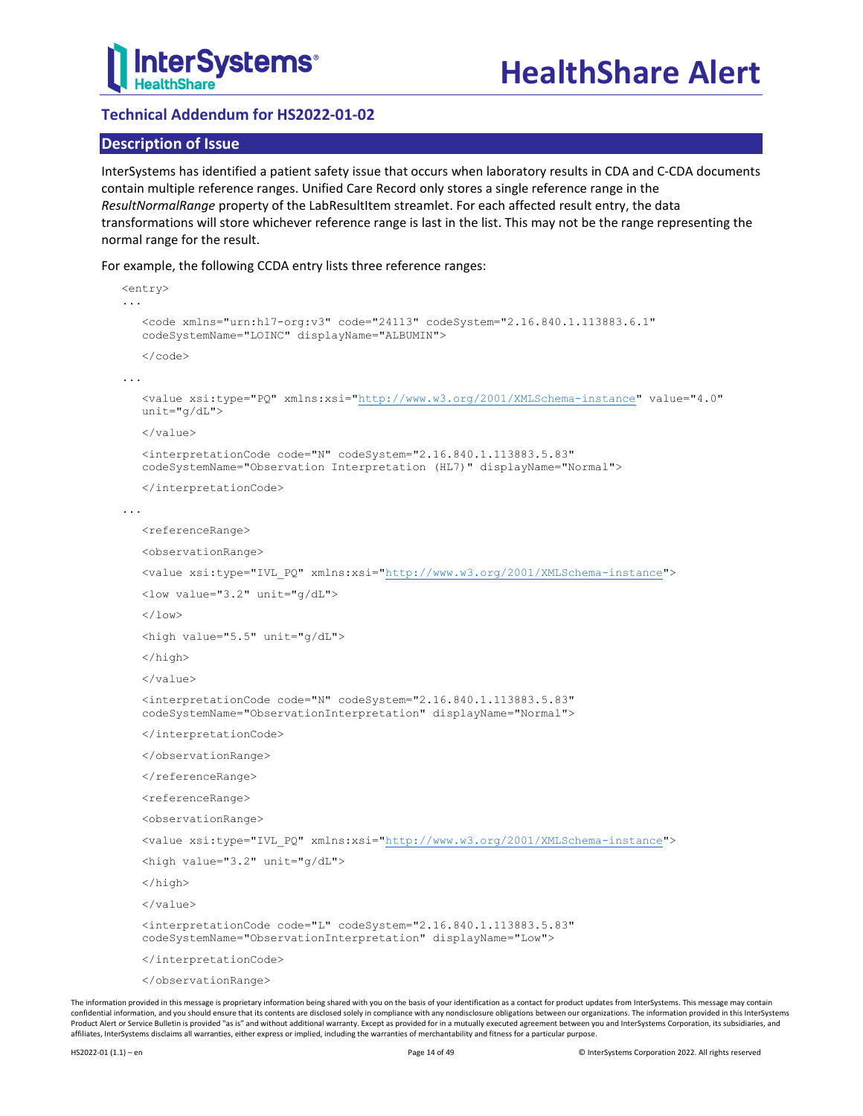

## <span id="page-13-0"></span>**Technical Addendum for HS2022-01-02**

## **Description of Issue**

InterSystems has identified a patient safety issue that occurs when laboratory results in CDA and C-CDA documents contain multiple reference ranges. Unified Care Record only stores a single reference range in the *ResultNormalRange* property of the LabResultItem streamlet. For each affected result entry, the data transformations will store whichever reference range is last in the list. This may not be the range representing the normal range for the result.

For example, the following CCDA entry lists three reference ranges:

```
<entry>
...
  <code xmlns="urn:hl7-org:v3" code="24113" codeSystem="2.16.840.1.113883.6.1"
  codeSystemName="LOINC" displayName="ALBUMIN">
   \langle/code>
...
  <value xsi:type="PQ" xmlns:xsi="http://www.w3.org/2001/XMLSchema-instance" value="4.0"
  unit="g/dL">
  </value>
   <interpretationCode code="N" codeSystem="2.16.840.1.113883.5.83"
  codeSystemName="Observation Interpretation (HL7)" displayName="Normal">
  </interpretationCode>
...
  <referenceRange>
  <observationRange>
   <value xsi:type="IVL_PQ" xmlns:xsi="http://www.w3.org/2001/XMLSchema-instance">
  <low value="3.2" unit="g/dL">
  \langle/low>
  <high value="5.5" unit="g/dL">
  </high>
  </value>
  <interpretationCode code="N" codeSystem="2.16.840.1.113883.5.83"
   codeSystemName="ObservationInterpretation" displayName="Normal">
  </interpretationCode>
   </observationRange>
  </referenceRange>
  <referenceRange>
  <observationRange>
   <value xsi:type="IVL_PQ" xmlns:xsi="http://www.w3.org/2001/XMLSchema-instance">
   <high value="3.2" unit="g/dL">
  </high>
  \langle/value>
  <interpretationCode code="L" codeSystem="2.16.840.1.113883.5.83"
  codeSystemName="ObservationInterpretation" displayName="Low">
   </interpretationCode>
  </observationRange>
```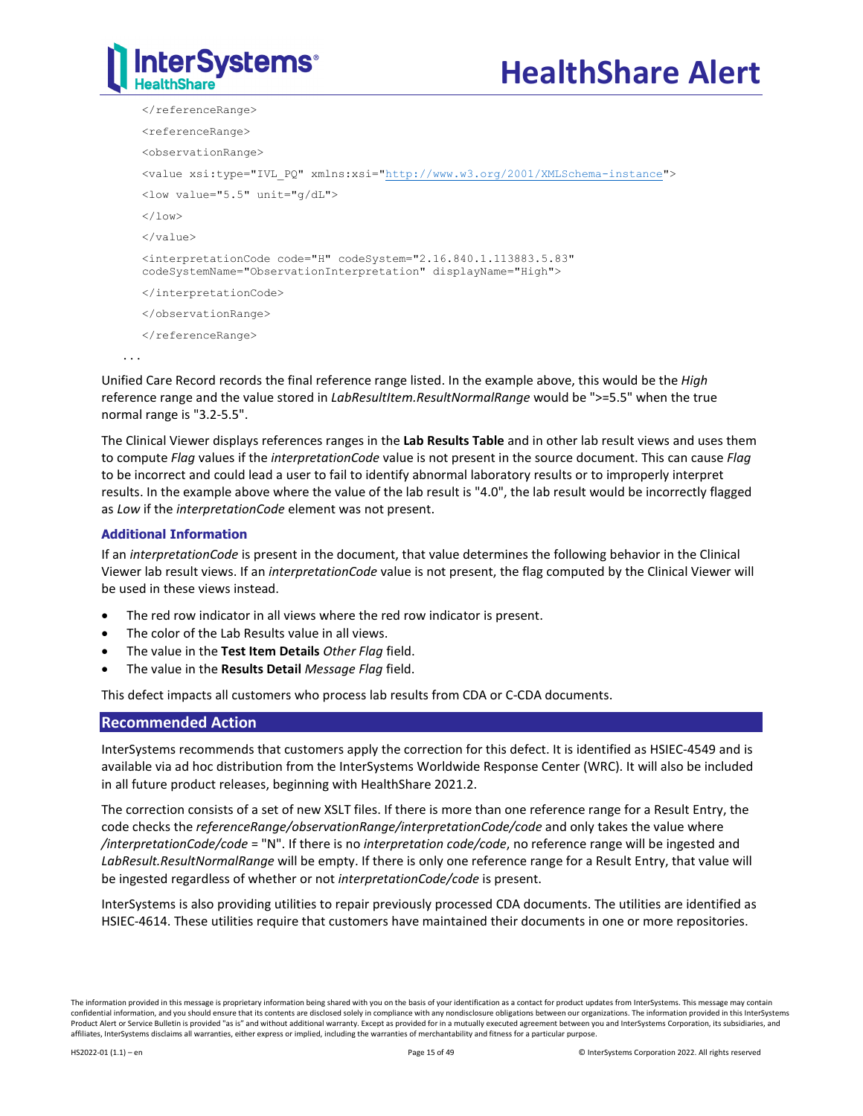

</referenceRange> <referenceRange> <observationRange> <value xsi:type="IVL\_PQ" xmlns:xsi=["http://www.w3.org/2001/XMLSchema-instance"](http://www.w3.org/2001/XMLSchema-instance)> <low value="5.5" unit="g/dL">  $\langle$ /low> </value> <interpretationCode code="H" codeSystem="2.16.840.1.113883.5.83" codeSystemName="ObservationInterpretation" displayName="High"> </interpretationCode> </observationRange> </referenceRange> ...

Unified Care Record records the final reference range listed. In the example above, this would be the *High* reference range and the value stored in *LabResultItem.ResultNormalRange* would be ">=5.5" when the true normal range is "3.2-5.5".

The Clinical Viewer displays references ranges in the **Lab Results Table** and in other lab result views and uses them to compute *Flag* values if the *interpretationCode* value is not present in the source document. This can cause *Flag* to be incorrect and could lead a user to fail to identify abnormal laboratory results or to improperly interpret results. In the example above where the value of the lab result is "4.0", the lab result would be incorrectly flagged as *Low* if the *interpretationCode* element was not present.

## **Additional Information**

If an *interpretationCode* is present in the document, that value determines the following behavior in the Clinical Viewer lab result views. If an *interpretationCode* value is not present, the flag computed by the Clinical Viewer will be used in these views instead.

- The red row indicator in all views where the red row indicator is present.
- The color of the Lab Results value in all views.
- The value in the **Test Item Details** *Other Flag* field.
- The value in the **Results Detail** *Message Flag* field.

This defect impacts all customers who process lab results from CDA or C-CDA documents.

## **Recommended Action**

InterSystems recommends that customers apply the correction for this defect. It is identified as HSIEC-4549 and is available via ad hoc distribution from the InterSystems Worldwide Response Center (WRC). It will also be included in all future product releases, beginning with HealthShare 2021.2.

The correction consists of a set of new XSLT files. If there is more than one reference range for a Result Entry, the code checks the *referenceRange/observationRange/interpretationCode/code* and only takes the value where */interpretationCode/code* = "N". If there is no *interpretation code/code*, no reference range will be ingested and *LabResult.ResultNormalRange* will be empty. If there is only one reference range for a Result Entry, that value will be ingested regardless of whether or not *interpretationCode/code* is present.

InterSystems is also providing utilities to repair previously processed CDA documents. The utilities are identified as HSIEC-4614. These utilities require that customers have maintained their documents in one or more repositories.

The information provided in this message is proprietary information being shared with you on the basis of your identification as a contact for product updates from InterSystems. This message may contain confidential information, and you should ensure that its contents are disclosed solely in compliance with any nondisclosure obligations between our organizations. The information provided in this InterSystems Product Alert or Service Bulletin is provided "as is" and without additional warranty. Except as provided for in a mutually executed agreement between you and InterSystems Corporation, its subsidiaries, and affiliates, InterSystems disclaims all warranties, either express or implied, including the warranties of merchantability and fitness for a particular purpose.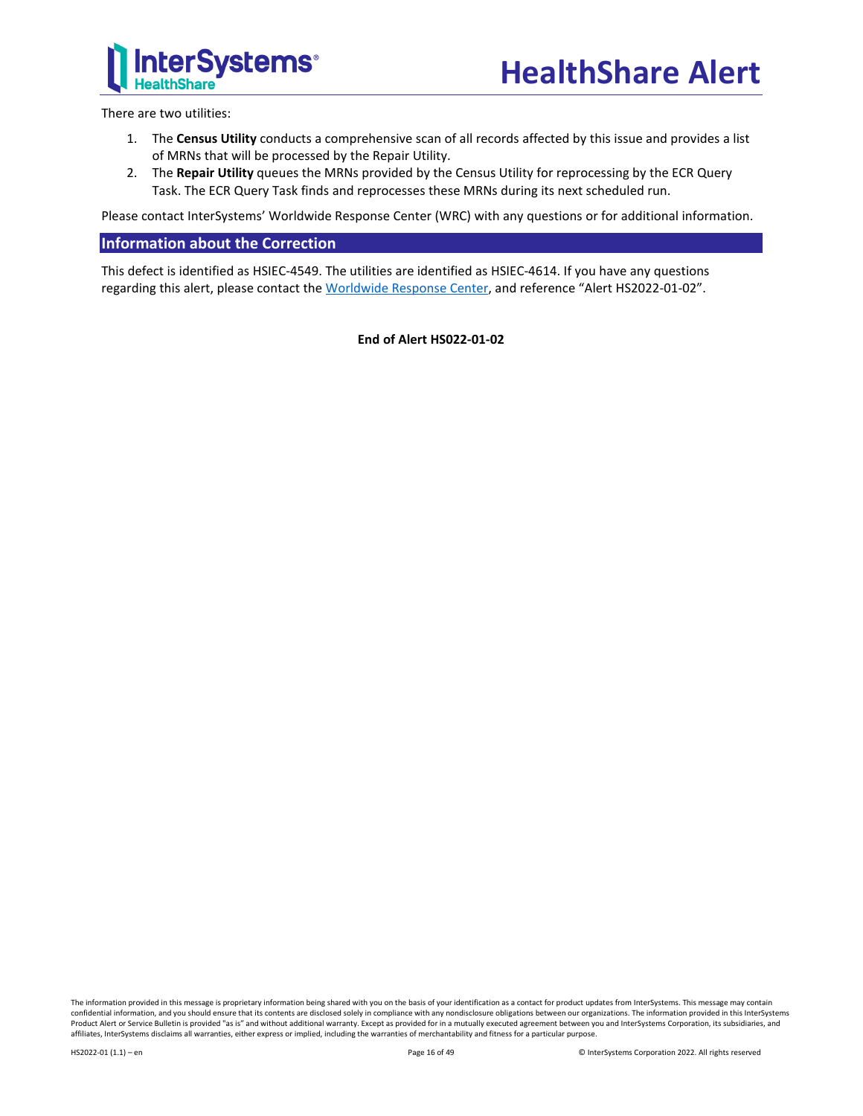

There are two utilities:

- 1. The **Census Utility** conducts a comprehensive scan of all records affected by this issue and provides a list of MRNs that will be processed by the Repair Utility.
- 2. The **Repair Utility** queues the MRNs provided by the Census Utility for reprocessing by the ECR Query Task. The ECR Query Task finds and reprocesses these MRNs during its next scheduled run.

Please contact InterSystems' Worldwide Response Center (WRC) with any questions or for additional information.

## **Information about the Correction**

This defect is identified as HSIEC-4549. The utilities are identified as HSIEC-4614. If you have any questions regarding this alert, please contact the [Worldwide Response Center,](mailto:support@intersystems.com?subject=HealthShare%20Alert%20HS2022-01-02) and reference "Alert HS2022-01-02".

**End of Alert HS022-01-02**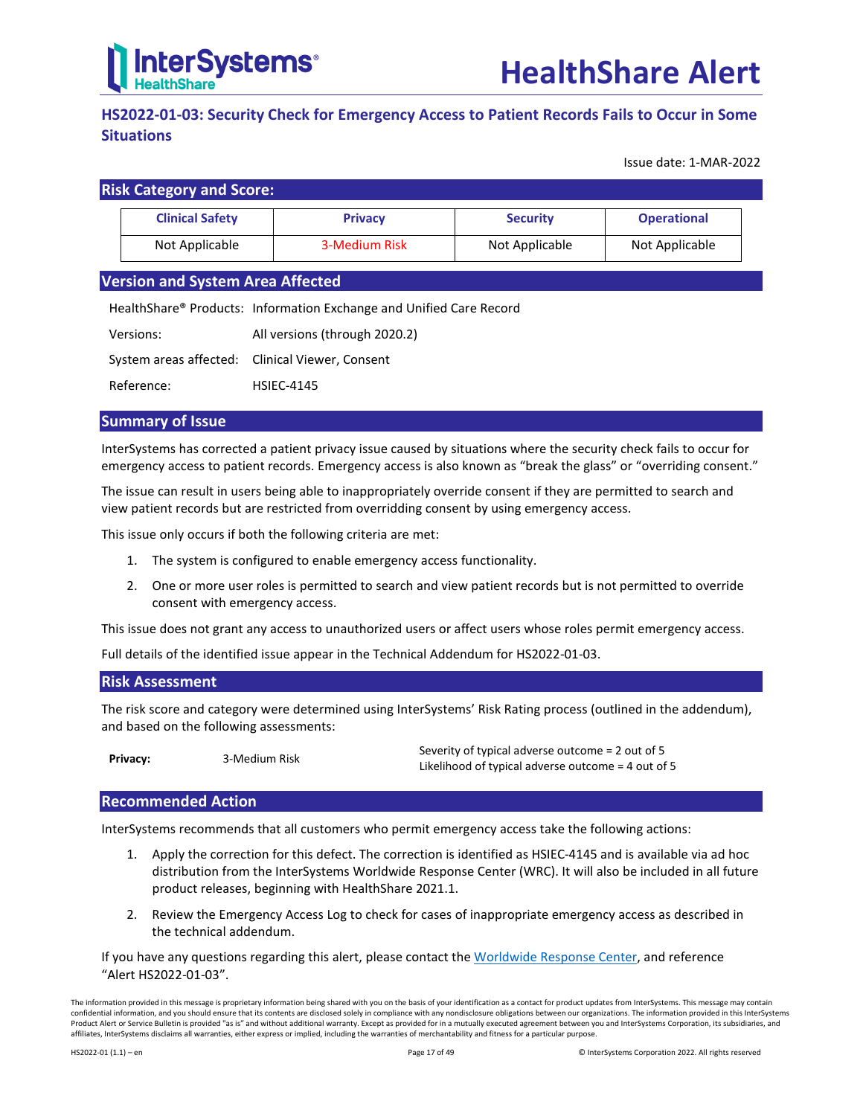

## <span id="page-16-0"></span>**HS2022-01-03: Security Check for Emergency Access to Patient Records Fails to Occur in Some Situations**

Issue date: 1-MAR-2022

| <b>Risk Category and Score:</b> |                |                 |                    |  |  |  |
|---------------------------------|----------------|-----------------|--------------------|--|--|--|
| <b>Clinical Safety</b>          | <b>Privacy</b> | <b>Security</b> | <b>Operational</b> |  |  |  |
| Not Applicable                  | 3-Medium Risk  | Not Applicable  | Not Applicable     |  |  |  |

## **Version and System Area Affected**

HealthShare® Products: Information Exchange and Unified Care Record

| Versions:  | All versions (through 2020.2)                   |
|------------|-------------------------------------------------|
|            | System areas affected: Clinical Viewer, Consent |
| Reference: | <b>HSIEC-4145</b>                               |

## **Summary of Issue**

InterSystems has corrected a patient privacy issue caused by situations where the security check fails to occur for emergency access to patient records. Emergency access is also known as "break the glass" or "overriding consent."

The issue can result in users being able to inappropriately override consent if they are permitted to search and view patient records but are restricted from overridding consent by using emergency access.

This issue only occurs if both the following criteria are met:

- 1. The system is configured to enable emergency access functionality.
- 2. One or more user roles is permitted to search and view patient records but is not permitted to override consent with emergency access.

This issue does not grant any access to unauthorized users or affect users whose roles permit emergency access.

Full details of the identified issue appear in the [Technical Addendum for HS2022-01-03.](#page-17-0)

## **Risk Assessment**

The risk score and category were determined using InterSystems' Risk Rating process (outlined in the addendum), and based on the following assessments:

**Privacy:** 3-Medium Risk Severity of typical adverse outcome = 2 out of 5 Likelihood of typical adverse outcome = 4 out of 5

## **Recommended Action**

InterSystems recommends that all customers who permit emergency access take the following actions:

- 1. Apply the correction for this defect. The correction is identified as HSIEC-4145 and is available via ad hoc distribution from the InterSystems Worldwide Response Center (WRC). It will also be included in all future product releases, beginning with HealthShare 2021.1.
- 2. Review the Emergency Access Log to check for cases of inappropriate emergency access as described in the technical addendum.

If you have any questions regarding this alert, please contact th[e Worldwide Response Center,](mailto:support@intersystems.com?subject=HealthShare%20Alert%20HS2022-01-03) and reference "Alert HS2022-01-03".

The information provided in this message is proprietary information being shared with you on the basis of your identification as a contact for product updates from InterSystems. This message may contain confidential information, and you should ensure that its contents are disclosed solely in compliance with any nondisclosure obligations between our organizations. The information provided in this InterSystems Product Alert or Service Bulletin is provided "as is" and without additional warranty. Except as provided for in a mutually executed agreement between you and InterSystems Corporation, its subsidiaries, and affiliates, InterSystems disclaims all warranties, either express or implied, including the warranties of merchantability and fitness for a particular purpose.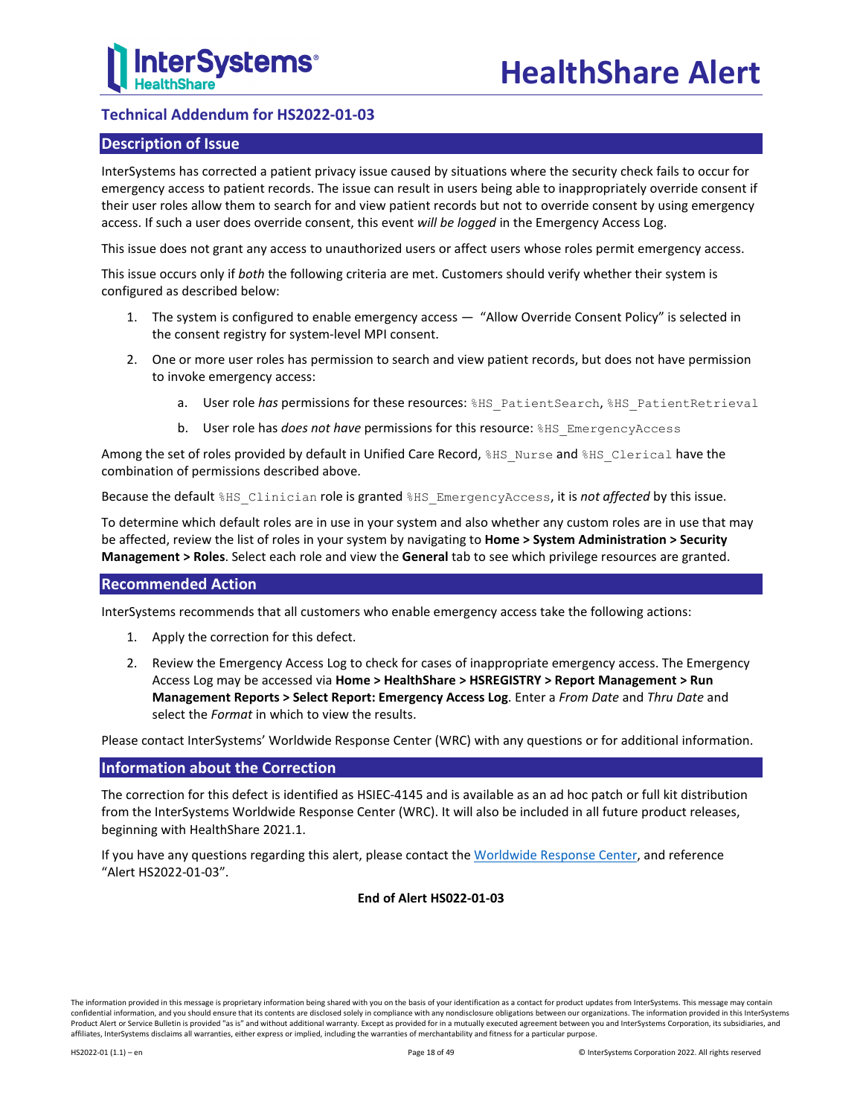## <span id="page-17-0"></span>**Technical Addendum for HS2022-01-03**

## **Description of Issue**

InterSystems has corrected a patient privacy issue caused by situations where the security check fails to occur for emergency access to patient records. The issue can result in users being able to inappropriately override consent if their user roles allow them to search for and view patient records but not to override consent by using emergency access. If such a user does override consent, this event *will be logged* in the Emergency Access Log.

This issue does not grant any access to unauthorized users or affect users whose roles permit emergency access.

This issue occurs only if *both* the following criteria are met. Customers should verify whether their system is configured as described below:

- 1. The system is configured to enable emergency access "Allow Override Consent Policy" is selected in the consent registry for system-level MPI consent.
- 2. One or more user roles has permission to search and view patient records, but does not have permission to invoke emergency access:
	- a. User role has permissions for these resources: %HS\_PatientSearch, %HS\_PatientRetrieval
	- b. User role has *does not have* permissions for this resource: %HS\_EmergencyAccess

Among the set of roles provided by default in Unified Care Record, \$HS\_Nurse and \$HS\_Clerical have the combination of permissions described above.

Because the default %HS\_Clinician role is granted %HS\_EmergencyAccess, it is *not affected* by this issue.

To determine which default roles are in use in your system and also whether any custom roles are in use that may be affected, review the list of roles in your system by navigating to **Home > System Administration > Security Management > Roles**. Select each role and view the **General** tab to see which privilege resources are granted.

## **Recommended Action**

InterSystems recommends that all customers who enable emergency access take the following actions:

- 1. Apply the correction for this defect.
- 2. Review the Emergency Access Log to check for cases of inappropriate emergency access. The Emergency Access Log may be accessed via **Home > HealthShare > HSREGISTRY > Report Management > Run Management Reports > Select Report: Emergency Access Log**. Enter a *From Date* and *Thru Date* and select the *Format* in which to view the results.

Please contact InterSystems' Worldwide Response Center (WRC) with any questions or for additional information.

## **Information about the Correction**

The correction for this defect is identified as HSIEC-4145 and is available as an ad hoc patch or full kit distribution from the InterSystems Worldwide Response Center (WRC). It will also be included in all future product releases, beginning with HealthShare 2021.1.

If you have any questions regarding this alert, please contact th[e Worldwide Response Center,](mailto:support@intersystems.com?subject=HealthShare%20Alert%20HS2022-01-03) and reference "Alert HS2022-01-03".

**End of Alert HS022-01-03**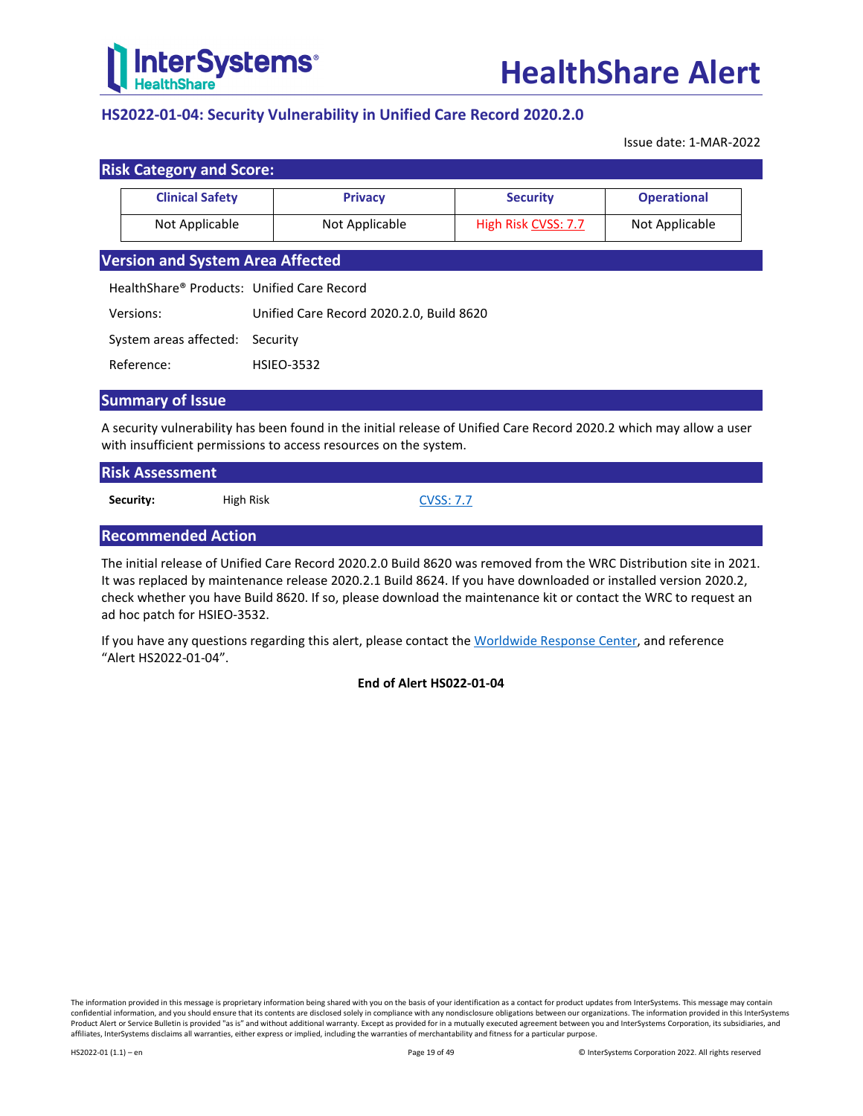

## <span id="page-18-0"></span>**HS2022-01-04: Security Vulnerability in Unified Care Record 2020.2.0**

Issue date: 1-MAR-2022

| <b>Clinical Safety</b>                     | <b>Privacy</b>                           | <b>Security</b>     | <b>Operational</b> |  |  |  |
|--------------------------------------------|------------------------------------------|---------------------|--------------------|--|--|--|
| Not Applicable                             | Not Applicable                           | High Risk CVSS: 7.7 | Not Applicable     |  |  |  |
| <b>Version and System Area Affected</b>    |                                          |                     |                    |  |  |  |
| HealthShare® Products: Unified Care Record |                                          |                     |                    |  |  |  |
| Versions:                                  | Unified Care Record 2020.2.0, Build 8620 |                     |                    |  |  |  |
| System areas affected:                     | Security                                 |                     |                    |  |  |  |
| Reference:                                 | <b>HSIEO-3532</b>                        |                     |                    |  |  |  |

## **Summary of Issue**

A security vulnerability has been found in the initial release of Unified Care Record 2020.2 which may allow a user with insufficient permissions to access resources on the system.

| <b>Risk Assessment</b> |           |                  |
|------------------------|-----------|------------------|
| Security:              | High Risk | <b>CVSS: 7.7</b> |

## **Recommended Action**

The initial release of Unified Care Record 2020.2.0 Build 8620 was removed from the WRC Distribution site in 2021. It was replaced by maintenance release 2020.2.1 Build 8624. If you have downloaded or installed version 2020.2, check whether you have Build 8620. If so, please download the maintenance kit or contact the WRC to request an ad hoc patch for HSIEO-3532.

If you have any questions regarding this alert, please contact th[e Worldwide Response Center,](mailto:support@intersystems.com?subject=HealthShare%20Alert%20HS2022-01-04) and reference "Alert HS2022-01-04".

**End of Alert HS022-01-04**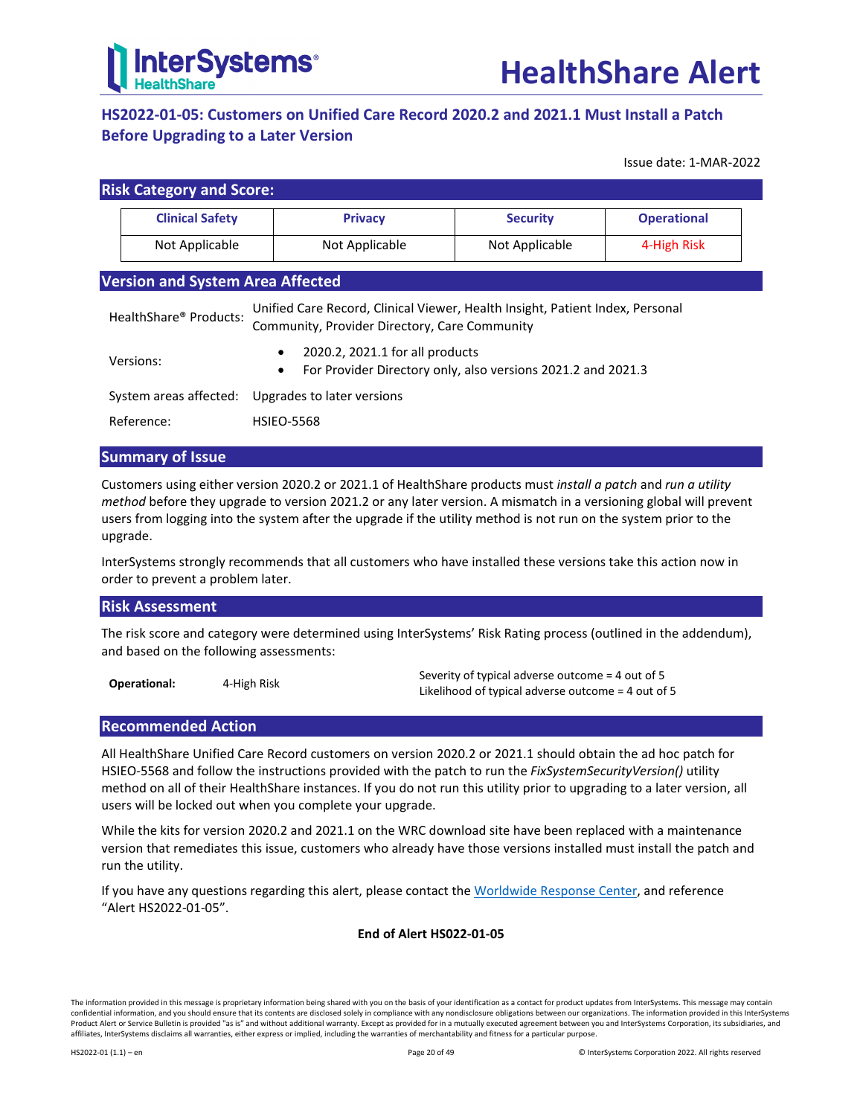

## <span id="page-19-0"></span>**HS2022-01-05: Customers on Unified Care Record 2020.2 and 2021.1 Must Install a Patch Before Upgrading to a Later Version**

Issue date: 1-MAR-2022

|                                                                                                                                                          | <b>Risk Category and Score:</b>                                                                                                        |  |                |                 |                    |  |  |  |
|----------------------------------------------------------------------------------------------------------------------------------------------------------|----------------------------------------------------------------------------------------------------------------------------------------|--|----------------|-----------------|--------------------|--|--|--|
|                                                                                                                                                          | <b>Clinical Safety</b>                                                                                                                 |  | <b>Privacy</b> | <b>Security</b> | <b>Operational</b> |  |  |  |
| Not Applicable                                                                                                                                           |                                                                                                                                        |  | Not Applicable | Not Applicable  | 4-High Risk        |  |  |  |
|                                                                                                                                                          | <b>Version and System Area Affected</b>                                                                                                |  |                |                 |                    |  |  |  |
| Unified Care Record, Clinical Viewer, Health Insight, Patient Index, Personal<br>HealthShare® Products:<br>Community, Provider Directory, Care Community |                                                                                                                                        |  |                |                 |                    |  |  |  |
|                                                                                                                                                          | 2020.2, 2021.1 for all products<br>$\bullet$<br>Versions:<br>For Provider Directory only, also versions 2021.2 and 2021.3<br>$\bullet$ |  |                |                 |                    |  |  |  |
|                                                                                                                                                          | System areas affected:<br>Upgrades to later versions                                                                                   |  |                |                 |                    |  |  |  |
|                                                                                                                                                          | Reference:<br><b>HSIEO-5568</b>                                                                                                        |  |                |                 |                    |  |  |  |

## **Summary of Issue**

Customers using either version 2020.2 or 2021.1 of HealthShare products must *install a patch* and *run a utility method* before they upgrade to version 2021.2 or any later version. A mismatch in a versioning global will prevent users from logging into the system after the upgrade if the utility method is not run on the system prior to the upgrade.

InterSystems strongly recommends that all customers who have installed these versions take this action now in order to prevent a problem later.

## **Risk Assessment**

The risk score and category were determined using InterSystems' Risk Rating process (outlined in the addendum), and based on the following assessments:

**Operational:** 4-High Risk Severity of typical adverse outcome = 4 out of 5 Likelihood of typical adverse outcome = 4 out of 5

## **Recommended Action**

All HealthShare Unified Care Record customers on version 2020.2 or 2021.1 should obtain the ad hoc patch for HSIEO-5568 and follow the instructions provided with the patch to run the *FixSystemSecurityVersion()* utility method on all of their HealthShare instances. If you do not run this utility prior to upgrading to a later version, all users will be locked out when you complete your upgrade.

While the kits for version 2020.2 and 2021.1 on the WRC download site have been replaced with a maintenance version that remediates this issue, customers who already have those versions installed must install the patch and run the utility.

If you have any questions regarding this alert, please contact th[e Worldwide Response Center,](mailto:support@intersystems.com?subject=HealthShare%20Alert%20HS2022-01-05) and reference "Alert HS2022-01-05".

## **End of Alert HS022-01-05**

The information provided in this message is proprietary information being shared with you on the basis of your identification as a contact for product updates from InterSystems. This message may contain confidential information, and you should ensure that its contents are disclosed solely in compliance with any nondisclosure obligations between our organizations. The information provided in this InterSystems Product Alert or Service Bulletin is provided "as is" and without additional warranty. Except as provided for in a mutually executed agreement between you and InterSystems Corporation, its subsidiaries, and affiliates, InterSystems disclaims all warranties, either express or implied, including the warranties of merchantability and fitness for a particular purpose.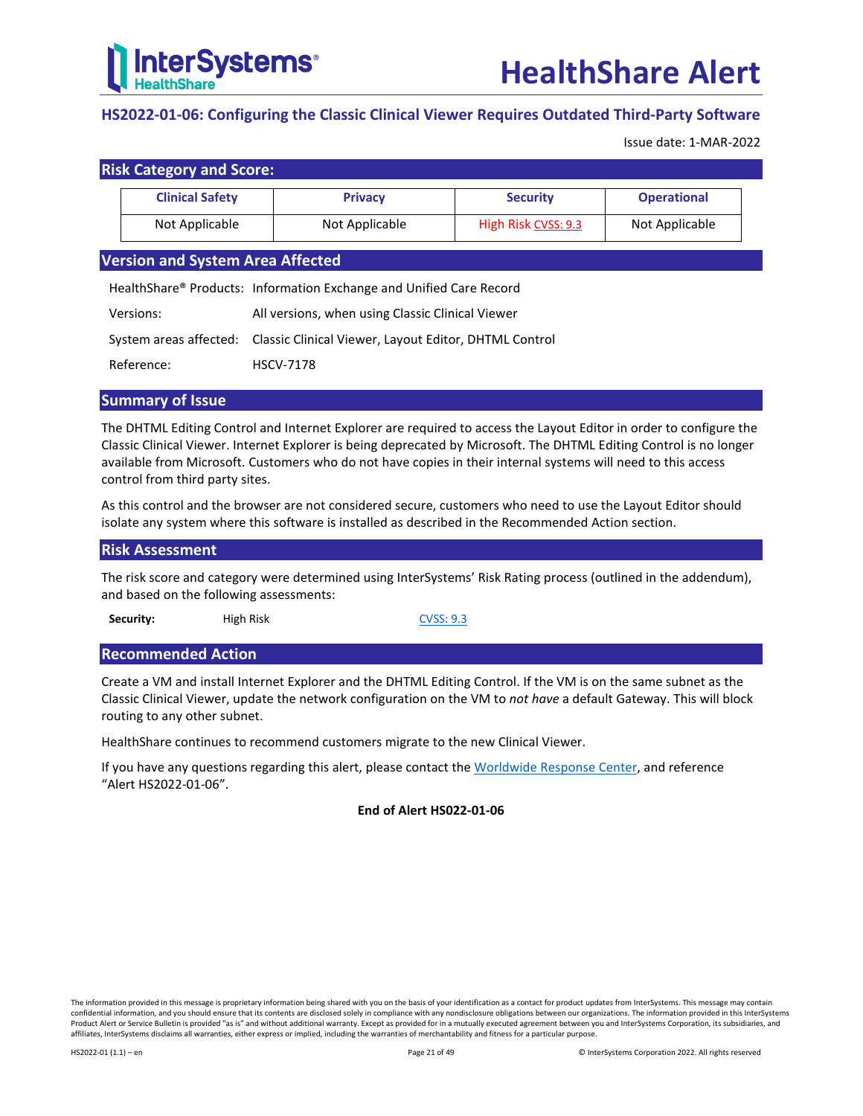

## <span id="page-20-0"></span>**HS2022-01-06: Configuring the Classic Clinical Viewer Requires Outdated Third-Party Software**

Issue date: 1-MAR-2022

## **Risk Category and Score:**

| <b>Clinical Safety</b> | <b>Privacy</b> | <b>Security</b>     | <b>Operational</b> |
|------------------------|----------------|---------------------|--------------------|
| Not Applicable         | Not Applicable | High Risk CVSS: 9.3 | Not Applicable     |

## **Version and System Area Affected**

HealthShare® Products: Information Exchange and Unified Care Record

| Versions:  | All versions, when using Classic Clinical Viewer                             |
|------------|------------------------------------------------------------------------------|
|            | System areas affected: Classic Clinical Viewer, Layout Editor, DHTML Control |
| Reference: | <b>HSCV-7178</b>                                                             |

## **Summary of Issue**

The DHTML Editing Control and Internet Explorer are required to access the Layout Editor in order to configure the Classic Clinical Viewer. Internet Explorer is being deprecated by Microsoft. The DHTML Editing Control is no longer available from Microsoft. Customers who do not have copies in their internal systems will need to this access control from third party sites.

As this control and the browser are not considered secure, customers who need to use the Layout Editor should isolate any system where this software is installed as described in the [Recommended Action](#page-20-1) section.

## **Risk Assessment**

The risk score and category were determined using InterSystems' Risk Rating process (outlined in the addendum), and based on the following assessments:

**Security:** High Risk [CVSS: 9.3](https://nvd.nist.gov/vuln-metrics/cvss/v2-calculator?name=CVE-2009-2519&vector=(AV:N/AC:M/Au:N/C:C/I:C/A:C)&version=2.0&source=NIST)

## <span id="page-20-1"></span>**Recommended Action**

Create a VM and install Internet Explorer and the DHTML Editing Control. If the VM is on the same subnet as the Classic Clinical Viewer, update the network configuration on the VM to *not have* a default Gateway. This will block routing to any other subnet.

HealthShare continues to recommend customers migrate to the new Clinical Viewer.

If you have any questions regarding this alert, please contact th[e Worldwide Response Center,](mailto:support@intersystems.com?subject=HealthShare%20Alert%20HS2022-01-06) and reference "Alert HS2022-01-06".

## **End of Alert HS022-01-06**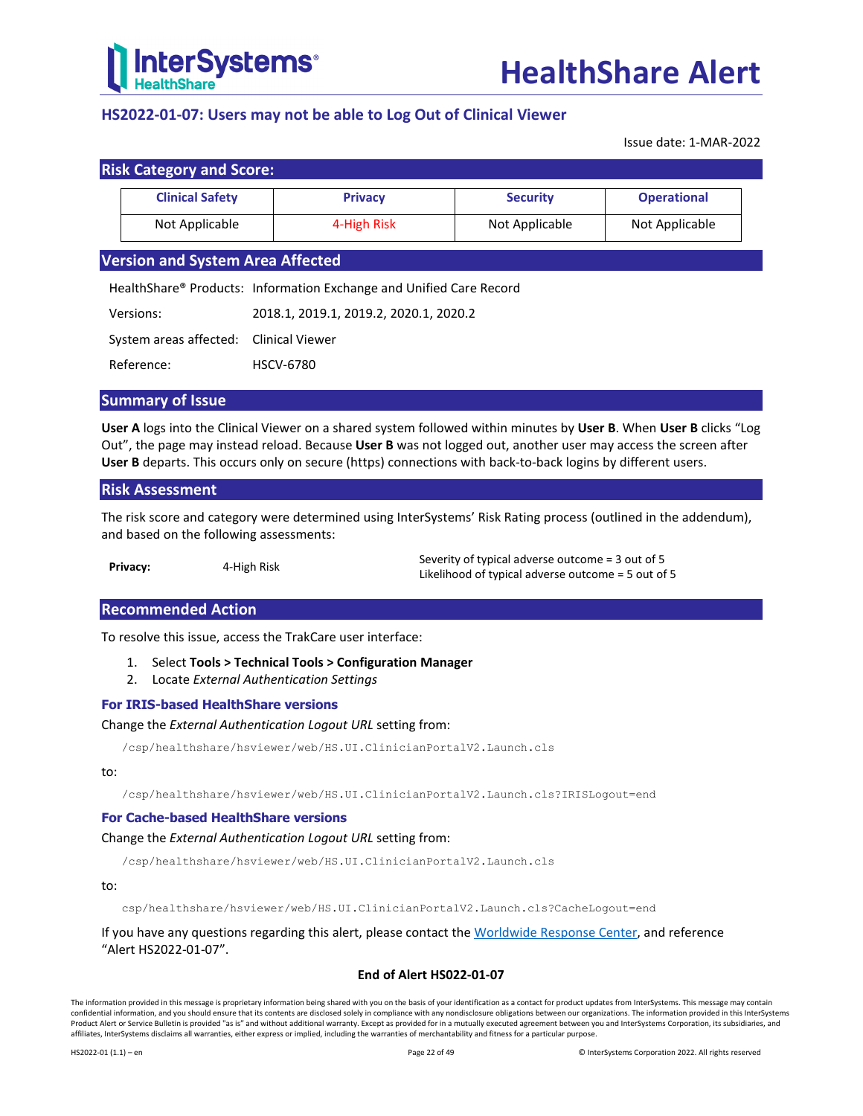

## <span id="page-21-0"></span>**HS2022-01-07: Users may not be able to Log Out of Clinical Viewer**

Issue date: 1-MAR-2022

|  |  | <b>Risk Category and Score:</b> |
|--|--|---------------------------------|
|--|--|---------------------------------|

| .                      |                |                 |                    |
|------------------------|----------------|-----------------|--------------------|
| <b>Clinical Safety</b> | <b>Privacy</b> | <b>Security</b> | <b>Operational</b> |
| Not Applicable         | 4-High Risk    | Not Applicable  | Not Applicable     |

## **Version and System Area Affected**

HealthShare® Products: Information Exchange and Unified Care Record

| Versions:                              | 2018.1, 2019.1, 2019.2, 2020.1, 2020.2 |
|----------------------------------------|----------------------------------------|
| System areas affected: Clinical Viewer |                                        |
| Reference:                             | <b>HSCV-6780</b>                       |

#### **Summary of Issue**

**User A** logs into the Clinical Viewer on a shared system followed within minutes by **User B**. When **User B** clicks "Log Out", the page may instead reload. Because **User B** was not logged out, another user may access the screen after **User B** departs. This occurs only on secure (https) connections with back-to-back logins by different users.

## **Risk Assessment**

The risk score and category were determined using InterSystems' Risk Rating process (outlined in the addendum), and based on the following assessments:

|          |             | Severity of typical adverse outcome = 3 out of 5     |
|----------|-------------|------------------------------------------------------|
| Privacy: | 4-High Risk | Likelihood of typical adverse outcome $=$ 5 out of 5 |

## **Recommended Action**

To resolve this issue, access the TrakCare user interface:

- 1. Select **Tools > Technical Tools > Configuration Manager**
- 2. Locate *External Authentication Settings*

## **For IRIS-based HealthShare versions**

Change the *External Authentication Logout URL* setting from:

/csp/healthshare/hsviewer/web/HS.UI.ClinicianPortalV2.Launch.cls

#### to:

/csp/healthshare/hsviewer/web/HS.UI.ClinicianPortalV2.Launch.cls?IRISLogout=end

#### **For Cache-based HealthShare versions**

#### Change the *External Authentication Logout URL* setting from:

/csp/healthshare/hsviewer/web/HS.UI.ClinicianPortalV2.Launch.cls

#### to:

csp/healthshare/hsviewer/web/HS.UI.ClinicianPortalV2.Launch.cls?CacheLogout=end

If you have any questions regarding this alert, please contact th[e Worldwide Response Center,](mailto:support@intersystems.com?subject=HealthShare%20Alert%20HS2022-01-07) and reference "Alert HS2022-01-07".

#### **End of Alert HS022-01-07**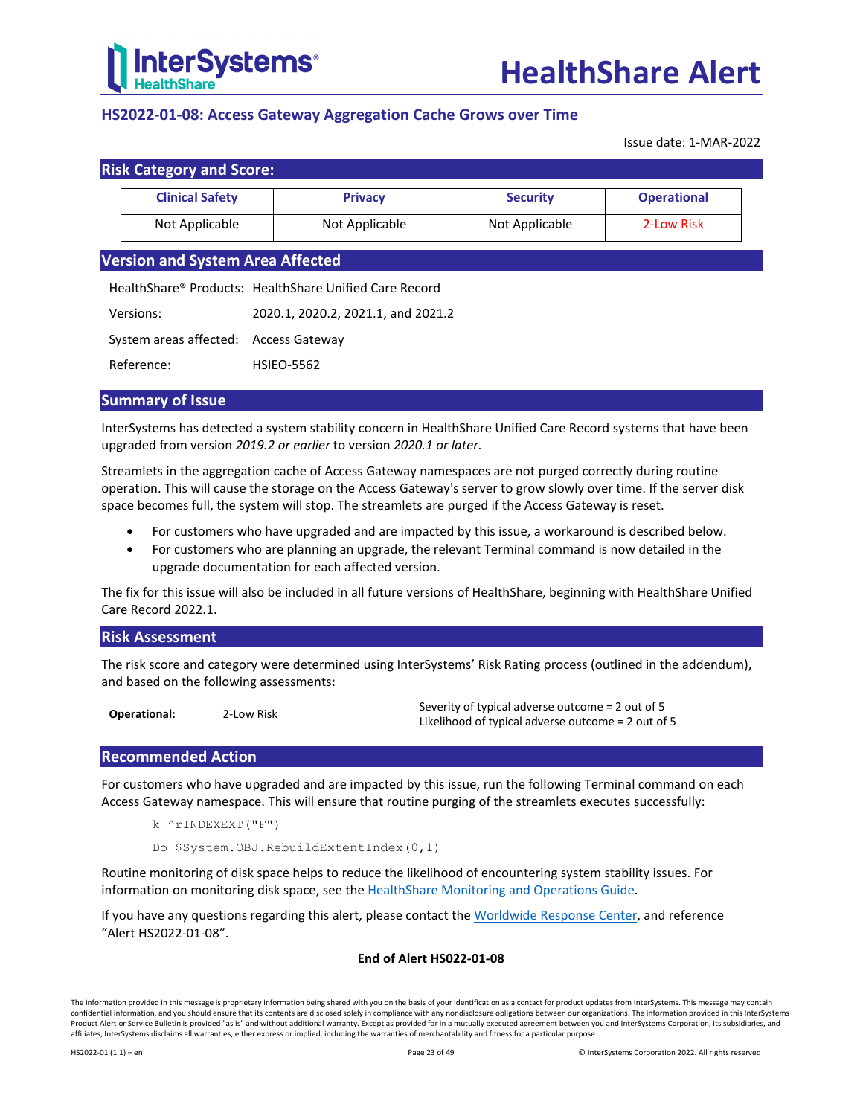

## <span id="page-22-0"></span>**HS2022-01-08: Access Gateway Aggregation Cache Grows over Time**

Issue date: 1-MAR-2022

| <b>Clinical Safety</b> | <b>Privacy</b> | <b>Security</b> | <b>Operational</b> |
|------------------------|----------------|-----------------|--------------------|
| Not Applicable         | Not Applicable | Not Applicable  | 2-Low Risk         |

HealthShare® Products: HealthShare Unified Care Record

Versions: 2020.1, 2020.2, 2021.1, and 2021.2

System areas affected: Access Gateway

Reference: HSIEO-5562

## **Summary of Issue**

InterSystems has detected a system stability concern in HealthShare Unified Care Record systems that have been upgraded from version *2019.2 or earlier* to version *2020.1 or later*.

Streamlets in the aggregation cache of Access Gateway namespaces are not purged correctly during routine operation. This will cause the storage on the Access Gateway's server to grow slowly over time. If the server disk space becomes full, the system will stop. The streamlets are purged if the Access Gateway is reset.

- For customers who have upgraded and are impacted by this issue, a workaround is described below.
- For customers who are planning an upgrade, the relevant Terminal command is now detailed in the upgrade documentation for each affected version.

The fix for this issue will also be included in all future versions of HealthShare, beginning with HealthShare Unified Care Record 2022.1.

## **Risk Assessment**

The risk score and category were determined using InterSystems' Risk Rating process (outlined in the addendum), and based on the following assessments:

**Operational:** 2-Low Risk Severity of typical adverse outcome = 2 out of 5 Likelihood of typical adverse outcome = 2 out of 5

## **Recommended Action**

For customers who have upgraded and are impacted by this issue, run the following Terminal command on each Access Gateway namespace. This will ensure that routine purging of the streamlets executes successfully:

k ^rINDEXEXT("F")

Do \$System.OBJ.RebuildExtentIndex(0,1)

Routine monitoring of disk space helps to reduce the likelihood of encountering system stability issues. For information on monitoring disk space, see the [HealthShare Monitoring and Operations Guide.](https://docs.intersystems.com/hslatest/csp/docbook/DocBook.UI.Page.cls?KEY=HEOPS_disk_space)

If you have any questions regarding this alert, please contact th[e Worldwide Response Center,](mailto:support@intersystems.com?subject=HealthShare%20Alert%20HS2022-01-08) and reference "Alert HS2022-01-08".

## **End of Alert HS022-01-08**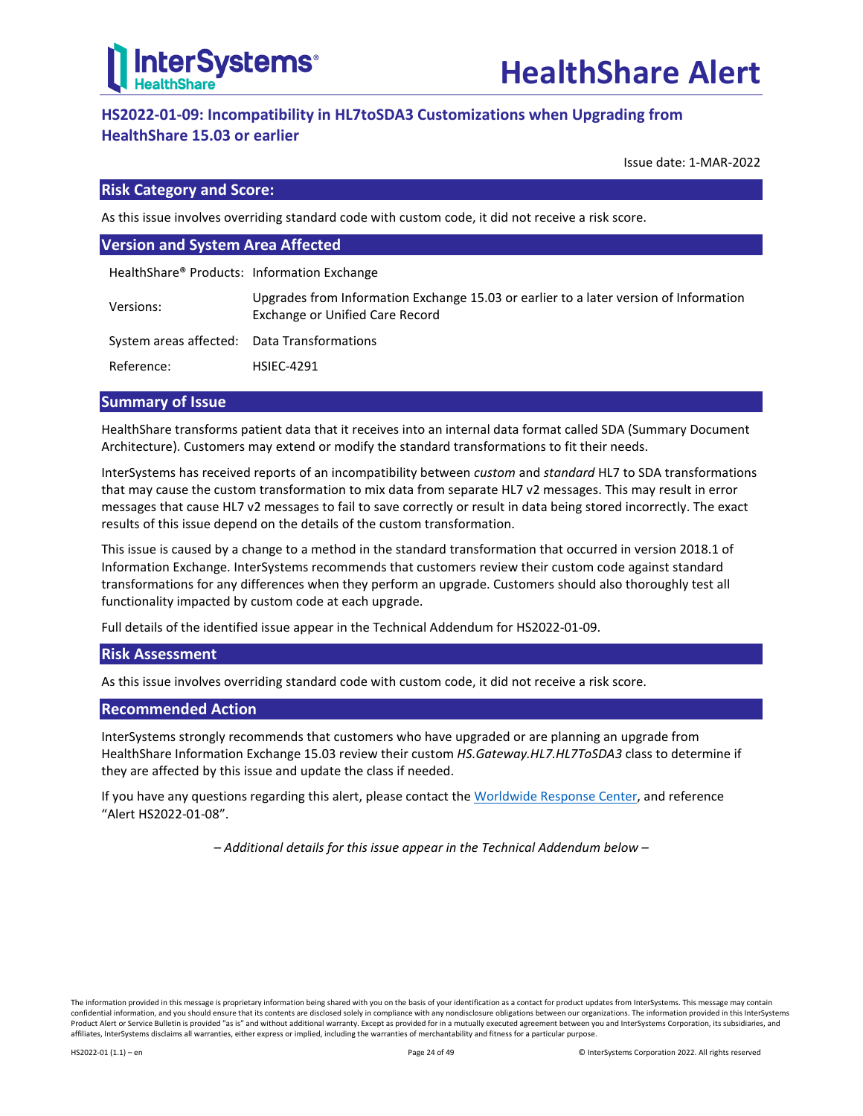

## <span id="page-23-0"></span>**HS2022-01-09: Incompatibility in HL7toSDA3 Customizations when Upgrading from HealthShare 15.03 or earlier**

Issue date: 1-MAR-2022

## **Risk Category and Score:**

As this issue involves overriding standard code with custom code, it did not receive a risk score.

| <b>Version and System Area Affected</b>     |                                                                                                                          |  |  |  |
|---------------------------------------------|--------------------------------------------------------------------------------------------------------------------------|--|--|--|
| HealthShare® Products: Information Exchange |                                                                                                                          |  |  |  |
| Versions:                                   | Upgrades from Information Exchange 15.03 or earlier to a later version of Information<br>Exchange or Unified Care Record |  |  |  |
| System areas affected: Data Transformations |                                                                                                                          |  |  |  |
| Reference:                                  | <b>HSIEC-4291</b>                                                                                                        |  |  |  |

## **Summary of Issue**

HealthShare transforms patient data that it receives into an internal data format called SDA (Summary Document Architecture). Customers may extend or modify the standard transformations to fit their needs.

InterSystems has received reports of an incompatibility between *custom* and *standard* HL7 to SDA transformations that may cause the custom transformation to mix data from separate HL7 v2 messages. This may result in error messages that cause HL7 v2 messages to fail to save correctly or result in data being stored incorrectly. The exact results of this issue depend on the details of the custom transformation.

This issue is caused by a change to a method in the standard transformation that occurred in version 2018.1 of Information Exchange. InterSystems recommends that customers review their custom code against standard transformations for any differences when they perform an upgrade. Customers should also thoroughly test all functionality impacted by custom code at each upgrade.

Full details of the identified issue appear in th[e Technical Addendum for HS2022-01-09.](#page-24-0)

## **Risk Assessment**

As this issue involves overriding standard code with custom code, it did not receive a risk score.

## **Recommended Action**

InterSystems strongly recommends that customers who have upgraded or are planning an upgrade from HealthShare Information Exchange 15.03 review their custom *HS.Gateway.HL7.HL7ToSDA3* class to determine if they are affected by this issue and update the class if needed.

If you have any questions regarding this alert, please contact th[e Worldwide Response Center,](mailto:support@intersystems.com?subject=HealthShare%20Alert%20HS2022-01-09) and reference "Alert HS2022-01-08".

*– Additional details for this issue appear in the Technical Addendum below –*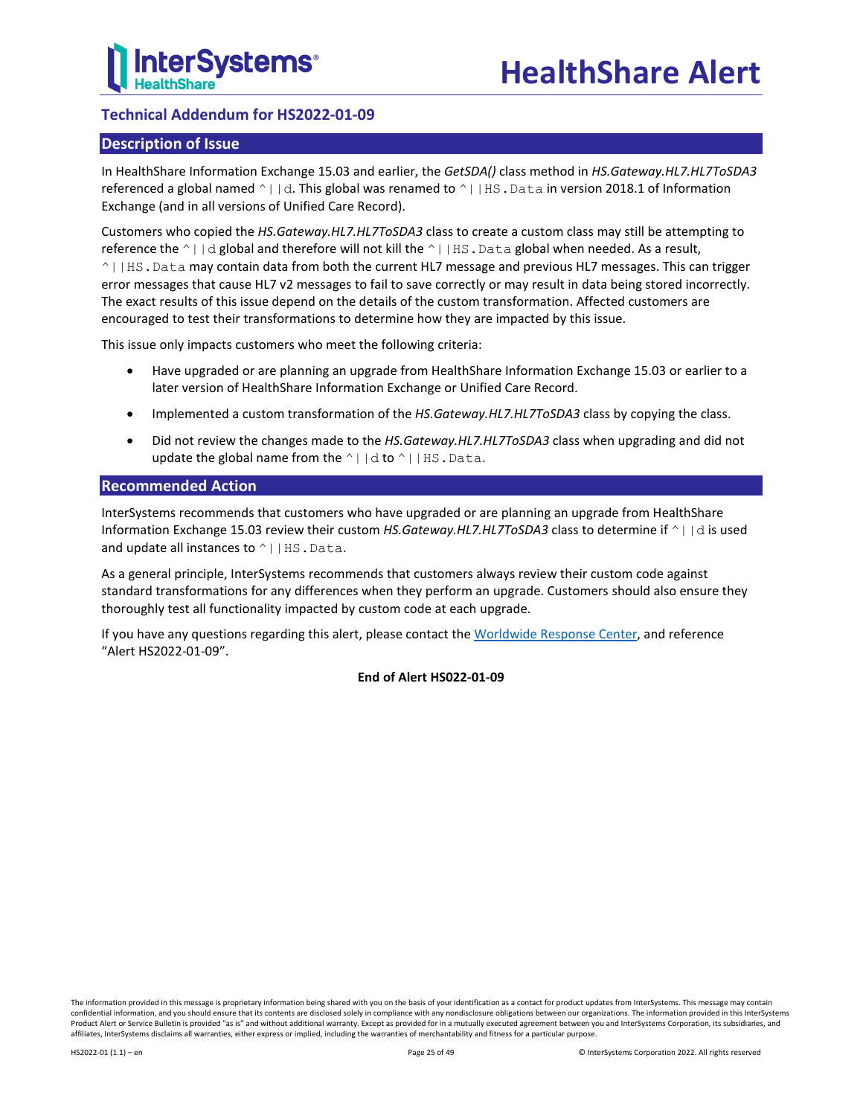

## <span id="page-24-0"></span>**Technical Addendum for HS2022-01-09**

## **Description of Issue**

In HealthShare Information Exchange 15.03 and earlier, the *GetSDA()* class method in *HS.Gateway.HL7.HL7ToSDA3* referenced a global named  $\wedge$ ||d. This global was renamed to  $\wedge$ ||HS. Data in version 2018.1 of Information Exchange (and in all versions of Unified Care Record).

Customers who copied the *HS.Gateway.HL7.HL7ToSDA3* class to create a custom class may still be attempting to reference the  $\wedge$  | |d global and therefore will not kill the  $\wedge$  | HS. Data global when needed. As a result, ^||HS.Data may contain data from both the current HL7 message and previous HL7 messages. This can trigger error messages that cause HL7 v2 messages to fail to save correctly or may result in data being stored incorrectly. The exact results of this issue depend on the details of the custom transformation. Affected customers are encouraged to test their transformations to determine how they are impacted by this issue.

This issue only impacts customers who meet the following criteria:

- Have upgraded or are planning an upgrade from HealthShare Information Exchange 15.03 or earlier to a later version of HealthShare Information Exchange or Unified Care Record.
- Implemented a custom transformation of the *HS.Gateway.HL7.HL7ToSDA3* class by copying the class.
- Did not review the changes made to the *HS.Gateway.HL7.HL7ToSDA3* class when upgrading and did not update the global name from the  $\wedge$ ||d to  $\wedge$ ||HS.Data.

## **Recommended Action**

InterSystems recommends that customers who have upgraded or are planning an upgrade from HealthShare Information Exchange 15.03 review their custom *HS.Gateway.HL7.HL7ToSDA3* class to determine if ^||d is used and update all instances to  $\wedge$  | |HS.Data.

As a general principle, InterSystems recommends that customers always review their custom code against standard transformations for any differences when they perform an upgrade. Customers should also ensure they thoroughly test all functionality impacted by custom code at each upgrade.

If you have any questions regarding this alert, please contact th[e Worldwide Response Center,](mailto:support@intersystems.com?subject=HealthShare%20Alert%20HS2022-01-09) and reference "Alert HS2022-01-09".

## **End of Alert HS022-01-09**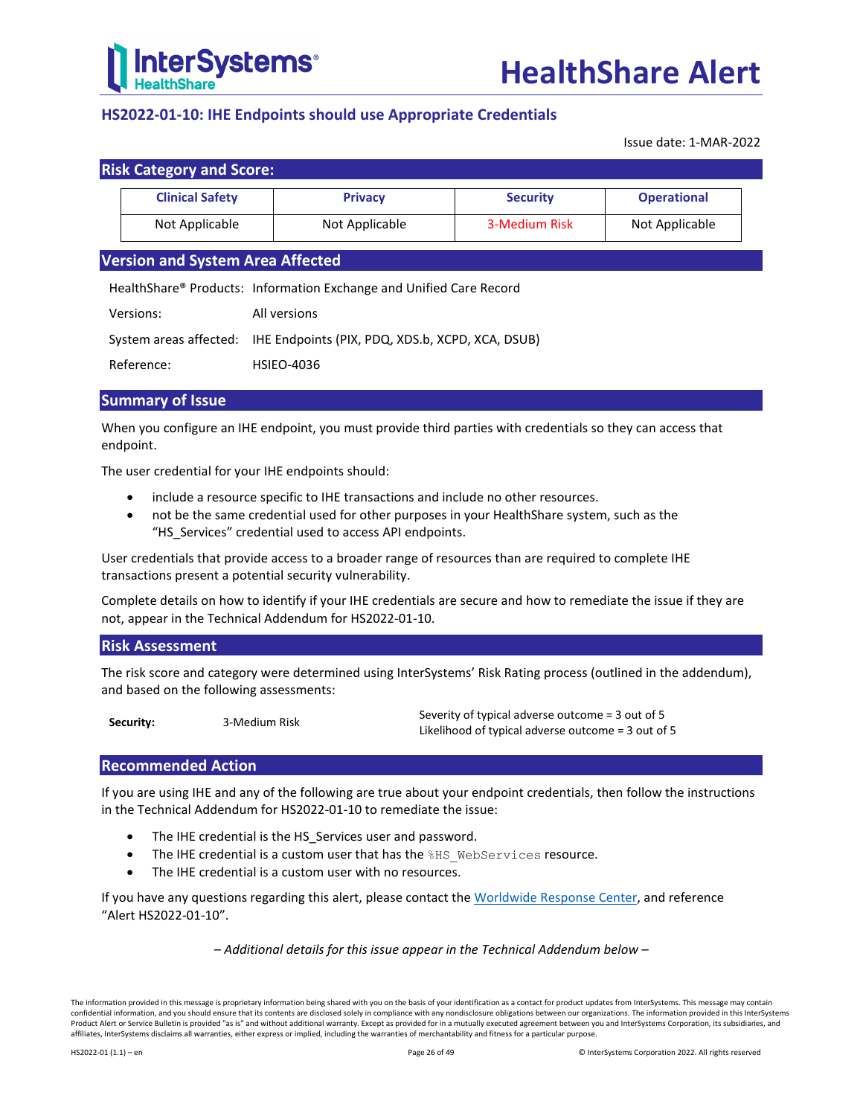

## <span id="page-25-0"></span>**HS2022-01-10: IHE Endpoints should use Appropriate Credentials**

Issue date: 1-MAR-2022

| <b>Risk Category and Score:</b> |                |                 |                    |
|---------------------------------|----------------|-----------------|--------------------|
| <b>Clinical Safety</b>          | <b>Privacy</b> | <b>Security</b> | <b>Operational</b> |
| Not Applicable                  | Not Applicable | 3-Medium Risk   | Not Applicable     |

## **Version and System Area Affected**

HealthShare® Products: Information Exchange and Unified Care Record

| Versions: | All versions |
|-----------|--------------|
|-----------|--------------|

System areas affected: IHE Endpoints (PIX, PDQ, XDS.b, XCPD, XCA, DSUB)

Reference: HSIEO-4036

## **Summary of Issue**

When you configure an IHE endpoint, you must provide third parties with credentials so they can access that endpoint.

The user credential for your IHE endpoints should:

- include a resource specific to IHE transactions and include no other resources.
- not be the same credential used for other purposes in your HealthShare system, such as the "HS\_Services" credential used to access API endpoints.

User credentials that provide access to a broader range of resources than are required to complete IHE transactions present a potential security vulnerability.

Complete details on how to identify if your IHE credentials are secure and how to remediate the issue if they are not, appear in the [Technical Addendum for HS2022-01-10.](#page-26-0)

## **Risk Assessment**

The risk score and category were determined using InterSystems' Risk Rating process (outlined in the addendum), and based on the following assessments:

**Security:** 3-Medium Risk Severity of typical adverse outcome = 3 out of 5 Likelihood of typical adverse outcome = 3 out of 5

## **Recommended Action**

If you are using IHE and any of the following are true about your endpoint credentials, then follow the instructions in th[e Technical Addendum for HS2022-01-10](#page-26-0) to remediate the issue:

- The IHE credential is the HS\_Services user and password.
- The IHE credential is a custom user that has the \$HS\_WebServices resource.
- The IHE credential is a custom user with no resources.

If you have any questions regarding this alert, please contact th[e Worldwide Response Center,](mailto:support@intersystems.com?subject=HealthShare%20Alert%20HS2022-01-10) and reference "Alert HS2022-01-10".

*– Additional details for this issue appear in the Technical Addendum below –*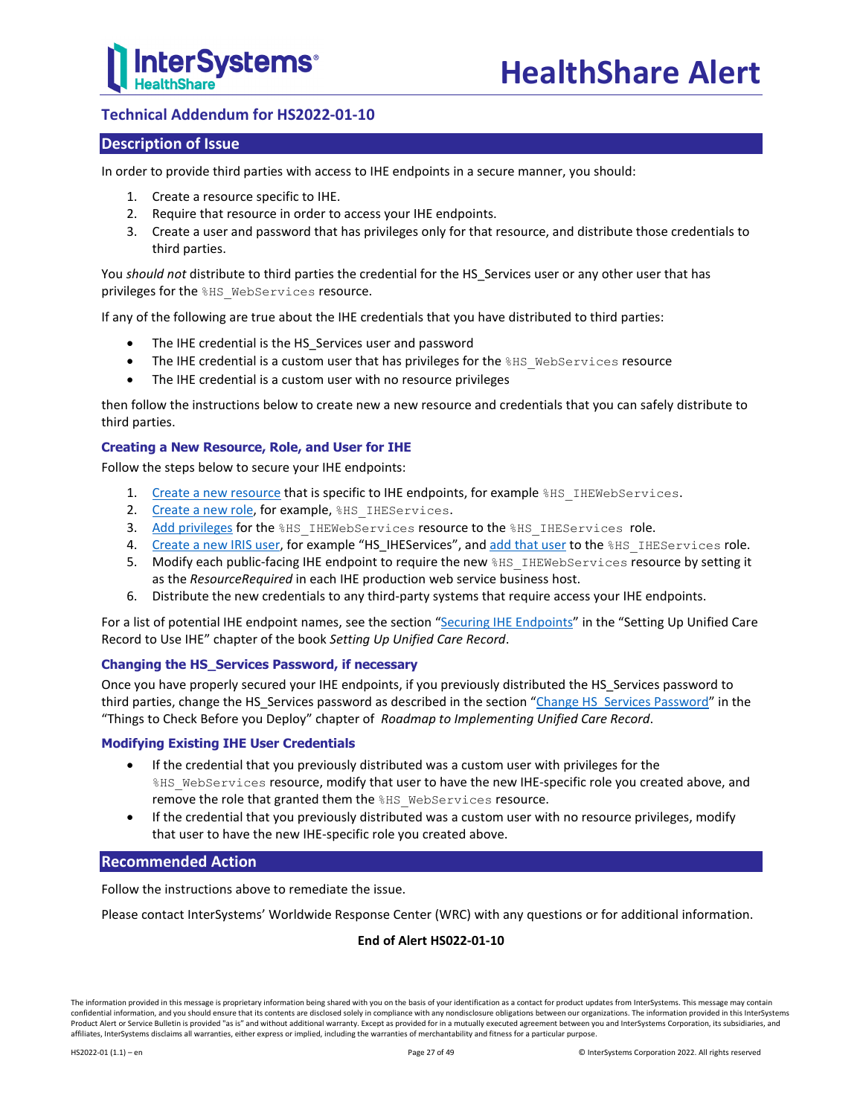

## <span id="page-26-0"></span>**Technical Addendum for HS2022-01-10**

## **Description of Issue**

In order to provide third parties with access to IHE endpoints in a secure manner, you should:

- 1. Create a resource specific to IHE.
- 2. Require that resource in order to access your IHE endpoints.
- 3. Create a user and password that has privileges only for that resource, and distribute those credentials to third parties.

You *should not* distribute to third parties the credential for the HS\_Services user or any other user that has privileges for the %HS\_WebServices resource.

If any of the following are true about the IHE credentials that you have distributed to third parties:

- The IHE credential is the HS Services user and password
- The IHE credential is a custom user that has privileges for the %HS\_WebServices resource
- The IHE credential is a custom user with no resource privileges

then follow the instructions below to create new a new resource and credentials that you can safely distribute to third parties.

#### **Creating a New Resource, Role, and User for IHE**

Follow the steps below to secure your IHE endpoints:

- 1. [Create a new resource](https://docs.intersystems.com/hs20212/csp/docbook/DocBook.UI.Page.cls?KEY=GAUTHZ_rsrcs#GAUTHZ_rsrcs_creating) that is specific to IHE endpoints, for example  $8HS$  IHEWebServices.
- 2. [Create a new role,](https://docs.intersystems.com/hs20212/csp/docbook/DocBook.UI.Page.cls?KEY=GAUTHZ_roles#GAUTHZ_roles_creating) for example, \$HS\_IHEServices.
- 3. [Add privileges](https://docs.intersystems.com/hs20212/csp/docbook/DocBook.UI.Page.cls?KEY=GAUTHZ_roles#GAUTHZ_roles_privsgrnt) for the %HS\_IHEWebServices resource to the %HS\_IHEServices role.
- 4. [Create a new IRIS user,](https://docs.intersystems.com/hs20212/csp/docbook/DocBook.UI.Page.cls?KEY=GAUTHZ_users#GAUTHZ_users_creating) for example "HS\_IHEServices", an[d add that user](https://docs.intersystems.com/hs20212/csp/docbook/DocBook.UI.Page.cls?KEY=GAUTHZ_users#GAUTHZ_users_modroles) to the %HS\_IHEServices role.
- 5. Modify each public-facing IHE endpoint to require the new \RS IHEWebServices resource by setting it as the *ResourceRequired* in each IHE production web service business host.
- 6. Distribute the new credentials to any third-party systems that require access your IHE endpoints.

For a list of potential IHE endpoint names, see the section ["Securing IHE Endpoints"](https://docs.intersystems.com/hs20212/csp/docbook/DocBook.UI.Page.cls?KEY=HESUP_ch_IHE#HESUP_IHE_security) in the "Setting Up Unified Care Record to Use IHE" chapter of the book *Setting Up Unified Care Record*.

#### **Changing the HS\_Services Password, if necessary**

Once you have properly secured your IHE endpoints, if you previously distributed the HS\_Services password to third parties, change the HS\_Services password as described in the section "Change [HS\\_Services Password"](https://docs.intersystems.com/hs20212/csp/docbook/DocBook.UI.Page.cls?KEY=HEMAP_ch_deploy#HEMAP_services_password) in the "Things to Check Before you Deploy" chapter of *Roadmap to Implementing Unified Care Record*.

#### **Modifying Existing IHE User Credentials**

- If the credential that you previously distributed was a custom user with privileges for the %HS WebServices resource, modify that user to have the new IHE-specific role you created above, and remove the role that granted them the %HS\_WebServices resource.
- If the credential that you previously distributed was a custom user with no resource privileges, modify that user to have the new IHE-specific role you created above.

## **Recommended Action**

Follow the instructions above to remediate the issue.

Please contact InterSystems' Worldwide Response Center (WRC) with any questions or for additional information.

#### **End of Alert HS022-01-10**

The information provided in this message is proprietary information being shared with you on the basis of your identification as a contact for product updates from InterSystems. This message may contain confidential information, and you should ensure that its contents are disclosed solely in compliance with any nondisclosure obligations between our organizations. The information provided in this InterSystems Product Alert or Service Bulletin is provided "as is" and without additional warranty. Except as provided for in a mutually executed agreement between you and InterSystems Corporation, its subsidiaries, and affiliates, InterSystems disclaims all warranties, either express or implied, including the warranties of merchantability and fitness for a particular purpose.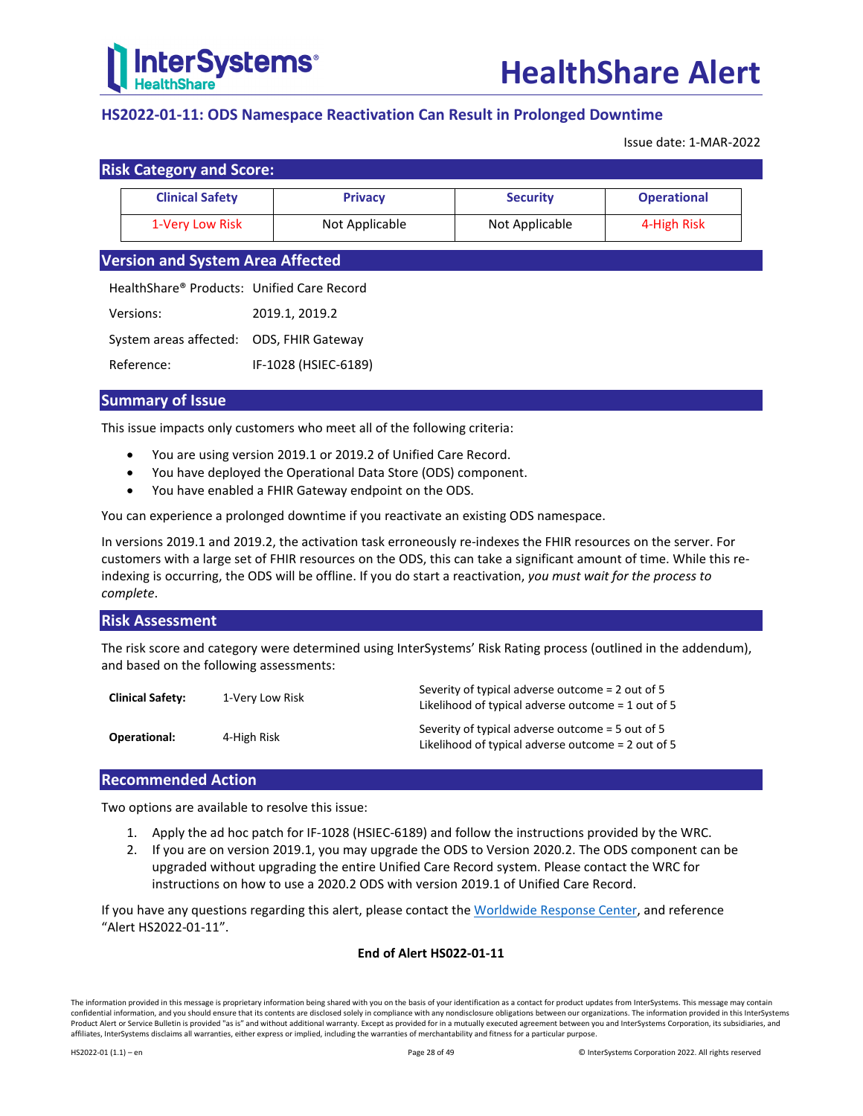

## <span id="page-27-0"></span>**HS2022-01-11: ODS Namespace Reactivation Can Result in Prolonged Downtime**

Issue date: 1-MAR-2022

| <b>Risk Category and Score:</b> |                        |                |                 |                    |  |
|---------------------------------|------------------------|----------------|-----------------|--------------------|--|
|                                 | <b>Clinical Safety</b> | <b>Privacy</b> | <b>Security</b> | <b>Operational</b> |  |
|                                 | 1-Very Low Risk        | Not Applicable | Not Applicable  | 4-High Risk        |  |

## **Version and System Area Affected**

HealthShare® Products: Unified Care Record

| Versions:                                | 2019.1, 2019.2 |
|------------------------------------------|----------------|
| System areas affected: ODS, FHIR Gateway |                |

Reference: IF-1028 (HSIEC-6189)

## **Summary of Issue**

This issue impacts only customers who meet all of the following criteria:

- You are using version 2019.1 or 2019.2 of Unified Care Record.
- You have deployed the Operational Data Store (ODS) component.
- You have enabled a FHIR Gateway endpoint on the ODS.

You can experience a prolonged downtime if you reactivate an existing ODS namespace.

In versions 2019.1 and 2019.2, the activation task erroneously re-indexes the FHIR resources on the server. For customers with a large set of FHIR resources on the ODS, this can take a significant amount of time. While this reindexing is occurring, the ODS will be offline. If you do start a reactivation, *you must wait for the process to complete*.

## **Risk Assessment**

The risk score and category were determined using InterSystems' Risk Rating process (outlined in the addendum), and based on the following assessments:

| <b>Clinical Safety:</b> | 1-Verv Low Risk | Severity of typical adverse outcome = 2 out of 5<br>Likelihood of typical adverse outcome $=$ 1 out of 5 |
|-------------------------|-----------------|----------------------------------------------------------------------------------------------------------|
| <b>Operational:</b>     | 4-High Risk     | Severity of typical adverse outcome = 5 out of 5<br>Likelihood of typical adverse outcome = 2 out of 5   |

## **Recommended Action**

Two options are available to resolve this issue:

- 1. Apply the ad hoc patch for IF-1028 (HSIEC-6189) and follow the instructions provided by the WRC.
- 2. If you are on version 2019.1, you may upgrade the ODS to Version 2020.2. The ODS component can be upgraded without upgrading the entire Unified Care Record system. Please contact the WRC for instructions on how to use a 2020.2 ODS with version 2019.1 of Unified Care Record.

If you have any questions regarding this alert, please contact th[e Worldwide Response Center,](mailto:support@intersystems.com?subject=HealthShare%20Alert%20HS2022-01-11) and reference "Alert HS2022-01-11".

## **End of Alert HS022-01-11**

The information provided in this message is proprietary information being shared with you on the basis of your identification as a contact for product updates from InterSystems. This message may contain confidential information, and you should ensure that its contents are disclosed solely in compliance with any nondisclosure obligations between our organizations. The information provided in this InterSystems Product Alert or Service Bulletin is provided "as is" and without additional warranty. Except as provided for in a mutually executed agreement between you and InterSystems Corporation, its subsidiaries, and affiliates, InterSystems disclaims all warranties, either express or implied, including the warranties of merchantability and fitness for a particular purpose.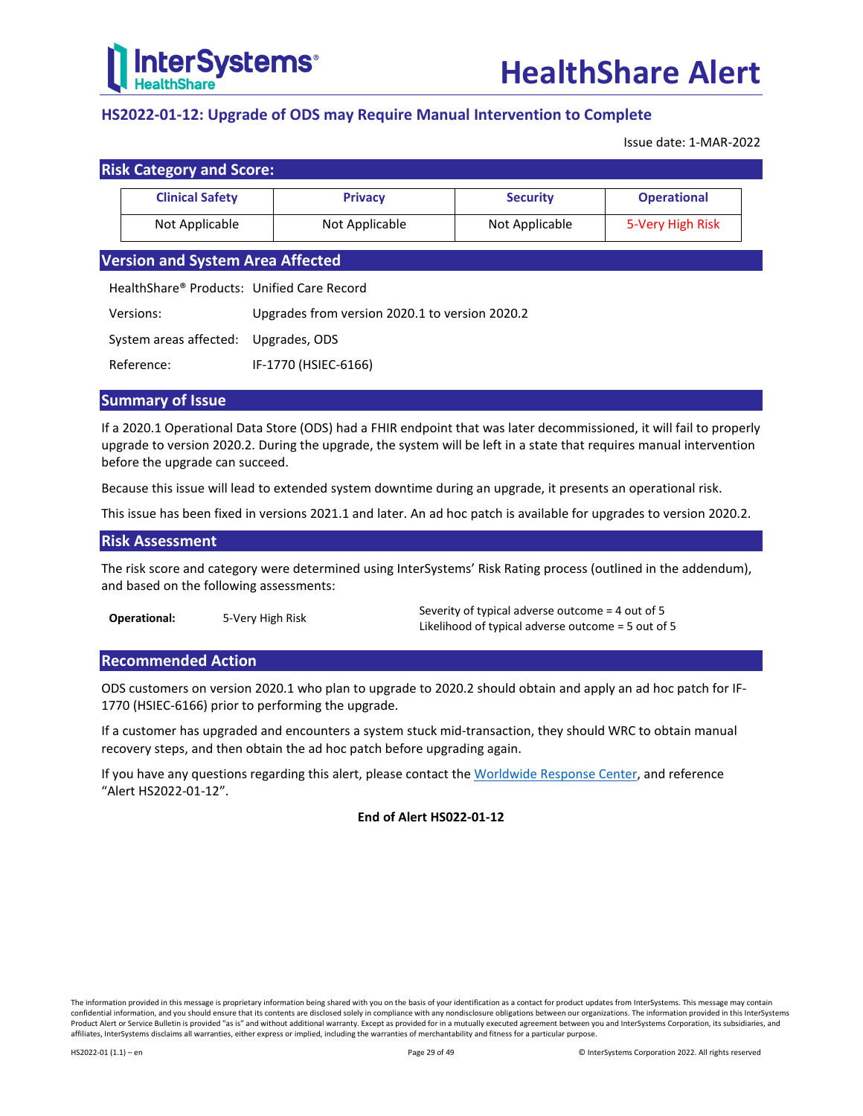

## <span id="page-28-0"></span>**HS2022-01-12: Upgrade of ODS may Require Manual Intervention to Complete**

Issue date: 1-MAR-2022

| <b>Risk Category and Score:</b>            |                                                                                                                                                                                                                                                                                                                                    |                 |                    |  |
|--------------------------------------------|------------------------------------------------------------------------------------------------------------------------------------------------------------------------------------------------------------------------------------------------------------------------------------------------------------------------------------|-----------------|--------------------|--|
| <b>Clinical Safety</b>                     | <b>Privacy</b>                                                                                                                                                                                                                                                                                                                     | <b>Security</b> | <b>Operational</b> |  |
| Not Applicable                             | Not Applicable                                                                                                                                                                                                                                                                                                                     | Not Applicable  | 5-Very High Risk   |  |
| <b>Version and System Area Affected</b>    |                                                                                                                                                                                                                                                                                                                                    |                 |                    |  |
| HealthShare® Products: Unified Care Record |                                                                                                                                                                                                                                                                                                                                    |                 |                    |  |
| $\mathbf{v}$                               | $\mathbf{a}$ $\mathbf{b}$ $\mathbf{c}$ $\mathbf{c}$ $\mathbf{c}$ $\mathbf{c}$ $\mathbf{c}$ $\mathbf{c}$ $\mathbf{c}$ $\mathbf{c}$ $\mathbf{c}$ $\mathbf{c}$ $\mathbf{c}$ $\mathbf{c}$ $\mathbf{c}$ $\mathbf{c}$ $\mathbf{c}$ $\mathbf{c}$ $\mathbf{c}$ $\mathbf{c}$ $\mathbf{c}$ $\mathbf{c}$ $\mathbf{c}$ $\mathbf{c}$ $\mathbf{$ |                 |                    |  |

Versions: Upgrades from version 2020.1 to version 2020.2

System areas affected: Upgrades, ODS

Reference: IF-1770 (HSIEC-6166)

## **Summary of Issue**

If a 2020.1 Operational Data Store (ODS) had a FHIR endpoint that was later decommissioned, it will fail to properly upgrade to version 2020.2. During the upgrade, the system will be left in a state that requires manual intervention before the upgrade can succeed.

Because this issue will lead to extended system downtime during an upgrade, it presents an operational risk.

This issue has been fixed in versions 2021.1 and later. An ad hoc patch is available for upgrades to version 2020.2.

## **Risk Assessment**

The risk score and category were determined using InterSystems' Risk Rating process (outlined in the addendum), and based on the following assessments:

**Operational:** 5-Very High Risk Severity of typical adverse outcome = 4 out of 5 Likelihood of typical adverse outcome = 5 out of 5

## **Recommended Action**

ODS customers on version 2020.1 who plan to upgrade to 2020.2 should obtain and apply an ad hoc patch for IF-1770 (HSIEC-6166) prior to performing the upgrade.

If a customer has upgraded and encounters a system stuck mid-transaction, they should WRC to obtain manual recovery steps, and then obtain the ad hoc patch before upgrading again.

If you have any questions regarding this alert, please contact th[e Worldwide Response Center,](mailto:support@intersystems.com?subject=HealthShare%20Alert%20HS2022-01-12) and reference "Alert HS2022-01-12".

## **End of Alert HS022-01-12**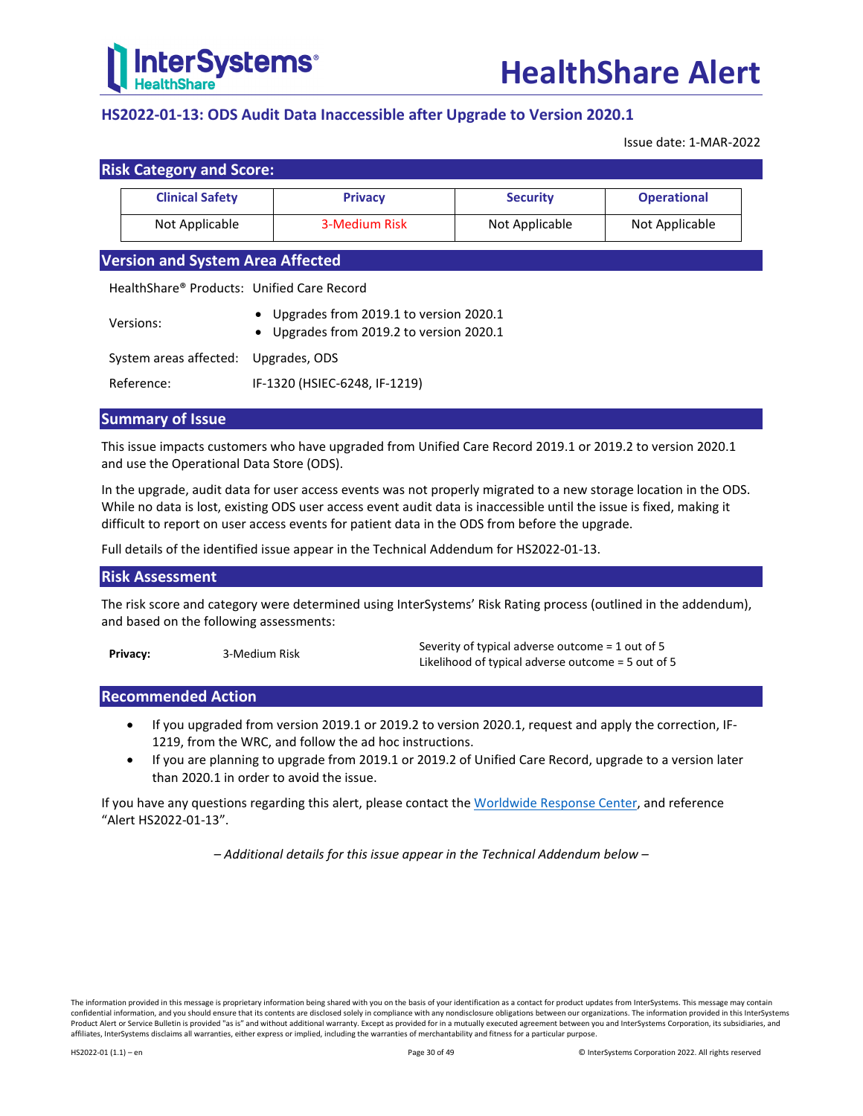

## <span id="page-29-0"></span>**HS2022-01-13: ODS Audit Data Inaccessible after Upgrade to Version 2020.1**

Issue date: 1-MAR-2022

| <b>Risk Category and Score:</b> |                |                 |                    |
|---------------------------------|----------------|-----------------|--------------------|
| <b>Clinical Safety</b>          | <b>Privacy</b> | <b>Security</b> | <b>Operational</b> |
| Not Applicable                  | 3-Medium Risk  | Not Applicable  | Not Applicable     |

## **Version and System Area Affected**

HealthShare® Products: Unified Care Record

| Versions:                            | • Upgrades from 2019.1 to version 2020.1<br>• Upgrades from 2019.2 to version 2020.1 |
|--------------------------------------|--------------------------------------------------------------------------------------|
| System areas affected: Upgrades, ODS |                                                                                      |
| Reference:                           | IF-1320 (HSIEC-6248, IF-1219)                                                        |

## **Summary of Issue**

This issue impacts customers who have upgraded from Unified Care Record 2019.1 or 2019.2 to version 2020.1 and use the Operational Data Store (ODS).

In the upgrade, audit data for user access events was not properly migrated to a new storage location in the ODS. While no data is lost, existing ODS user access event audit data is inaccessible until the issue is fixed, making it difficult to report on user access events for patient data in the ODS from before the upgrade.

Full details of the identified issue appear in the [Technical Addendum for HS2022-01-13.](#page-30-0)

## **Risk Assessment**

The risk score and category were determined using InterSystems' Risk Rating process (outlined in the addendum), and based on the following assessments:

**Privacy:** 3-Medium Risk Severity of typical adverse outcome = 1 out of 5 Likelihood of typical adverse outcome = 5 out of 5

## **Recommended Action**

- If you upgraded from version 2019.1 or 2019.2 to version 2020.1, request and apply the correction, IF-1219, from the WRC, and follow the ad hoc instructions.
- If you are planning to upgrade from 2019.1 or 2019.2 of Unified Care Record, upgrade to a version later than 2020.1 in order to avoid the issue.

If you have any questions regarding this alert, please contact th[e Worldwide Response Center,](mailto:support@intersystems.com?subject=HealthShare%20Alert%20HS2022-01-13) and reference "Alert HS2022-01-13".

*– Additional details for this issue appear in the Technical Addendum below –*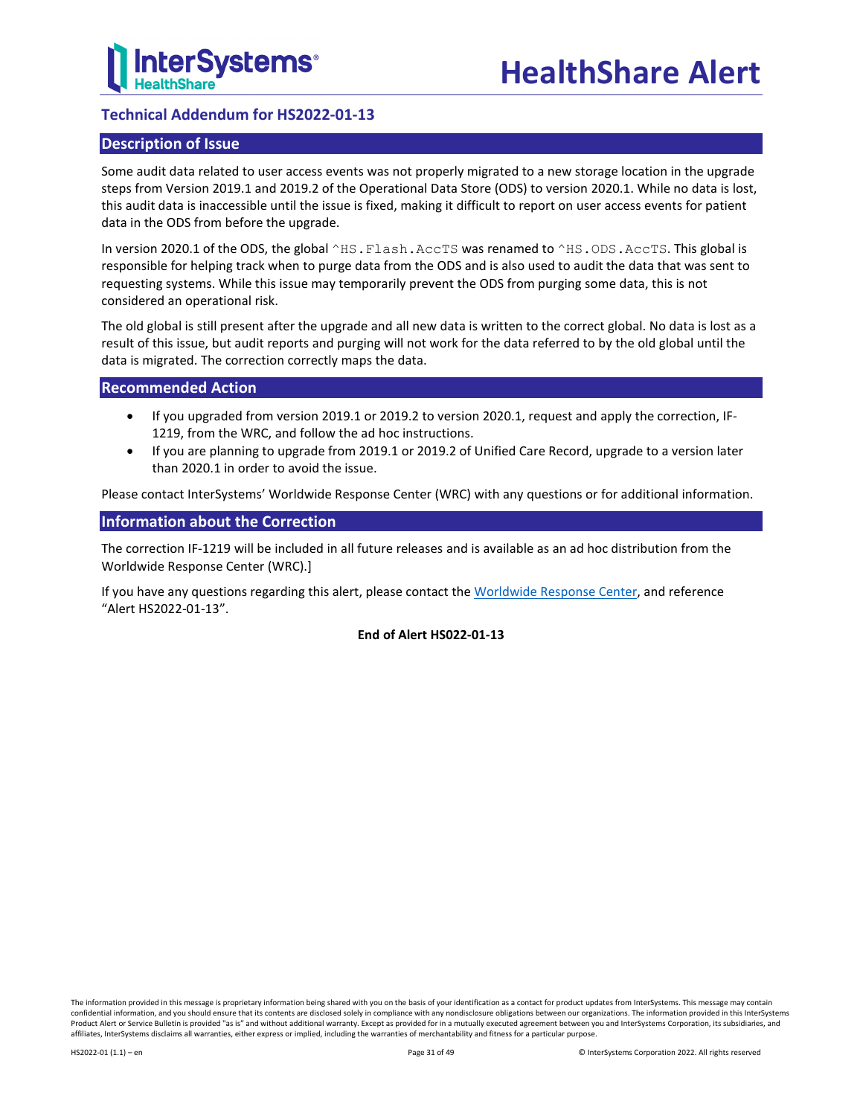

## <span id="page-30-0"></span>**Technical Addendum for HS2022-01-13**

## **Description of Issue**

Some audit data related to user access events was not properly migrated to a new storage location in the upgrade steps from Version 2019.1 and 2019.2 of the Operational Data Store (ODS) to version 2020.1. While no data is lost, this audit data is inaccessible until the issue is fixed, making it difficult to report on user access events for patient data in the ODS from before the upgrade.

In version 2020.1 of the ODS, the global ^HS.Flash.AccTS was renamed to ^HS.ODS.AccTS. This global is responsible for helping track when to purge data from the ODS and is also used to audit the data that was sent to requesting systems. While this issue may temporarily prevent the ODS from purging some data, this is not considered an operational risk.

The old global is still present after the upgrade and all new data is written to the correct global. No data is lost as a result of this issue, but audit reports and purging will not work for the data referred to by the old global until the data is migrated. The correction correctly maps the data.

## **Recommended Action**

- If you upgraded from version 2019.1 or 2019.2 to version 2020.1, request and apply the correction, IF-1219, from the WRC, and follow the ad hoc instructions.
- If you are planning to upgrade from 2019.1 or 2019.2 of Unified Care Record, upgrade to a version later than 2020.1 in order to avoid the issue.

Please contact InterSystems' Worldwide Response Center (WRC) with any questions or for additional information.

## **Information about the Correction**

The correction IF-1219 will be included in all future releases and is available as an ad hoc distribution from the Worldwide Response Center (WRC).]

If you have any questions regarding this alert, please contact th[e Worldwide Response Center,](mailto:support@intersystems.com?subject=HealthShare%20Alert%20HS2022-01-13) and reference "Alert HS2022-01-13".

#### **End of Alert HS022-01-13**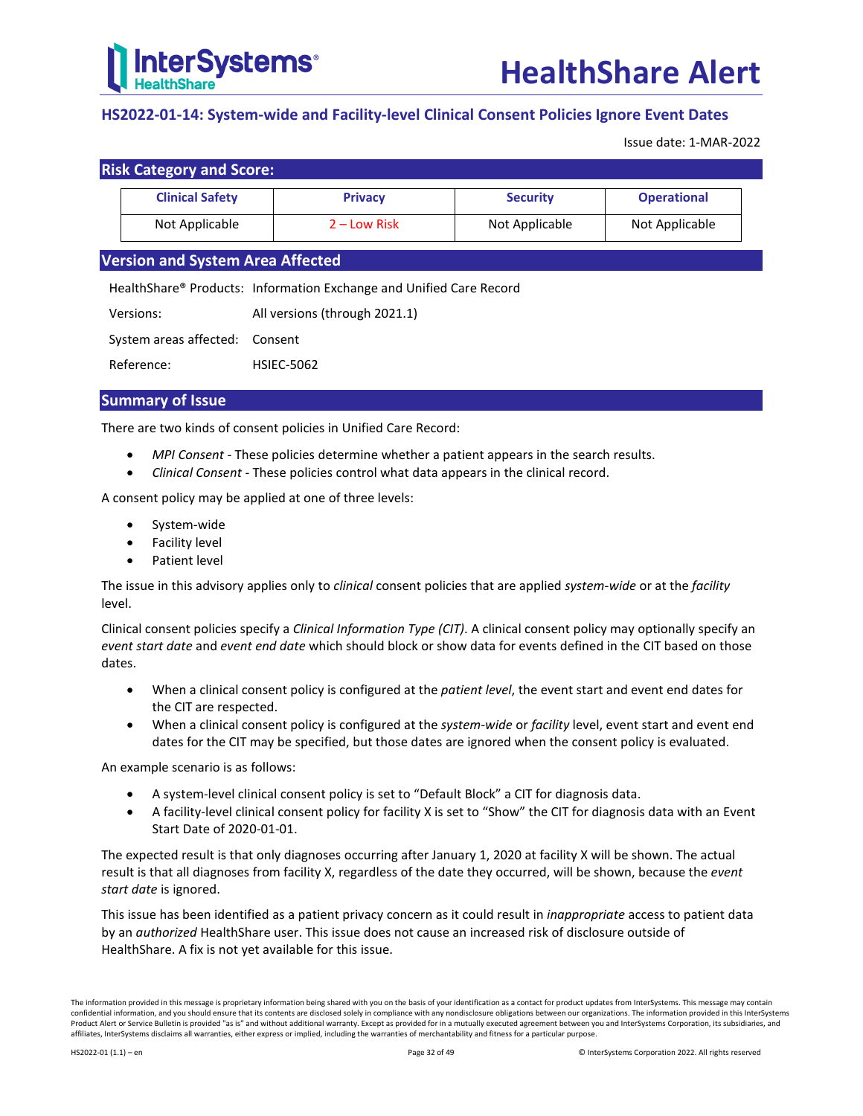

## <span id="page-31-0"></span>**HS2022-01-14: System-wide and Facility-level Clinical Consent Policies Ignore Event Dates**

Issue date: 1-MAR-2022

|  |  | <b>Risk Category and Score:</b> |
|--|--|---------------------------------|
|--|--|---------------------------------|

| <b>Clinical Safety</b> | <b>Privacy</b> | <b>Security</b> | <b>Operational</b> |
|------------------------|----------------|-----------------|--------------------|
| Not Applicable         | 2 – Low Risk   | Not Applicable  | Not Applicable     |

## **Version and System Area Affected**

HealthShare® Products: Information Exchange and Unified Care Record

| Versions: | All versions (through 2021.1) |  |
|-----------|-------------------------------|--|
|           |                               |  |

System areas affected: Consent

Reference: HSIEC-5062

## **Summary of Issue**

There are two kinds of consent policies in Unified Care Record:

- *MPI Consent* These policies determine whether a patient appears in the search results.
- *Clinical Consent* These policies control what data appears in the clinical record.

A consent policy may be applied at one of three levels:

- System-wide
- Facility level
- Patient level

The issue in this advisory applies only to *clinical* consent policies that are applied *system-wide* or at the *facility* level.

Clinical consent policies specify a *Clinical Information Type (CIT)*. A clinical consent policy may optionally specify an *event start date* and *event end date* which should block or show data for events defined in the CIT based on those dates.

- When a clinical consent policy is configured at the *patient level*, the event start and event end dates for the CIT are respected.
- When a clinical consent policy is configured at the *system-wide* or *facility* level, event start and event end dates for the CIT may be specified, but those dates are ignored when the consent policy is evaluated.

An example scenario is as follows:

- A system-level clinical consent policy is set to "Default Block" a CIT for diagnosis data.
- A facility-level clinical consent policy for facility X is set to "Show" the CIT for diagnosis data with an Event Start Date of 2020-01-01.

The expected result is that only diagnoses occurring after January 1, 2020 at facility X will be shown. The actual result is that all diagnoses from facility X, regardless of the date they occurred, will be shown, because the *event start date* is ignored.

This issue has been identified as a patient privacy concern as it could result in *inappropriate* access to patient data by an *authorized* HealthShare user. This issue does not cause an increased risk of disclosure outside of HealthShare. A fix is not yet available for this issue.

The information provided in this message is proprietary information being shared with you on the basis of your identification as a contact for product updates from InterSystems. This message may contain confidential information, and you should ensure that its contents are disclosed solely in compliance with any nondisclosure obligations between our organizations. The information provided in this InterSystems Product Alert or Service Bulletin is provided "as is" and without additional warranty. Except as provided for in a mutually executed agreement between you and InterSystems Corporation, its subsidiaries, and affiliates, InterSystems disclaims all warranties, either express or implied, including the warranties of merchantability and fitness for a particular purpose.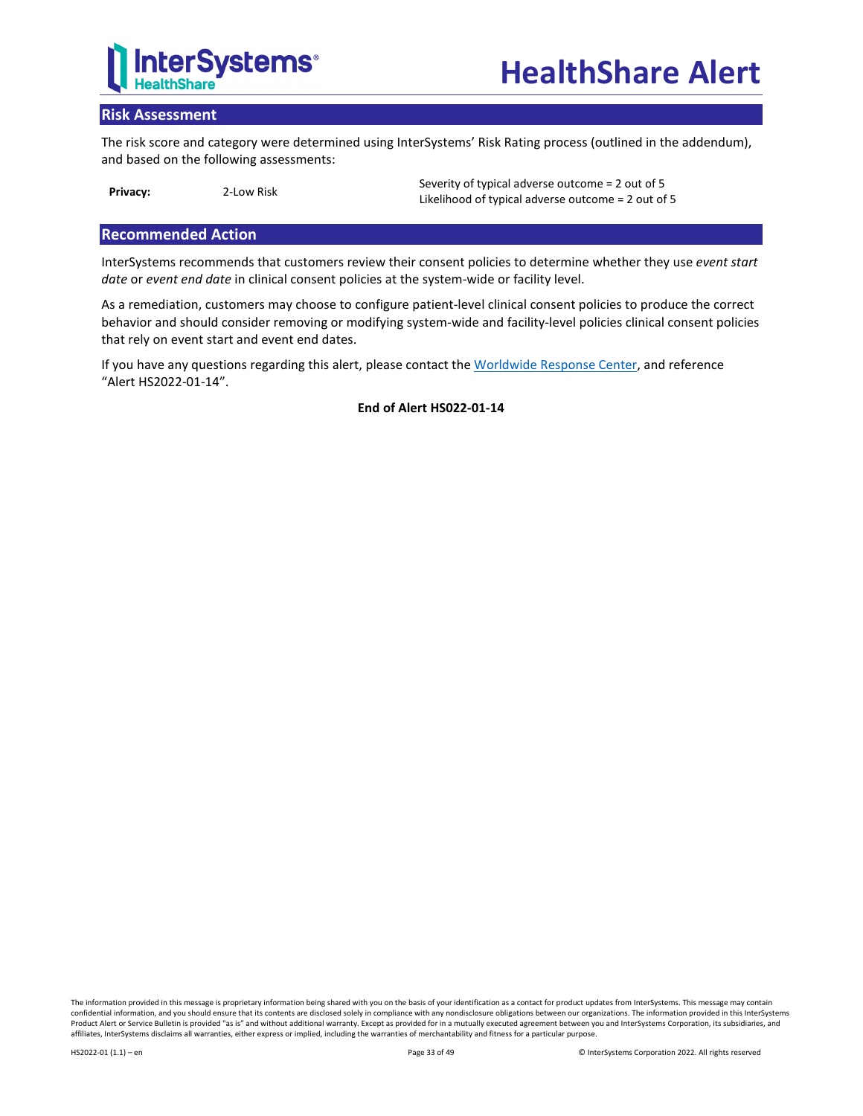

## **Risk Assessment**

The risk score and category were determined using InterSystems' Risk Rating process (outlined in the addendum), and based on the following assessments:

**Privacy:** 2-Low Risk Severity of typical adverse outcome = 2 out of 5 Likelihood of typical adverse outcome = 2 out of 5

## **Recommended Action**

InterSystems recommends that customers review their consent policies to determine whether they use *event start date* or *event end date* in clinical consent policies at the system-wide or facility level.

As a remediation, customers may choose to configure patient-level clinical consent policies to produce the correct behavior and should consider removing or modifying system-wide and facility-level policies clinical consent policies that rely on event start and event end dates.

If you have any questions regarding this alert, please contact th[e Worldwide Response Center,](mailto:support@intersystems.com?subject=HealthShare%20Alert%20HS2022-01-14) and reference "Alert HS2022-01-14".

**End of Alert HS022-01-14**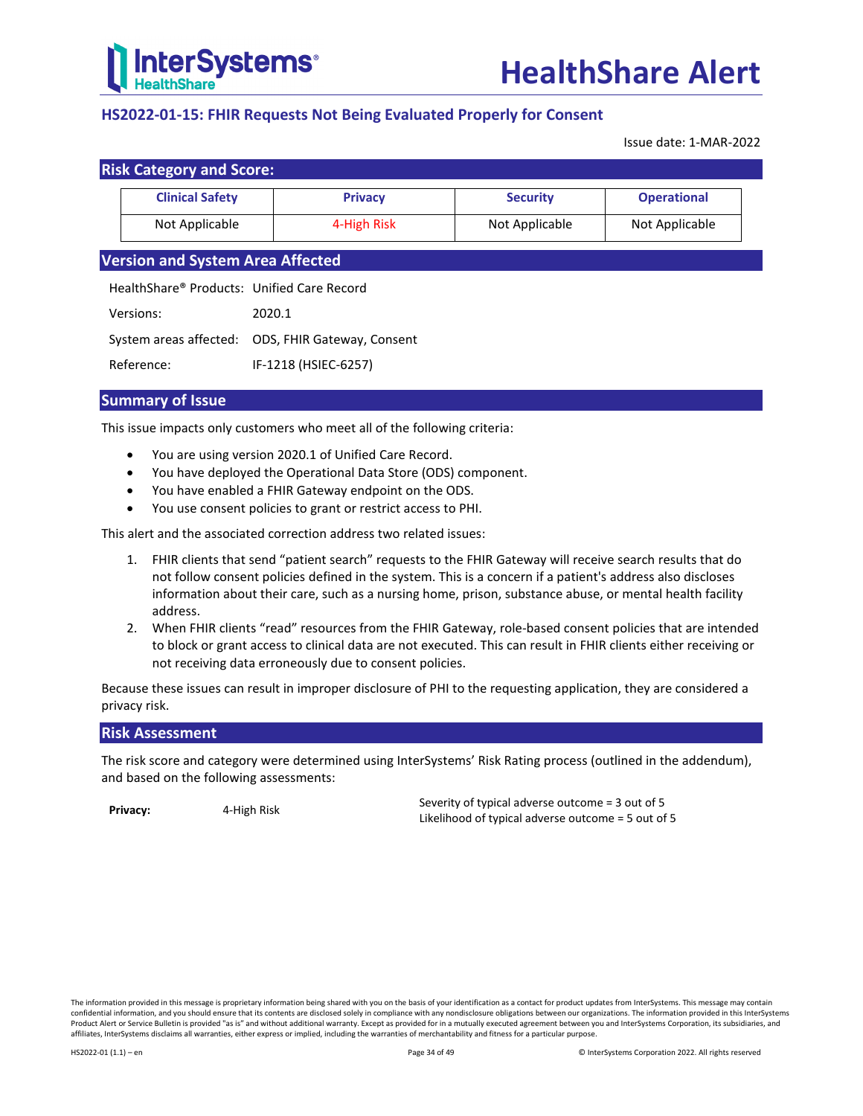

## <span id="page-33-0"></span>**HS2022-01-15: FHIR Requests Not Being Evaluated Properly for Consent**

Issue date: 1-MAR-2022

| <b>Risk Category and Score:</b> |                        |                |                 |                    |
|---------------------------------|------------------------|----------------|-----------------|--------------------|
|                                 | <b>Clinical Safety</b> | <b>Privacy</b> | <b>Security</b> | <b>Operational</b> |
|                                 | Not Applicable         | 4-High Risk    | Not Applicable  | Not Applicable     |

## **Version and System Area Affected**

HealthShare® Products: Unified Care Record

Versions: 2020.1

System areas affected: ODS, FHIR Gateway, Consent

Reference: IF-1218 (HSIEC-6257)

## **Summary of Issue**

This issue impacts only customers who meet all of the following criteria:

- You are using version 2020.1 of Unified Care Record.
- You have deployed the Operational Data Store (ODS) component.
- You have enabled a FHIR Gateway endpoint on the ODS.
- You use consent policies to grant or restrict access to PHI.

This alert and the associated correction address two related issues:

- 1. FHIR clients that send "patient search" requests to the FHIR Gateway will receive search results that do not follow consent policies defined in the system. This is a concern if a patient's address also discloses information about their care, such as a nursing home, prison, substance abuse, or mental health facility address.
- 2. When FHIR clients "read" resources from the FHIR Gateway, role-based consent policies that are intended to block or grant access to clinical data are not executed. This can result in FHIR clients either receiving or not receiving data erroneously due to consent policies.

Because these issues can result in improper disclosure of PHI to the requesting application, they are considered a privacy risk.

## **Risk Assessment**

The risk score and category were determined using InterSystems' Risk Rating process (outlined in the addendum), and based on the following assessments:

**Privacy:** 4-High Risk Severity of typical adverse outcome = 3 out of 5 Likelihood of typical adverse outcome = 5 out of 5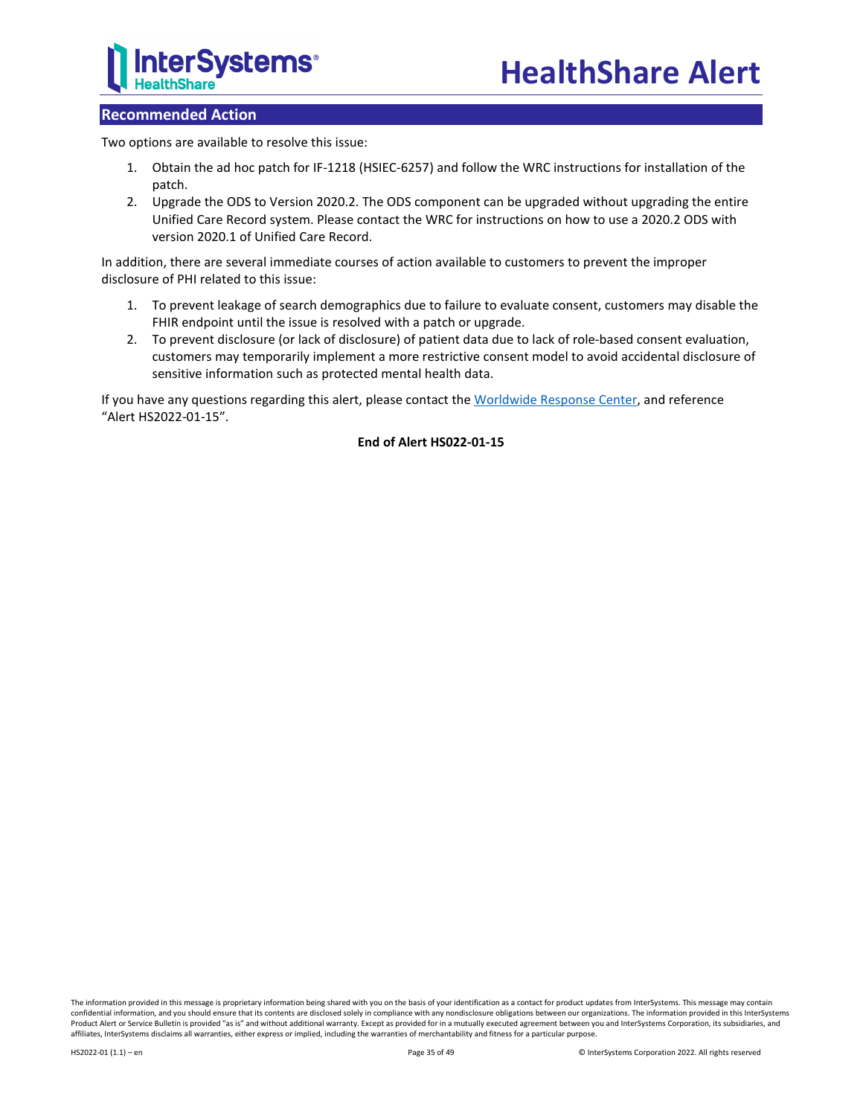

## **Recommended Action**

Two options are available to resolve this issue:

- 1. Obtain the ad hoc patch for IF-1218 (HSIEC-6257) and follow the WRC instructions for installation of the patch.
- 2. Upgrade the ODS to Version 2020.2. The ODS component can be upgraded without upgrading the entire Unified Care Record system. Please contact the WRC for instructions on how to use a 2020.2 ODS with version 2020.1 of Unified Care Record.

In addition, there are several immediate courses of action available to customers to prevent the improper disclosure of PHI related to this issue:

- 1. To prevent leakage of search demographics due to failure to evaluate consent, customers may disable the FHIR endpoint until the issue is resolved with a patch or upgrade.
- 2. To prevent disclosure (or lack of disclosure) of patient data due to lack of role-based consent evaluation, customers may temporarily implement a more restrictive consent model to avoid accidental disclosure of sensitive information such as protected mental health data.

If you have any questions regarding this alert, please contact th[e Worldwide Response Center,](mailto:support@intersystems.com?subject=HealthShare%20Alert%20HS2022-01-15) and reference "Alert HS2022-01-15".

## **End of Alert HS022-01-15**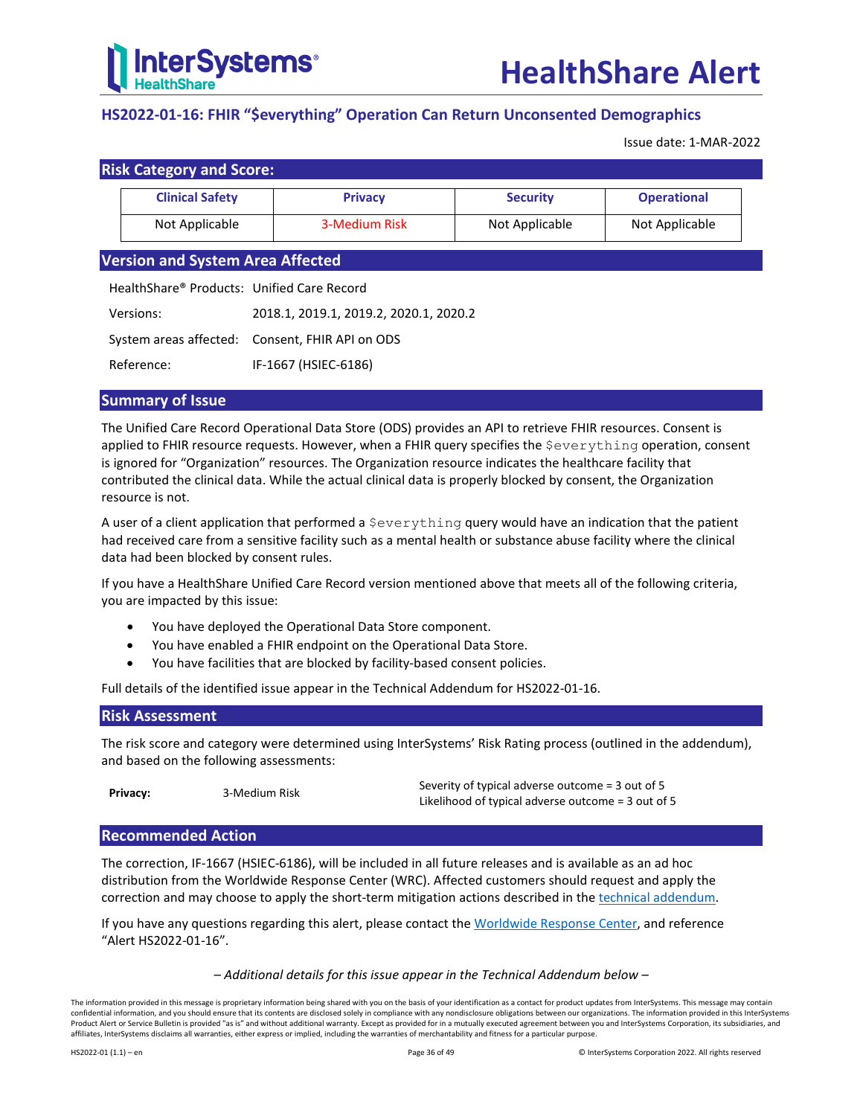

## <span id="page-35-0"></span>**HS2022-01-16: FHIR "\$everything" Operation Can Return Unconsented Demographics**

Issue date: 1-MAR-2022

| <b>Clinical Safety</b> | <b>Privacy</b> | <b>Security</b> | <b>Operational</b> |
|------------------------|----------------|-----------------|--------------------|
| Not Applicable         | 3-Medium Risk  | Not Applicable  | Not Applicable     |

## **Version and System Area Affected**

| HealthShare® Products: Unified Care Record |                                                 |
|--------------------------------------------|-------------------------------------------------|
| Versions:                                  | 2018.1. 2019.1. 2019.2. 2020.1. 2020.2          |
|                                            | System areas affected: Consent, FHIR API on ODS |
| Reference:                                 | IF-1667 (HSIEC-6186)                            |

## **Summary of Issue**

The Unified Care Record Operational Data Store (ODS) provides an API to retrieve FHIR resources. Consent is applied to FHIR resource requests. However, when a FHIR query specifies the Severything operation, consent is ignored for "Organization" resources. The Organization resource indicates the healthcare facility that contributed the clinical data. While the actual clinical data is properly blocked by consent, the Organization resource is not.

A user of a client application that performed a  $$everything query$  would have an indication that the patient had received care from a sensitive facility such as a mental health or substance abuse facility where the clinical data had been blocked by consent rules.

If you have a HealthShare Unified Care Record version mentioned above that meets all of the following criteria, you are impacted by this issue:

- You have deployed the Operational Data Store component.
- You have enabled a FHIR endpoint on the Operational Data Store.
- You have facilities that are blocked by facility-based consent policies.

Full details of the identified issue appear in the [Technical Addendum for HS2022-01-16.](#page-36-0)

## **Risk Assessment**

The risk score and category were determined using InterSystems' Risk Rating process (outlined in the addendum), and based on the following assessments:

**Privacy:** 3-Medium Risk Severity of typical adverse outcome = 3 out of 5 Likelihood of typical adverse outcome = 3 out of 5

#### **Recommended Action**

The correction, IF-1667 (HSIEC-6186), will be included in all future releases and is available as an ad hoc distribution from the Worldwide Response Center (WRC). Affected customers should request and apply the correction and may choose to apply the short-term mitigation actions described in th[e technical addendum.](#page-36-0)

If you have any questions regarding this alert, please contact th[e Worldwide Response Center,](mailto:support@intersystems.com?subject=HealthShare%20Alert%20HS2022-01-16) and reference "Alert HS2022-01-16".

#### *– Additional details for this issue appear in the Technical Addendum below –*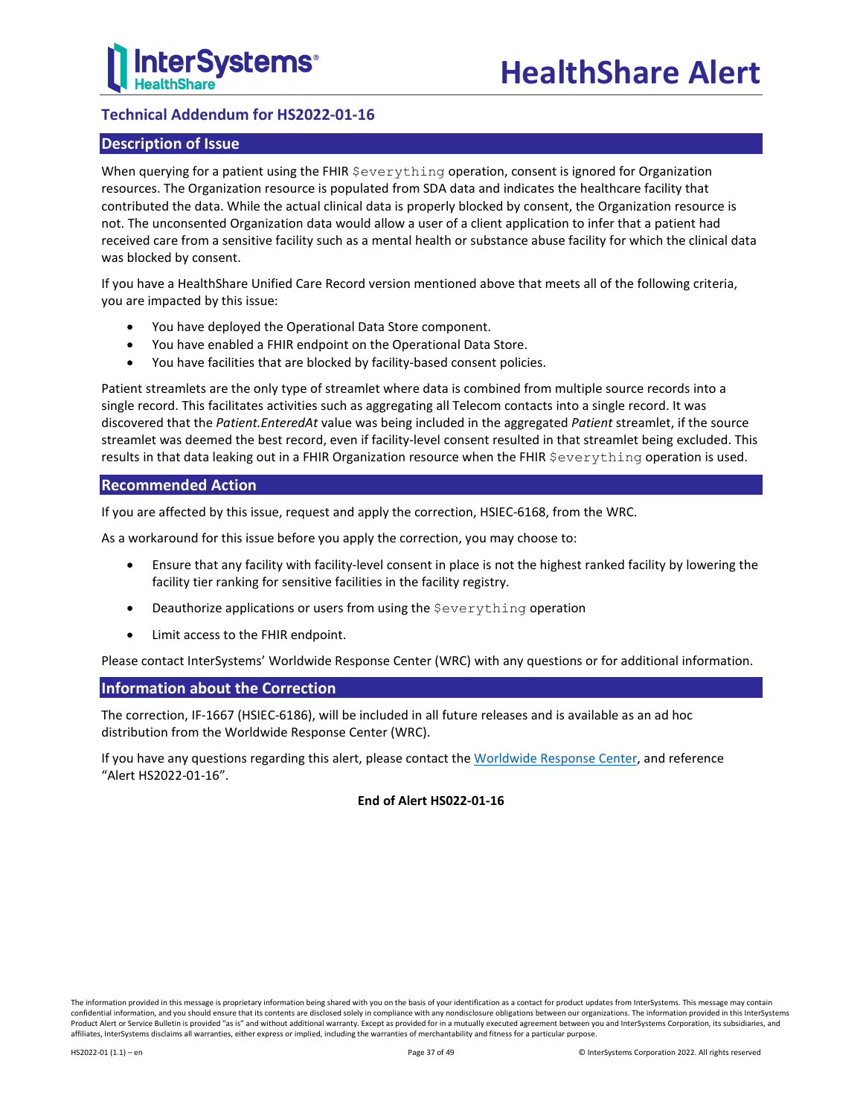## <span id="page-36-0"></span>**Technical Addendum for HS2022-01-16**

## **Description of Issue**

When querying for a patient using the FHIR  $\xi$ everything operation, consent is ignored for Organization resources. The Organization resource is populated from SDA data and indicates the healthcare facility that contributed the data. While the actual clinical data is properly blocked by consent, the Organization resource is not. The unconsented Organization data would allow a user of a client application to infer that a patient had received care from a sensitive facility such as a mental health or substance abuse facility for which the clinical data was blocked by consent.

If you have a HealthShare Unified Care Record version mentioned above that meets all of the following criteria, you are impacted by this issue:

- You have deployed the Operational Data Store component.
- You have enabled a FHIR endpoint on the Operational Data Store.
- You have facilities that are blocked by facility-based consent policies.

Patient streamlets are the only type of streamlet where data is combined from multiple source records into a single record. This facilitates activities such as aggregating all Telecom contacts into a single record. It was discovered that the *Patient.EnteredAt* value was being included in the aggregated *Patient* streamlet, if the source streamlet was deemed the best record, even if facility-level consent resulted in that streamlet being excluded. This results in that data leaking out in a FHIR Organization resource when the FHIR \$everything operation is used.

## **Recommended Action**

If you are affected by this issue, request and apply the correction, HSIEC-6168, from the WRC.

As a workaround for this issue before you apply the correction, you may choose to:

- Ensure that any facility with facility-level consent in place is not the highest ranked facility by lowering the facility tier ranking for sensitive facilities in the facility registry.
- Deauthorize applications or users from using the \$everything operation
- Limit access to the FHIR endpoint.

Please contact InterSystems' Worldwide Response Center (WRC) with any questions or for additional information.

## **Information about the Correction**

The correction, IF-1667 (HSIEC-6186), will be included in all future releases and is available as an ad hoc distribution from the Worldwide Response Center (WRC).

If you have any questions regarding this alert, please contact th[e Worldwide Response Center,](mailto:support@intersystems.com?subject=HealthShare%20Alert%20HS2022-01-16) and reference "Alert HS2022-01-16".

## **End of Alert HS022-01-16**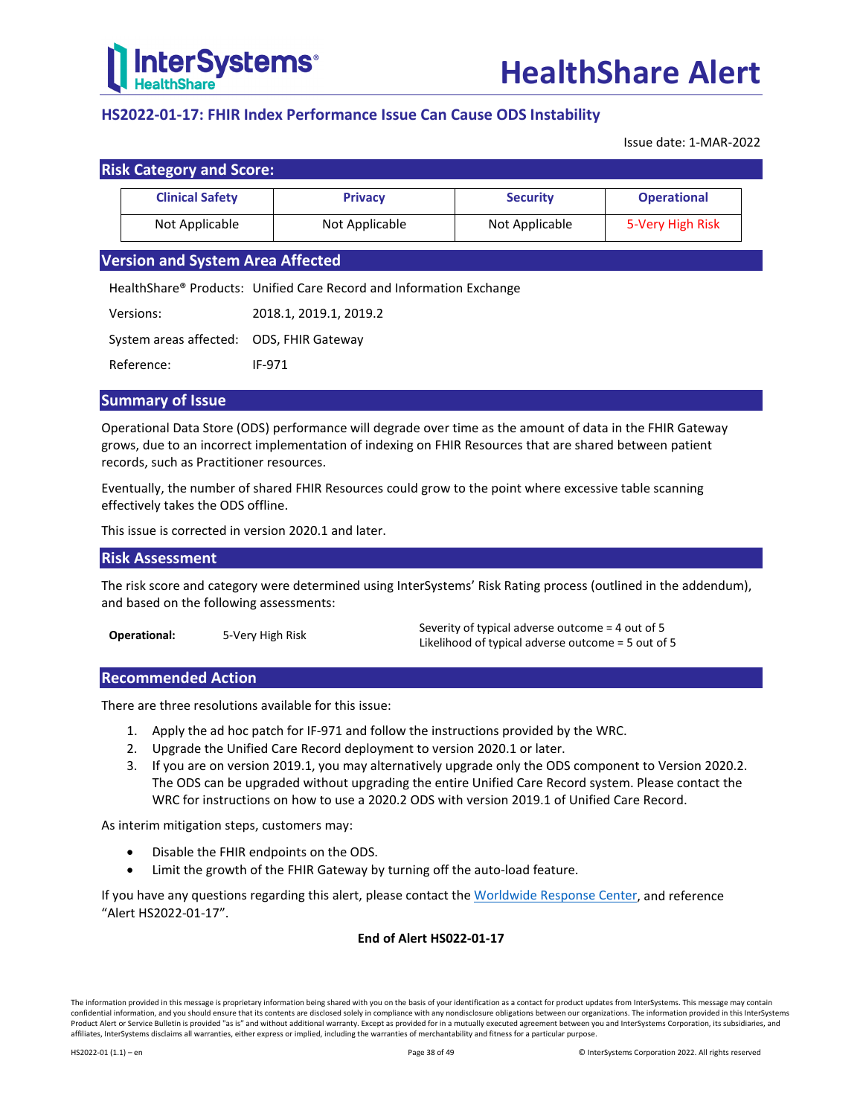

## <span id="page-37-0"></span>**HS2022-01-17: FHIR Index Performance Issue Can Cause ODS Instability**

Issue date: 1-MAR-2022

| <b>Risk Category and Score:</b> |                        |                |                 |                    |
|---------------------------------|------------------------|----------------|-----------------|--------------------|
|                                 | <b>Clinical Safety</b> | <b>Privacy</b> | <b>Security</b> | <b>Operational</b> |
|                                 | Not Applicable         | Not Applicable | Not Applicable  | 5-Very High Risk   |

## **Version and System Area Affected**

HealthShare® Products: Unified Care Record and Information Exchange

| Versions:                                | 2018.1, 2019.1, 2019.2 |
|------------------------------------------|------------------------|
| System areas affected: ODS, FHIR Gateway |                        |
| Reference:                               | IF-971                 |

## **Summary of Issue**

Operational Data Store (ODS) performance will degrade over time as the amount of data in the FHIR Gateway grows, due to an incorrect implementation of indexing on FHIR Resources that are shared between patient records, such as Practitioner resources.

Eventually, the number of shared FHIR Resources could grow to the point where excessive table scanning effectively takes the ODS offline.

This issue is corrected in version 2020.1 and later.

## **Risk Assessment**

The risk score and category were determined using InterSystems' Risk Rating process (outlined in the addendum), and based on the following assessments:

| Operational: | 5-Very High Risk |
|--------------|------------------|
|              |                  |

Severity of typical adverse outcome = 4 out of 5 Likelihood of typical adverse outcome = 5 out of 5

## **Recommended Action**

There are three resolutions available for this issue:

- 1. Apply the ad hoc patch for IF-971 and follow the instructions provided by the WRC.
- 2. Upgrade the Unified Care Record deployment to version 2020.1 or later.
- 3. If you are on version 2019.1, you may alternatively upgrade only the ODS component to Version 2020.2. The ODS can be upgraded without upgrading the entire Unified Care Record system. Please contact the WRC for instructions on how to use a 2020.2 ODS with version 2019.1 of Unified Care Record.

As interim mitigation steps, customers may:

- Disable the FHIR endpoints on the ODS.
- Limit the growth of the FHIR Gateway by turning off the auto-load feature.

If you have any questions regarding this alert, please contact th[e Worldwide Response Center,](mailto:support@intersystems.com?subject=HealthShare%20Alert%20HS2022-01-17) and reference "Alert HS2022-01-17".

## **End of Alert HS022-01-17**

The information provided in this message is proprietary information being shared with you on the basis of your identification as a contact for product updates from InterSystems. This message may contain confidential information, and you should ensure that its contents are disclosed solely in compliance with any nondisclosure obligations between our organizations. The information provided in this InterSystems Product Alert or Service Bulletin is provided "as is" and without additional warranty. Except as provided for in a mutually executed agreement between you and InterSystems Corporation, its subsidiaries, and affiliates, InterSystems disclaims all warranties, either express or implied, including the warranties of merchantability and fitness for a particular purpose.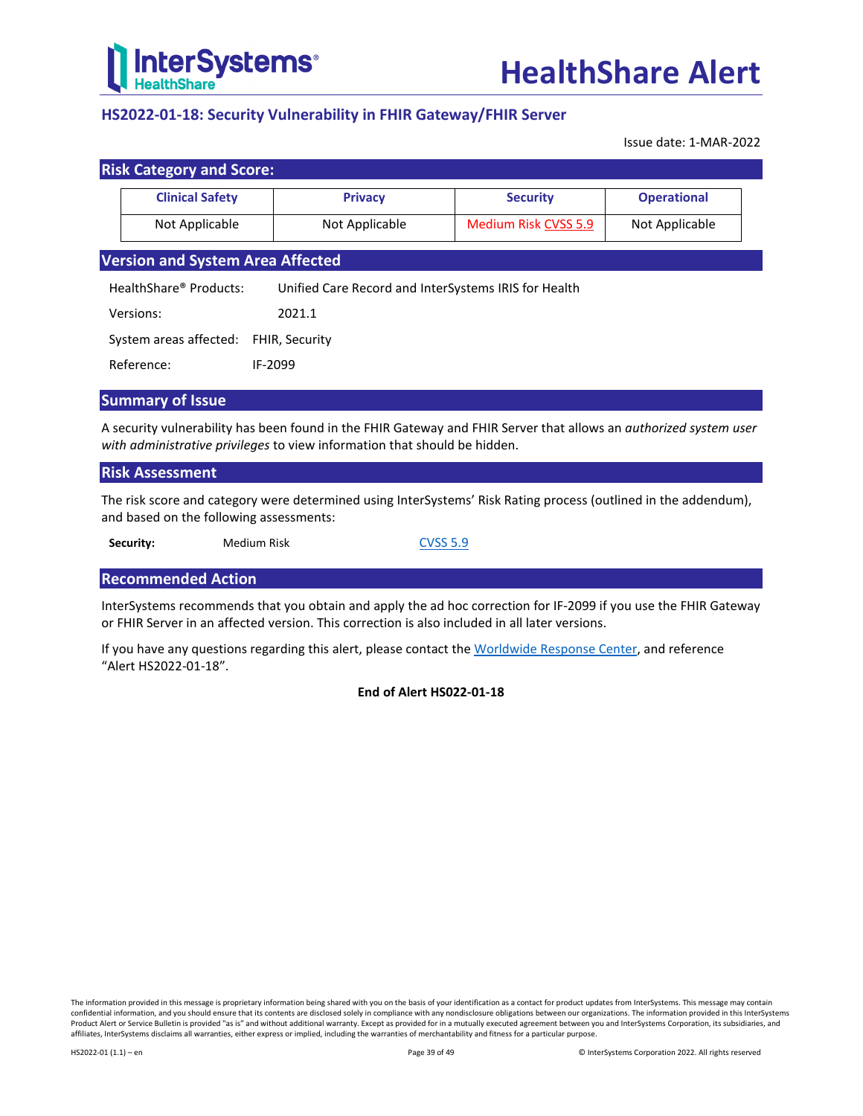

## <span id="page-38-0"></span>**HS2022-01-18: Security Vulnerability in FHIR Gateway/FHIR Server**

Issue date: 1-MAR-2022

| <b>Risk Category and Score:</b>         |                                                      |                             |                    |
|-----------------------------------------|------------------------------------------------------|-----------------------------|--------------------|
| <b>Clinical Safety</b>                  | <b>Privacy</b>                                       | <b>Security</b>             | <b>Operational</b> |
| Not Applicable                          | Not Applicable                                       | <b>Medium Risk CVSS 5.9</b> | Not Applicable     |
| <b>Version and System Area Affected</b> |                                                      |                             |                    |
| HealthShare® Products:                  | Unified Care Record and InterSystems IRIS for Health |                             |                    |
| Versions:                               | 2021.1                                               |                             |                    |
| System areas affected:                  | <b>FHIR, Security</b>                                |                             |                    |
| Reference:                              | IF-2099                                              |                             |                    |
|                                         |                                                      |                             |                    |

## **Summary of Issue**

A security vulnerability has been found in the FHIR Gateway and FHIR Server that allows an *authorized system user with administrative privileges* to view information that should be hidden.

## **Risk Assessment**

The risk score and category were determined using InterSystems' Risk Rating process (outlined in the addendum), and based on the following assessments:

**Security:** Medium Risk [CVSS 5.9](https://nvd.nist.gov/vuln-metrics/cvss/v3-calculator?vector=AV:N/AC:L/PR:H/UI:R/S:U/C:H/I:H/A:H/E:U/RL:O/RC:C/CR:H/IR:H/AR:H/MAV:N/MAC:L/MPR:H/MUI:R/MS:U/MC:H/MI:H/MA:H&version=3.1)

## **Recommended Action**

InterSystems recommends that you obtain and apply the ad hoc correction for IF-2099 if you use the FHIR Gateway or FHIR Server in an affected version. This correction is also included in all later versions.

If you have any questions regarding this alert, please contact th[e Worldwide Response Center,](mailto:support@intersystems.com?subject=HealthShare%20Alert%20HS2022-01-18) and reference "Alert HS2022-01-18".

## **End of Alert HS022-01-18**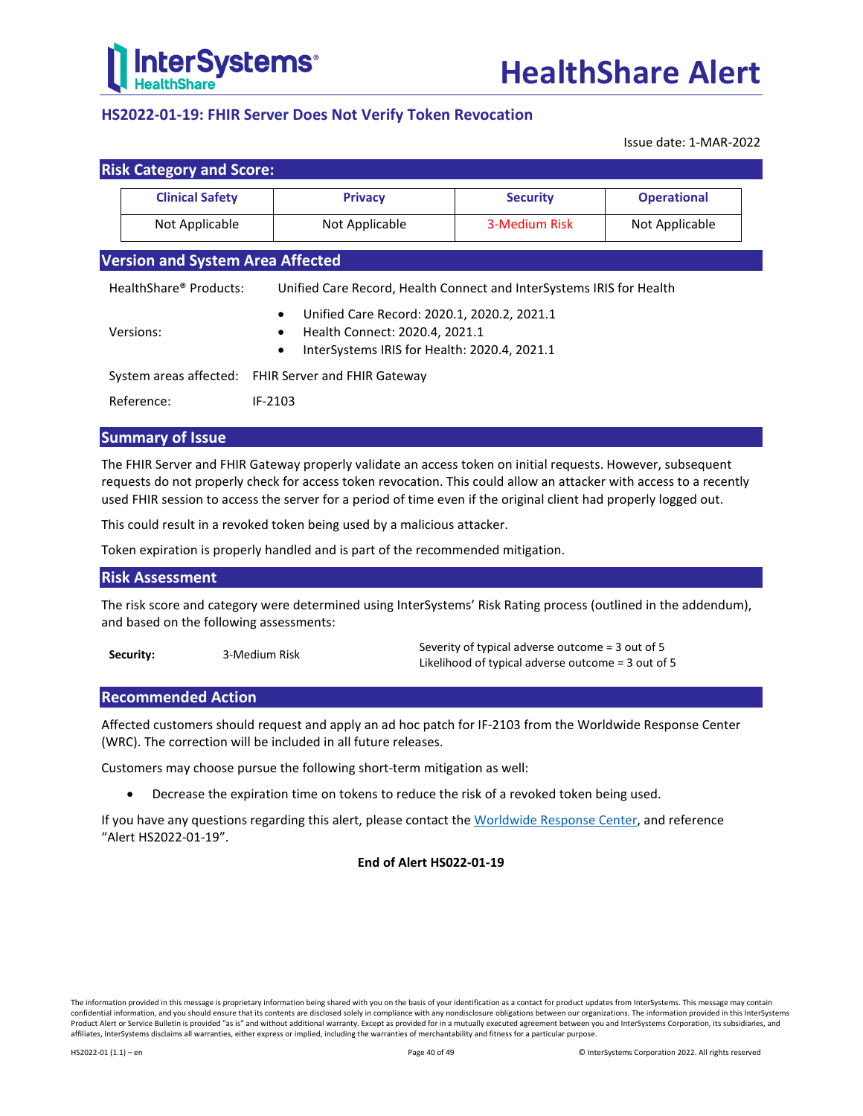

## <span id="page-39-0"></span>**HS2022-01-19: FHIR Server Does Not Verify Token Revocation**

Issue date: 1-MAR-2022

| <b>Risk Category and Score:</b>                                                                                                                                      |                                                     |                                                                      |                    |
|----------------------------------------------------------------------------------------------------------------------------------------------------------------------|-----------------------------------------------------|----------------------------------------------------------------------|--------------------|
| <b>Clinical Safety</b>                                                                                                                                               | <b>Privacy</b>                                      | <b>Security</b>                                                      | <b>Operational</b> |
| Not Applicable                                                                                                                                                       | Not Applicable                                      | 3-Medium Risk                                                        | Not Applicable     |
| <b>Version and System Area Affected</b>                                                                                                                              |                                                     |                                                                      |                    |
| HealthShare® Products:                                                                                                                                               |                                                     | Unified Care Record, Health Connect and InterSystems IRIS for Health |                    |
| Unified Care Record: 2020.1, 2020.2, 2021.1<br>$\bullet$<br>Versions:<br>Health Connect: 2020.4, 2021.1<br>InterSystems IRIS for Health: 2020.4, 2021.1<br>$\bullet$ |                                                     |                                                                      |                    |
|                                                                                                                                                                      | System areas affected: FHIR Server and FHIR Gateway |                                                                      |                    |
| Reference:                                                                                                                                                           | IF-2103                                             |                                                                      |                    |

## **Summary of Issue**

The FHIR Server and FHIR Gateway properly validate an access token on initial requests. However, subsequent requests do not properly check for access token revocation. This could allow an attacker with access to a recently used FHIR session to access the server for a period of time even if the original client had properly logged out.

This could result in a revoked token being used by a malicious attacker.

Token expiration is properly handled and is part of the recommended mitigation.

## **Risk Assessment**

The risk score and category were determined using InterSystems' Risk Rating process (outlined in the addendum), and based on the following assessments:

| Security: | 3-Medium Risk | Severity of typical adverse outcome = 3 out of 5   |
|-----------|---------------|----------------------------------------------------|
|           |               | Likelihood of typical adverse outcome = 3 out of 5 |

## **Recommended Action**

Affected customers should request and apply an ad hoc patch for IF-2103 from the Worldwide Response Center (WRC). The correction will be included in all future releases.

Customers may choose pursue the following short-term mitigation as well:

• Decrease the expiration time on tokens to reduce the risk of a revoked token being used.

If you have any questions regarding this alert, please contact th[e Worldwide Response Center,](mailto:support@intersystems.com?subject=HealthShare%20Alert%20HS2022-01-19) and reference "Alert HS2022-01-19".

## **End of Alert HS022-01-19**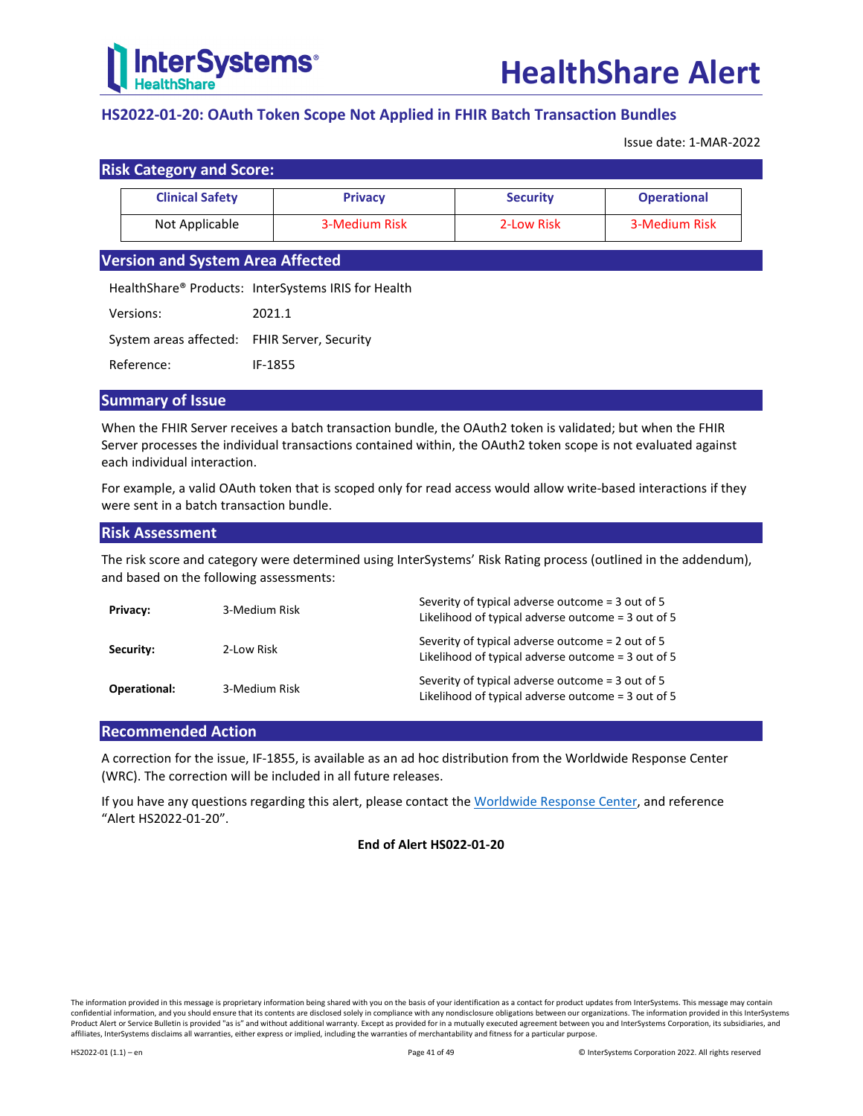

## <span id="page-40-0"></span>**HS2022-01-20: OAuth Token Scope Not Applied in FHIR Batch Transaction Bundles**

Issue date: 1-MAR-2022

| <b>Risk Category and Score:</b> |
|---------------------------------|
|---------------------------------|

| <b>Clinical Safety</b> | <b>Privacy</b> | <b>Security</b> | <b>Operational</b> |
|------------------------|----------------|-----------------|--------------------|
| Not Applicable         | 3-Medium Risk  | 2-Low Risk      | 3-Medium Risk      |

## **Version and System Area Affected**

HealthShare® Products: InterSystems IRIS for Health

| Versions: | 2021.1 |
|-----------|--------|
|           |        |

System areas affected: FHIR Server, Security

Reference: IF-1855

## **Summary of Issue**

When the FHIR Server receives a batch transaction bundle, the OAuth2 token is validated; but when the FHIR Server processes the individual transactions contained within, the OAuth2 token scope is not evaluated against each individual interaction.

For example, a valid OAuth token that is scoped only for read access would allow write-based interactions if they were sent in a batch transaction bundle.

## **Risk Assessment**

The risk score and category were determined using InterSystems' Risk Rating process (outlined in the addendum), and based on the following assessments:

| Privacy:     | 3-Medium Risk | Severity of typical adverse outcome = 3 out of 5<br>Likelihood of typical adverse outcome = 3 out of 5 |
|--------------|---------------|--------------------------------------------------------------------------------------------------------|
| Security:    | 2-Low Risk    | Severity of typical adverse outcome = 2 out of 5<br>Likelihood of typical adverse outcome = 3 out of 5 |
| Operational: | 3-Medium Risk | Severity of typical adverse outcome = 3 out of 5<br>Likelihood of typical adverse outcome = 3 out of 5 |

## **Recommended Action**

A correction for the issue, IF-1855, is available as an ad hoc distribution from the Worldwide Response Center (WRC). The correction will be included in all future releases.

If you have any questions regarding this alert, please contact th[e Worldwide Response Center,](mailto:support@intersystems.com?subject=HealthShare%20Alert%20HS2022-01-20) and reference "Alert HS2022-01-20".

## **End of Alert HS022-01-20**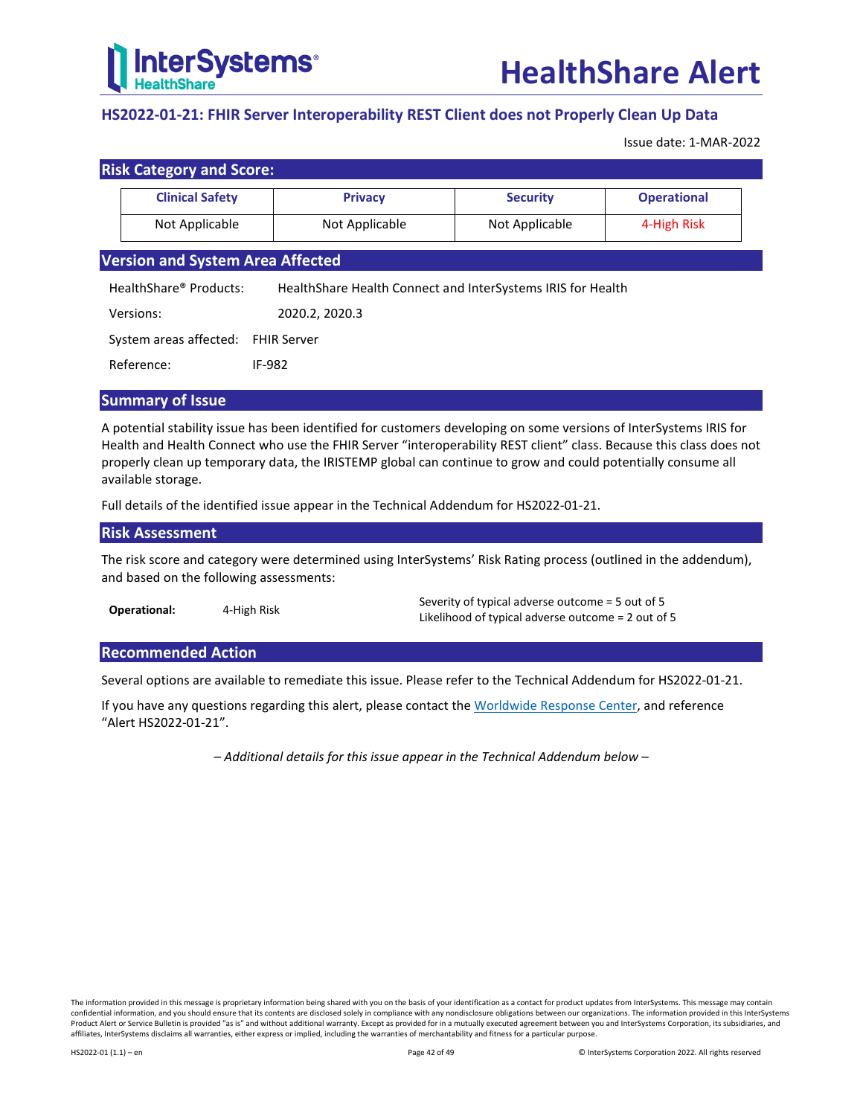

## <span id="page-41-0"></span>**HS2022-01-21: FHIR Server Interoperability REST Client does not Properly Clean Up Data**

Issue date: 1-MAR-2022

| <b>Risk Category and Score:</b>         |                                                               |                 |                    |
|-----------------------------------------|---------------------------------------------------------------|-----------------|--------------------|
| <b>Clinical Safety</b>                  | <b>Privacy</b>                                                | <b>Security</b> | <b>Operational</b> |
| Not Applicable                          | Not Applicable                                                |                 | 4-High Risk        |
| <b>Version and System Area Affected</b> |                                                               |                 |                    |
| HealthShare® Products:                  | Health Share Health Connect and Inter Systems IRIS for Health |                 |                    |
| Versions:                               | 2020.2, 2020.3                                                |                 |                    |
| System areas affected:                  | <b>FHIR Server</b>                                            |                 |                    |
| Reference:                              | IF-982                                                        |                 |                    |
|                                         |                                                               |                 |                    |

## **Summary of Issue**

A potential stability issue has been identified for customers developing on some versions of InterSystems IRIS for Health and Health Connect who use the FHIR Server "interoperability REST client" class. Because this class does not properly clean up temporary data, the IRISTEMP global can continue to grow and could potentially consume all available storage.

Full details of the identified issue appear in the [Technical Addendum for HS2022-01-21.](#page-42-0)

#### **Risk Assessment**

The risk score and category were determined using InterSystems' Risk Rating process (outlined in the addendum), and based on the following assessments:

| Operational: | 4-High Risk | Severity of typical adverse outcome = 5 out of 5   |
|--------------|-------------|----------------------------------------------------|
|              |             | Likelihood of typical adverse outcome = 2 out of 5 |

## **Recommended Action**

Several options are available to remediate this issue. Please refer to the [Technical Addendum for HS2022-01-21.](#page-42-0)

If you have any questions regarding this alert, please contact th[e Worldwide Response Center,](mailto:support@intersystems.com?subject=HealthShare%20Alert%20HS2022-01-21) and reference "Alert HS2022-01-21".

*– Additional details for this issue appear in the Technical Addendum below –*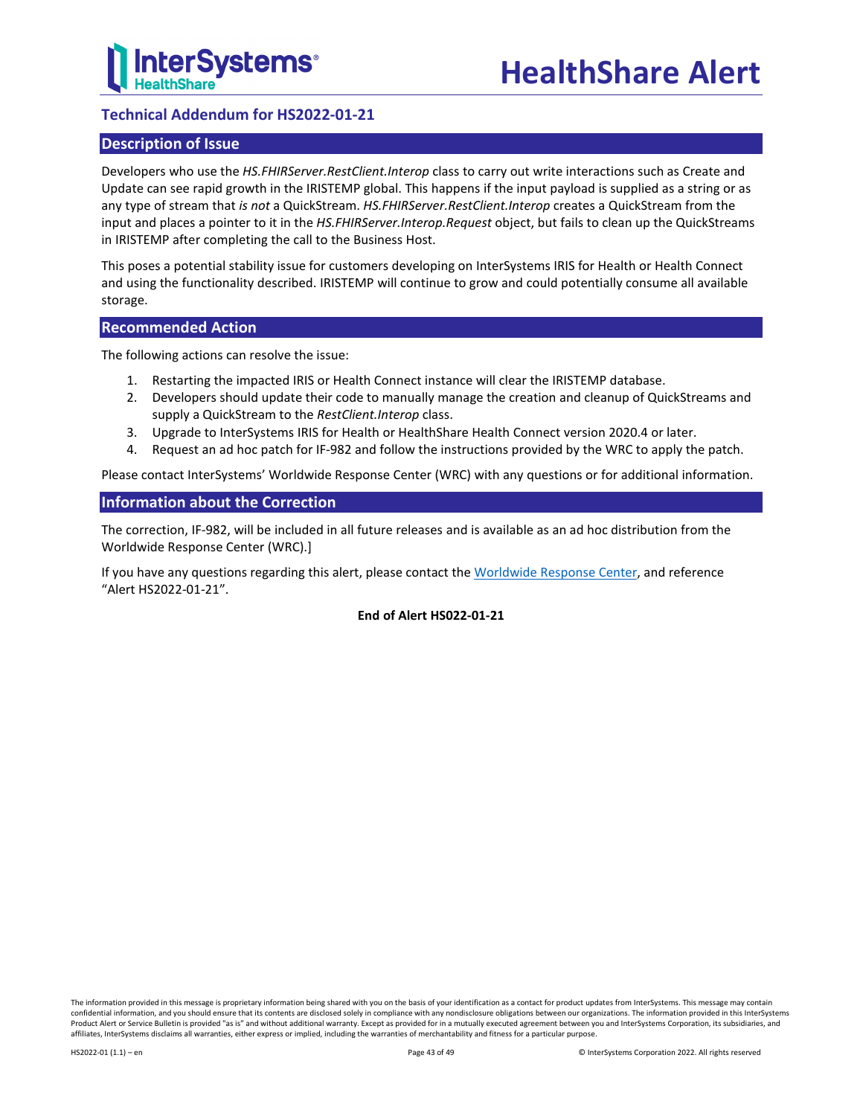

## <span id="page-42-0"></span>**Technical Addendum for HS2022-01-21**

## **Description of Issue**

Developers who use the *HS.FHIRServer.RestClient.Interop* class to carry out write interactions such as Create and Update can see rapid growth in the IRISTEMP global. This happens if the input payload is supplied as a string or as any type of stream that *is not* a QuickStream. *HS.FHIRServer.RestClient.Interop* creates a QuickStream from the input and places a pointer to it in the *HS.FHIRServer.Interop.Request* object, but fails to clean up the QuickStreams in IRISTEMP after completing the call to the Business Host.

This poses a potential stability issue for customers developing on InterSystems IRIS for Health or Health Connect and using the functionality described. IRISTEMP will continue to grow and could potentially consume all available storage.

## **Recommended Action**

The following actions can resolve the issue:

- 1. Restarting the impacted IRIS or Health Connect instance will clear the IRISTEMP database.
- 2. Developers should update their code to manually manage the creation and cleanup of QuickStreams and supply a QuickStream to the *RestClient.Interop* class.
- 3. Upgrade to InterSystems IRIS for Health or HealthShare Health Connect version 2020.4 or later.
- 4. Request an ad hoc patch for IF-982 and follow the instructions provided by the WRC to apply the patch.

Please contact InterSystems' Worldwide Response Center (WRC) with any questions or for additional information.

## **Information about the Correction**

The correction, IF-982, will be included in all future releases and is available as an ad hoc distribution from the Worldwide Response Center (WRC).]

If you have any questions regarding this alert, please contact th[e Worldwide Response Center,](mailto:support@intersystems.com?subject=HealthShare%20Alert%20HS2022-01-21) and reference "Alert HS2022-01-21".

## **End of Alert HS022-01-21**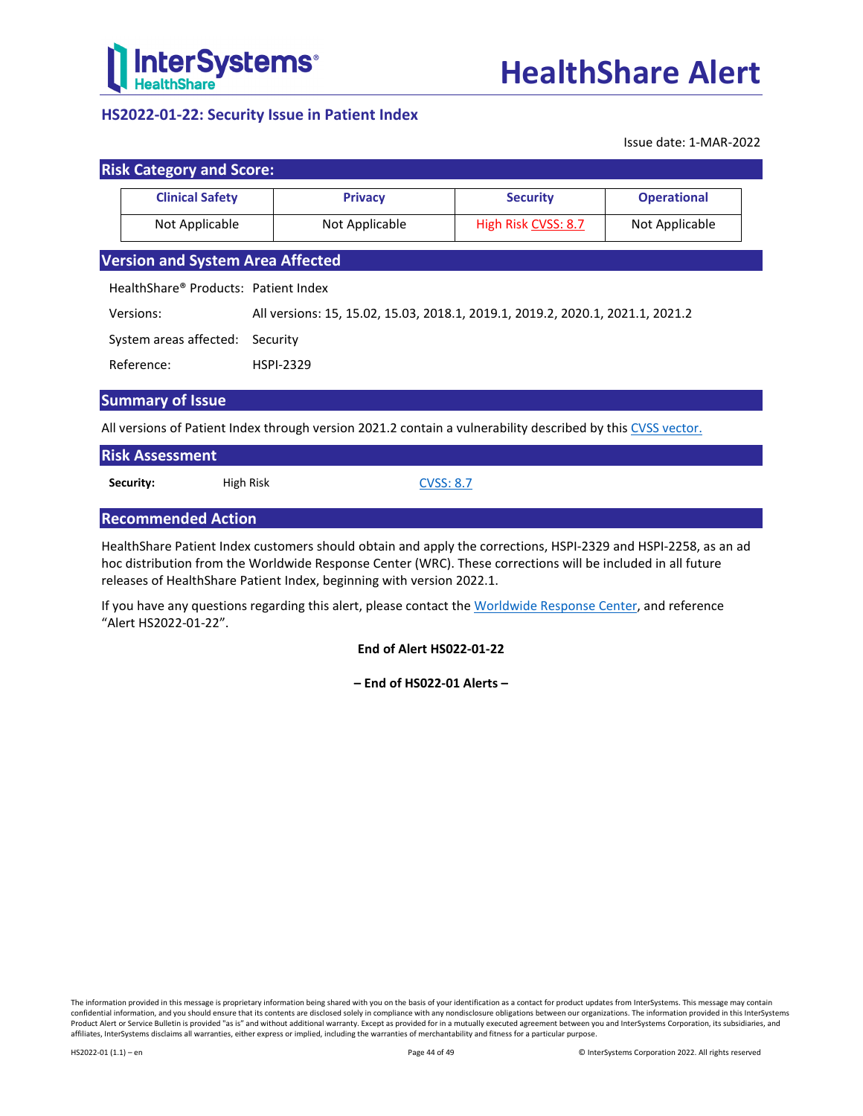

## <span id="page-43-0"></span>**HS2022-01-22: Security Issue in Patient Index**

Issue date: 1-MAR-2022

| <b>Clinical Safety</b>                  | <b>Privacy</b>                                                                 | <b>Security</b> | <b>Operational</b> |
|-----------------------------------------|--------------------------------------------------------------------------------|-----------------|--------------------|
| Not Applicable                          | Not Applicable<br>High Risk CVSS: 8.7<br>Not Applicable                        |                 |                    |
| <b>Version and System Area Affected</b> |                                                                                |                 |                    |
| HealthShare® Products: Patient Index    |                                                                                |                 |                    |
| Versions:                               | All versions: 15, 15.02, 15.03, 2018.1, 2019.1, 2019.2, 2020.1, 2021.1, 2021.2 |                 |                    |
| System areas affected:<br>Security      |                                                                                |                 |                    |
|                                         | <b>HSPI-2329</b>                                                               |                 |                    |

All versions of Patient Index through version 2021.2 contain a vulnerability described by thi[s CVSS](https://www.first.org/cvss/calculator/3.1#CVSS:3.1/AV:N/AC:H/PR:L/UI:R/S:C/C:L/I:H/A:N/E:P/RL:O/CR:H/IR:H/AR:H/MAV:N/MAC:L/MPR:N/MUI:R/MS:C) vector.

| <b>Risk Assessment</b> |           |                  |  |
|------------------------|-----------|------------------|--|
| Security:              | High Risk | <b>CVSS: 8.7</b> |  |

## **Recommended Action**

HealthShare Patient Index customers should obtain and apply the corrections, HSPI-2329 and HSPI-2258, as an ad hoc distribution from the Worldwide Response Center (WRC). These corrections will be included in all future releases of HealthShare Patient Index, beginning with version 2022.1.

If you have any questions regarding this alert, please contact th[e Worldwide Response Center,](mailto:support@intersystems.com?subject=HealthShare%20Alert%20HS2022-01-22) and reference "Alert HS2022-01-22".

**End of Alert HS022-01-22**

**– End of HS022-01 Alerts –**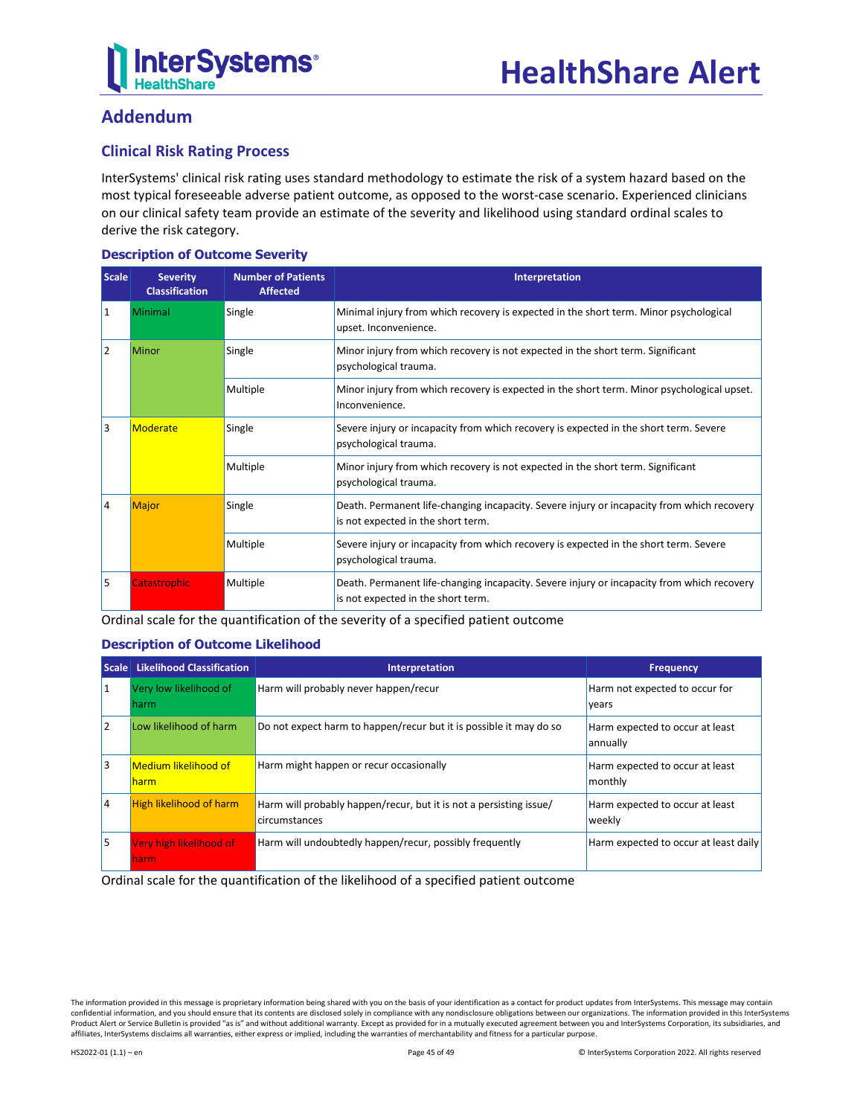

## **Addendum**

## **Clinical Risk Rating Process**

InterSystems' clinical risk rating uses standard methodology to estimate the risk of a system hazard based on the most typical foreseeable adverse patient outcome, as opposed to the worst-case scenario. Experienced clinicians on our clinical safety team provide an estimate of the severity and likelihood using standard ordinal scales to derive the risk category.

## **Description of Outcome Severity**

| <b>Scale</b>                                     | <b>Severity</b><br><b>Classification</b> | <b>Number of Patients</b><br><b>Affected</b> | Interpretation                                                                                                                   |  |
|--------------------------------------------------|------------------------------------------|----------------------------------------------|----------------------------------------------------------------------------------------------------------------------------------|--|
| 1                                                | Minimal                                  | Single                                       | Minimal injury from which recovery is expected in the short term. Minor psychological<br>upset. Inconvenience.                   |  |
| 2                                                | Minor                                    | Single                                       | Minor injury from which recovery is not expected in the short term. Significant<br>psychological trauma.                         |  |
|                                                  |                                          | Multiple                                     | Minor injury from which recovery is expected in the short term. Minor psychological upset.<br>Inconvenience.                     |  |
| 3<br>Moderate<br>Single<br>psychological trauma. |                                          |                                              | Severe injury or incapacity from which recovery is expected in the short term. Severe                                            |  |
|                                                  |                                          | Multiple                                     | Minor injury from which recovery is not expected in the short term. Significant<br>psychological trauma.                         |  |
| 4                                                | <b>Major</b>                             | Single                                       | Death. Permanent life-changing incapacity. Severe injury or incapacity from which recovery<br>is not expected in the short term. |  |
|                                                  |                                          | Multiple                                     | Severe injury or incapacity from which recovery is expected in the short term. Severe<br>psychological trauma.                   |  |
| 5                                                | <b>Catastrophic</b>                      | Multiple                                     | Death. Permanent life-changing incapacity. Severe injury or incapacity from which recovery<br>is not expected in the short term. |  |

Ordinal scale for the quantification of the severity of a specified patient outcome

## **Description of Outcome Likelihood**

|    | Scale Likelihood Classification      | Interpretation                                                                      | <b>Frequency</b>                            |
|----|--------------------------------------|-------------------------------------------------------------------------------------|---------------------------------------------|
| 11 | Very low likelihood of<br>harm       | Harm will probably never happen/recur                                               | Harm not expected to occur for<br>years     |
| 12 | Low likelihood of harm               | Do not expect harm to happen/recur but it is possible it may do so                  | Harm expected to occur at least<br>annually |
| l3 | <b>Medium likelihood of</b><br>harm. | Harm might happen or recur occasionally                                             | Harm expected to occur at least<br>monthly  |
| 14 | <b>High likelihood of harm</b>       | Harm will probably happen/recur, but it is not a persisting issue/<br>circumstances | Harm expected to occur at least<br>weekly   |
| l5 | Very high likelihood of<br>harm.     | Harm will undoubtedly happen/recur, possibly frequently                             | Harm expected to occur at least daily       |

Ordinal scale for the quantification of the likelihood of a specified patient outcome

The information provided in this message is proprietary information being shared with you on the basis of your identification as a contact for product updates from InterSystems. This message may contain confidential information, and you should ensure that its contents are disclosed solely in compliance with any nondisclosure obligations between our organizations. The information provided in this InterSystems Product Alert or Service Bulletin is provided "as is" and without additional warranty. Except as provided for in a mutually executed agreement between you and InterSystems Corporation, its subsidiaries, and affiliates, InterSystems disclaims all warranties, either express or implied, including the warranties of merchantability and fitness for a particular purpose.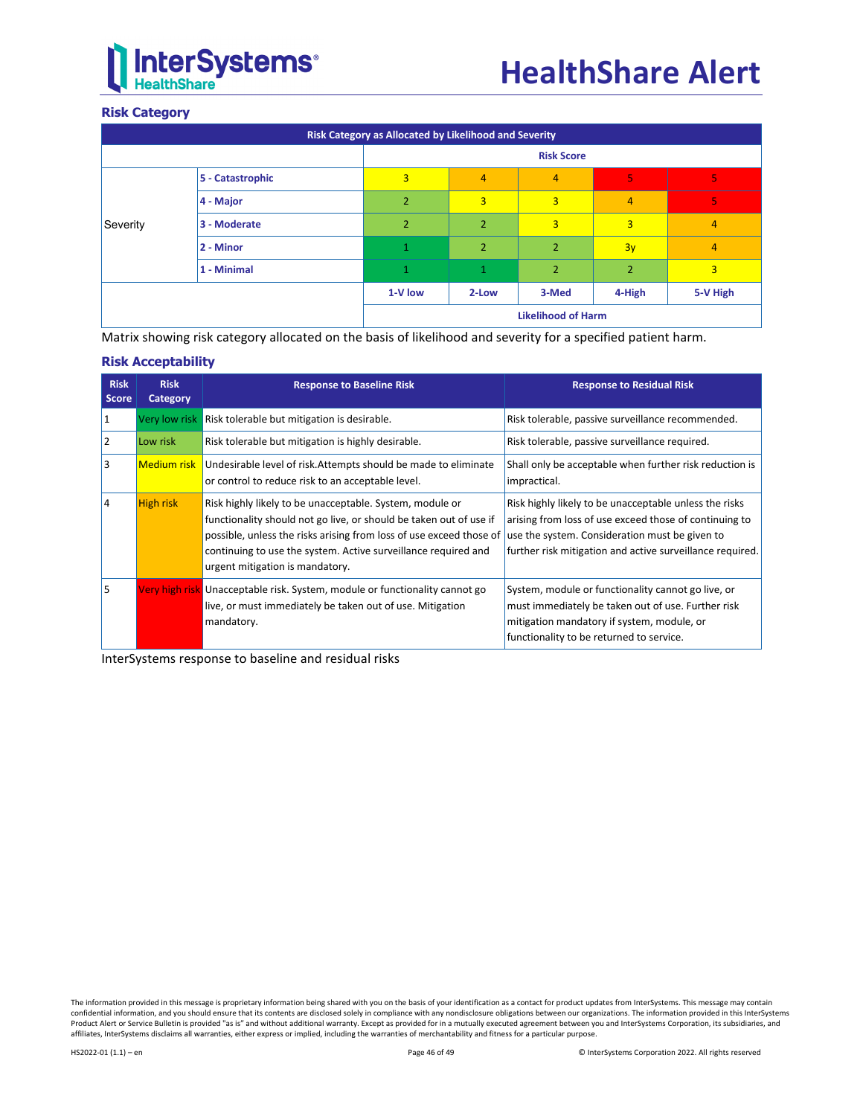

## **Risk Category**

| Risk Category as Allocated by Likelihood and Severity |                  |                           |                   |                |                |                |  |
|-------------------------------------------------------|------------------|---------------------------|-------------------|----------------|----------------|----------------|--|
|                                                       |                  |                           | <b>Risk Score</b> |                |                |                |  |
|                                                       | 5 - Catastrophic | $\overline{3}$            | $\overline{4}$    | 4              | 5              | 5              |  |
|                                                       | 4 - Major        | $\overline{2}$            | $\overline{3}$    | 3              | 4              | 5              |  |
| Severity                                              | 3 - Moderate     | $\overline{2}$            | $\overline{2}$    | $\overline{3}$ | 3              | 4              |  |
|                                                       | 2 - Minor        | $\mathbf{1}$              | $\overline{2}$    | $\overline{2}$ | 3y             | 4              |  |
|                                                       | 1 - Minimal      | 1                         | 1                 | $\overline{2}$ | $\overline{2}$ | $\overline{3}$ |  |
|                                                       |                  | 1-V low                   | 2-Low             | 3-Med          | 4-High         | 5-V High       |  |
|                                                       |                  | <b>Likelihood of Harm</b> |                   |                |                |                |  |

Matrix showing risk category allocated on the basis of likelihood and severity for a specified patient harm.

## **Risk Acceptability**

| <b>Risk</b><br><b>Score</b> | <b>Risk</b><br>Category | <b>Response to Baseline Risk</b>                                                                                                                                                                                                                                                                           | <b>Response to Residual Risk</b>                                                                                                                                                                                                |
|-----------------------------|-------------------------|------------------------------------------------------------------------------------------------------------------------------------------------------------------------------------------------------------------------------------------------------------------------------------------------------------|---------------------------------------------------------------------------------------------------------------------------------------------------------------------------------------------------------------------------------|
| 11                          |                         | Very low risk Risk tolerable but mitigation is desirable.                                                                                                                                                                                                                                                  | Risk tolerable, passive surveillance recommended.                                                                                                                                                                               |
| 12                          | Low risk                | Risk tolerable but mitigation is highly desirable.                                                                                                                                                                                                                                                         | Risk tolerable, passive surveillance required.                                                                                                                                                                                  |
| l3                          |                         | Medium risk Undesirable level of risk. Attempts should be made to eliminate<br>or control to reduce risk to an acceptable level.                                                                                                                                                                           | Shall only be acceptable when further risk reduction is<br>impractical.                                                                                                                                                         |
| 14                          | <b>High risk</b>        | Risk highly likely to be unacceptable. System, module or<br>functionality should not go live, or should be taken out of use if<br>possible, unless the risks arising from loss of use exceed those of<br>continuing to use the system. Active surveillance required and<br>urgent mitigation is mandatory. | Risk highly likely to be unacceptable unless the risks<br>arising from loss of use exceed those of continuing to<br>use the system. Consideration must be given to<br>further risk mitigation and active surveillance required. |
| l5                          |                         | Very high risk Unacceptable risk. System, module or functionality cannot go<br>live, or must immediately be taken out of use. Mitigation<br>mandatory.                                                                                                                                                     | System, module or functionality cannot go live, or<br>must immediately be taken out of use. Further risk<br>mitigation mandatory if system, module, or<br>functionality to be returned to service.                              |

InterSystems response to baseline and residual risks

The information provided in this message is proprietary information being shared with you on the basis of your identification as a contact for product updates from InterSystems. This message may contain<br>confidential inform Product Alert or Service Bulletin is provided "as is" and without additional warranty. Except as provided for in a mutually executed agreement between you and InterSystems Corporation, its subsidiaries, and affiliates, InterSystems disclaims all warranties, either express or implied, including the warranties of merchantability and fitness for a particular purpose.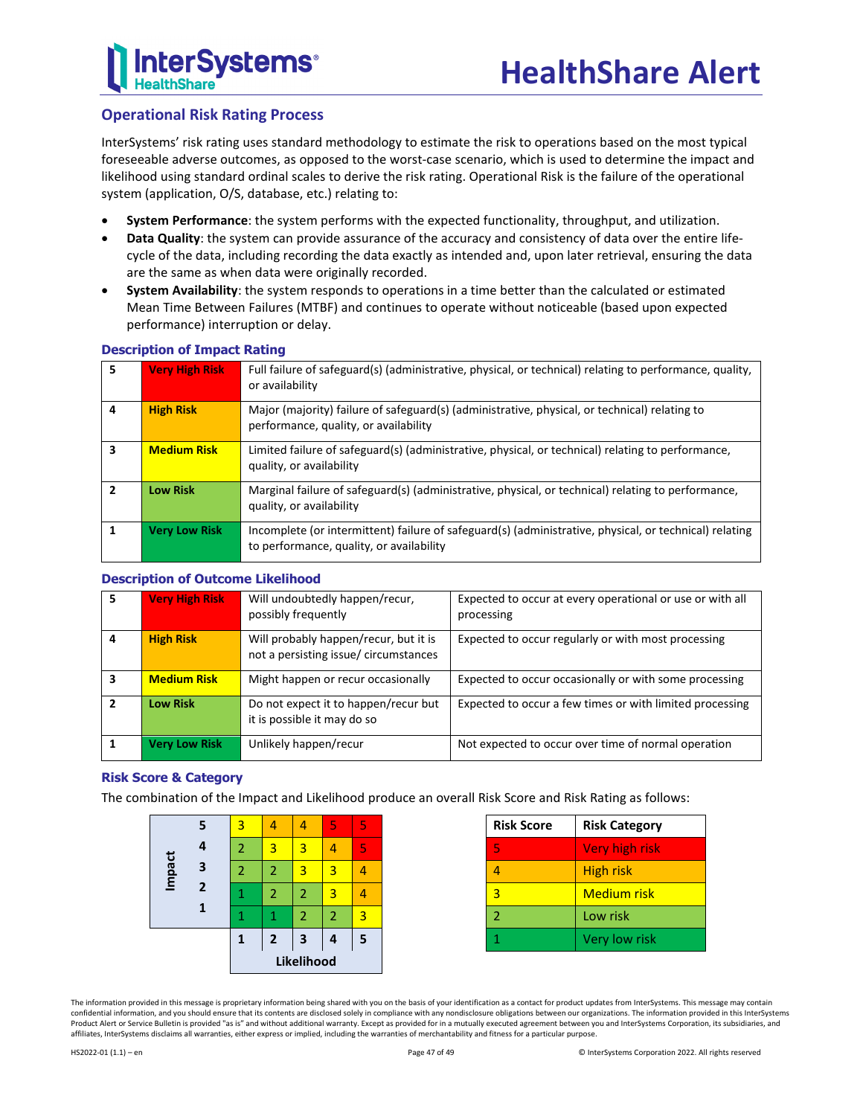

## **Operational Risk Rating Process**

InterSystems' risk rating uses standard methodology to estimate the risk to operations based on the most typical foreseeable adverse outcomes, as opposed to the worst-case scenario, which is used to determine the impact and likelihood using standard ordinal scales to derive the risk rating. Operational Risk is the failure of the operational system (application, O/S, database, etc.) relating to:

- **System Performance**: the system performs with the expected functionality, throughput, and utilization.
- **Data Quality**: the system can provide assurance of the accuracy and consistency of data over the entire lifecycle of the data, including recording the data exactly as intended and, upon later retrieval, ensuring the data are the same as when data were originally recorded.
- **System Availability**: the system responds to operations in a time better than the calculated or estimated Mean Time Between Failures (MTBF) and continues to operate without noticeable (based upon expected performance) interruption or delay.

| 5              | <b>Very High Risk</b> | Full failure of safeguard(s) (administrative, physical, or technical) relating to performance, quality,<br>or availability                         |
|----------------|-----------------------|----------------------------------------------------------------------------------------------------------------------------------------------------|
| 4              | <b>High Risk</b>      | Major (majority) failure of safeguard(s) (administrative, physical, or technical) relating to<br>performance, quality, or availability             |
| 3              | <b>Medium Risk</b>    | Limited failure of safeguard(s) (administrative, physical, or technical) relating to performance,<br>quality, or availability                      |
| $\overline{2}$ | <b>Low Risk</b>       | Marginal failure of safeguard(s) (administrative, physical, or technical) relating to performance,<br>quality, or availability                     |
|                | <b>Very Low Risk</b>  | Incomplete (or intermittent) failure of safeguard(s) (administrative, physical, or technical) relating<br>to performance, quality, or availability |

## **Description of Impact Rating**

## **Description of Outcome Likelihood**

| 5 | <b>Very High Risk</b> | Will undoubtedly happen/recur,<br>possibly frequently                         | Expected to occur at every operational or use or with all<br>processing |
|---|-----------------------|-------------------------------------------------------------------------------|-------------------------------------------------------------------------|
| 4 | <b>High Risk</b>      | Will probably happen/recur, but it is<br>not a persisting issue/circumstances | Expected to occur regularly or with most processing                     |
| 3 | <b>Medium Risk</b>    | Might happen or recur occasionally                                            | Expected to occur occasionally or with some processing                  |
| 2 | <b>Low Risk</b>       | Do not expect it to happen/recur but<br>it is possible it may do so           | Expected to occur a few times or with limited processing                |
|   | <b>Very Low Risk</b>  | Unlikely happen/recur                                                         | Not expected to occur over time of normal operation                     |

## **Risk Score & Category**

The combination of the Impact and Likelihood produce an overall Risk Score and Risk Rating as follows:

|        |                | 1              | $\overline{2}$ | $\overline{\mathbf{3}}$<br>Likelihood | 4 | 5 |
|--------|----------------|----------------|----------------|---------------------------------------|---|---|
|        |                |                | 1              | $\overline{2}$                        | 2 | 3 |
| Impact | $\overline{2}$ |                | $\overline{2}$ | $\overline{2}$                        | 3 |   |
|        | 3              | 2              | 2              | 3                                     | 3 |   |
|        | 4              | $\overline{2}$ | 3              | 3                                     |   | 5 |
|        | 5              | 3              |                |                                       | 5 | 5 |

| <b>Risk Score</b> | <b>Risk Category</b> |
|-------------------|----------------------|
| ъ,                | Very high risk       |
|                   | High risk            |
| ್ನ                | <b>Medium risk</b>   |
|                   | Low risk             |
|                   | Very low risk        |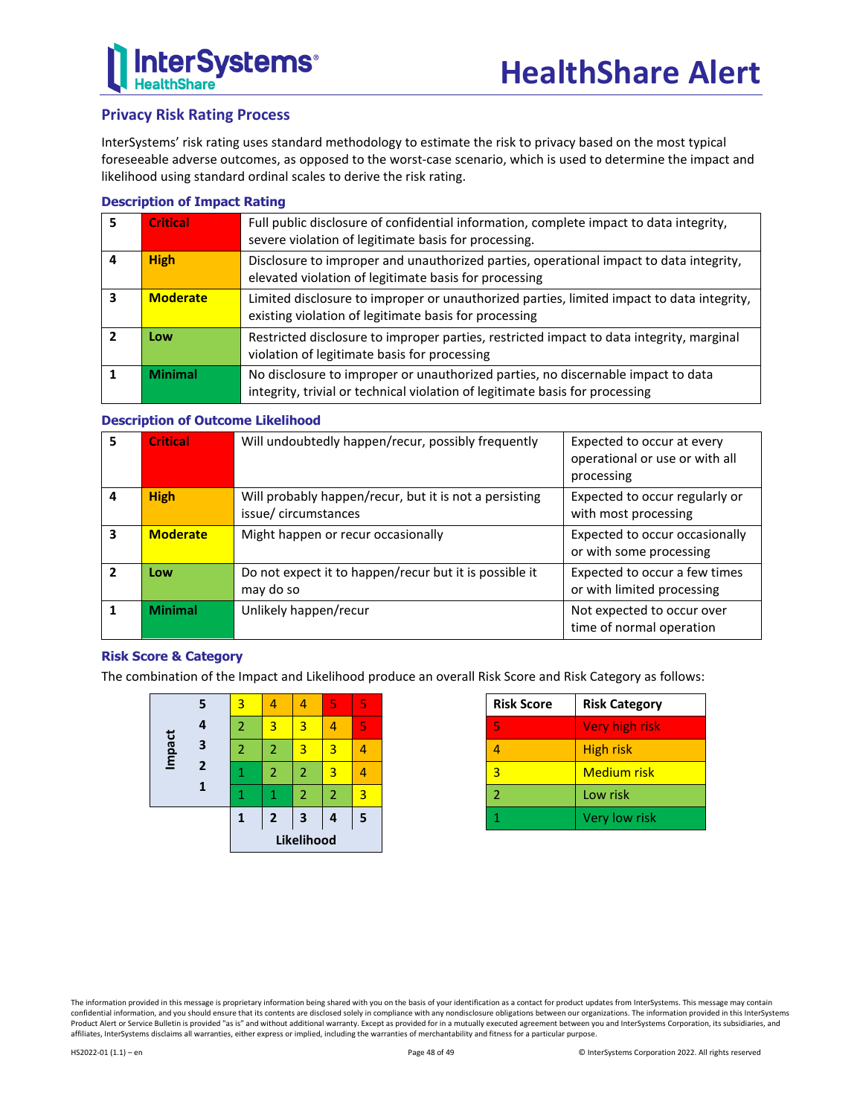## **Privacy Risk Rating Process**

InterSystems' risk rating uses standard methodology to estimate the risk to privacy based on the most typical foreseeable adverse outcomes, as opposed to the worst-case scenario, which is used to determine the impact and likelihood using standard ordinal scales to derive the risk rating.

## **Description of Impact Rating**

| 5 | <b>Critical</b> | Full public disclosure of confidential information, complete impact to data integrity,<br>severe violation of legitimate basis for processing.                   |
|---|-----------------|------------------------------------------------------------------------------------------------------------------------------------------------------------------|
|   | <b>High</b>     | Disclosure to improper and unauthorized parties, operational impact to data integrity,<br>elevated violation of legitimate basis for processing                  |
| 3 | <b>Moderate</b> | Limited disclosure to improper or unauthorized parties, limited impact to data integrity,<br>existing violation of legitimate basis for processing               |
|   | Low             | Restricted disclosure to improper parties, restricted impact to data integrity, marginal<br>violation of legitimate basis for processing                         |
|   | <b>Minimal</b>  | No disclosure to improper or unauthorized parties, no discernable impact to data<br>integrity, trivial or technical violation of legitimate basis for processing |

## **Description of Outcome Likelihood**

| 5 | <b>Critical</b> | Will undoubtedly happen/recur, possibly frequently                            | Expected to occur at every<br>operational or use or with all<br>processing |
|---|-----------------|-------------------------------------------------------------------------------|----------------------------------------------------------------------------|
| 4 | <b>High</b>     | Will probably happen/recur, but it is not a persisting<br>issue/circumstances | Expected to occur regularly or<br>with most processing                     |
| 3 | <b>Moderate</b> | Might happen or recur occasionally                                            | Expected to occur occasionally<br>or with some processing                  |
| 2 | Low             | Do not expect it to happen/recur but it is possible it<br>may do so           | Expected to occur a few times<br>or with limited processing                |
|   | <b>Minimal</b>  | Unlikely happen/recur                                                         | Not expected to occur over<br>time of normal operation                     |

## **Risk Score & Category**

The combination of the Impact and Likelihood produce an overall Risk Score and Risk Category as follows:

|        |                | Likelihood     |                |                |                |   |
|--------|----------------|----------------|----------------|----------------|----------------|---|
|        |                | 1              | $\overline{2}$ | 3              | 4              | 5 |
|        | 1              |                |                | $\overline{2}$ | $\overline{2}$ | 3 |
|        | $\overline{2}$ | 1              | 2              | $\overline{2}$ | 3              |   |
| Impact | 3              | $\overline{2}$ | $\overline{2}$ | 3              | 3              |   |
|        | 4              | 2              | 3              | 3              | 4              | 5 |
|        | 5              | 3              |                |                | 5              | 5 |

| <b>Risk Score</b>        | <b>Risk Category</b> |
|--------------------------|----------------------|
| 5                        | Very high risk       |
|                          | <b>High risk</b>     |
| 3                        | Medium risk          |
| $\overline{\phantom{a}}$ | Low risk             |
|                          | Very low risk        |